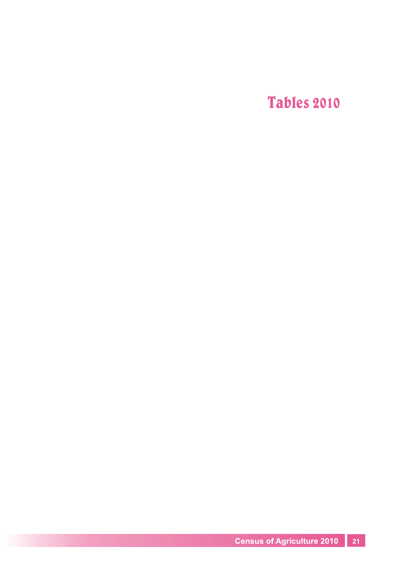Tables 2010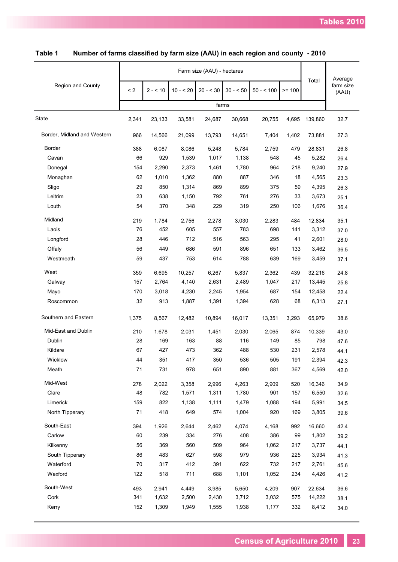| Average<br>Total<br>Region and County<br>farm size<br>< 2<br>$30 - 50$<br>$2 - 10$<br>$10 - 20$<br>$20 - 30$<br>$50 - 500$<br>$>= 100$<br>(AAU)<br>farms<br>2,341<br>4,695<br>139,860<br>32.7<br>23,133<br>33,581<br>24,687<br>30,668<br>20,755 |  |
|-------------------------------------------------------------------------------------------------------------------------------------------------------------------------------------------------------------------------------------------------|--|
|                                                                                                                                                                                                                                                 |  |
| State                                                                                                                                                                                                                                           |  |
|                                                                                                                                                                                                                                                 |  |
| Border, Midland and Western<br>966<br>1,402<br>14,566<br>21,099<br>13,793<br>14,651<br>7,404<br>73,881<br>27.3                                                                                                                                  |  |
| <b>Border</b><br>388<br>2,759<br>6,087<br>8,086<br>5,248<br>5,784<br>479<br>28,831<br>26.8                                                                                                                                                      |  |
| 66<br>929<br>1,539<br>1,138<br>548<br>45<br>Cavan<br>1,017<br>5,282<br>26.4                                                                                                                                                                     |  |
| 154<br>1,780<br>964<br>9,240<br>Donegal<br>2,290<br>2,373<br>1,461<br>218<br>27.9                                                                                                                                                               |  |
| 62<br>1,010<br>1,362<br>880<br>887<br>346<br>Monaghan<br>18<br>4,565<br>23.3                                                                                                                                                                    |  |
| 29<br>850<br>1,314<br>869<br>899<br>375<br>Sligo<br>59<br>4,395<br>26.3                                                                                                                                                                         |  |
| Leitrim<br>23<br>638<br>792<br>761<br>276<br>1,150<br>33<br>3,673<br>25.1                                                                                                                                                                       |  |
| 54<br>370<br>319<br>Louth<br>348<br>229<br>250<br>106<br>1,676<br>36.4                                                                                                                                                                          |  |
| Midland<br>219<br>1,784<br>2,278<br>3,030<br>2,283<br>484<br>12,834<br>35.1<br>2,756                                                                                                                                                            |  |
| 76<br>452<br>605<br>557<br>783<br>698<br>Laois<br>141<br>3,312<br>37.0                                                                                                                                                                          |  |
| 28<br>446<br>712<br>516<br>563<br>295<br>Longford<br>41<br>2,601<br>28.0                                                                                                                                                                        |  |
| 896<br>Offaly<br>56<br>449<br>686<br>591<br>651<br>133<br>3,462<br>36.5                                                                                                                                                                         |  |
| 59<br>437<br>753<br>788<br>639<br>Westmeath<br>614<br>169<br>3,459<br>37.1                                                                                                                                                                      |  |
| West<br>359<br>6,695<br>10,257<br>6,267<br>5,837<br>2,362<br>439<br>24.8<br>32,216                                                                                                                                                              |  |
| Galway<br>157<br>2,764<br>4,140<br>2,631<br>2,489<br>1,047<br>217<br>13,445<br>25.8                                                                                                                                                             |  |
| 1,954<br>687<br>Mayo<br>170<br>3,018<br>4,230<br>2,245<br>154<br>12,458<br>22.4                                                                                                                                                                 |  |
| 32<br>628<br>Roscommon<br>913<br>1,887<br>1,391<br>1,394<br>68<br>6,313<br>27.1                                                                                                                                                                 |  |
| Southern and Eastern<br>1,375<br>8,567<br>12,482<br>10,894<br>16,017<br>13,351<br>3,293<br>65,979<br>38.6                                                                                                                                       |  |
| Mid-East and Dublin<br>210<br>1,678<br>2,031<br>2,030<br>2,065<br>10,339<br>43.0<br>1,451<br>874                                                                                                                                                |  |
| Dublin<br>28<br>169<br>163<br>88<br>116<br>149<br>798<br>85<br>47.6                                                                                                                                                                             |  |
| 67<br>Kildare<br>427<br>473<br>362<br>488<br>530<br>231<br>2,578<br>44.1                                                                                                                                                                        |  |
| 351<br>350<br>536<br>2,394<br>Wicklow<br>44<br>417<br>505<br>191<br>42.3                                                                                                                                                                        |  |
| Meath<br>71<br>731<br>978<br>651<br>890<br>881<br>367<br>4,569<br>42.0                                                                                                                                                                          |  |
| Mid-West<br>278<br>2,022<br>3,358<br>2,996<br>4,263<br>2,909<br>520<br>16,346<br>34.9                                                                                                                                                           |  |
| 48<br>Clare<br>782<br>1,571<br>1,311<br>1,780<br>901<br>157<br>6,550<br>32.6                                                                                                                                                                    |  |
| Limerick<br>159<br>822<br>1,479<br>1,138<br>1,111<br>1,088<br>194<br>5,991<br>34.5                                                                                                                                                              |  |
| North Tipperary<br>71<br>418<br>649<br>574<br>1.004<br>920<br>169<br>3,805<br>39.6                                                                                                                                                              |  |
| South-East<br>394<br>1,926<br>2,644<br>2,462<br>4,074<br>4,168<br>992<br>16,660<br>42.4                                                                                                                                                         |  |
| Carlow<br>60<br>239<br>334<br>276<br>408<br>386<br>99<br>1,802<br>39.2                                                                                                                                                                          |  |
| 509<br>964<br>Kilkenny<br>56<br>369<br>560<br>1,062<br>217<br>3,737<br>44.1                                                                                                                                                                     |  |
| 86<br>483<br>627<br>598<br>979<br>936<br>225<br>South Tipperary<br>3,934<br>41.3                                                                                                                                                                |  |
| Waterford<br>70<br>412<br>391<br>622<br>732<br>217<br>317<br>2,761<br>45.6                                                                                                                                                                      |  |
| 122<br>711<br>234<br>Wexford<br>518<br>688<br>1,101<br>1,052<br>4,426<br>41.2                                                                                                                                                                   |  |
| South-West<br>493<br>2,941<br>5,650<br>4,209<br>907<br>36.6<br>4,449<br>3,985<br>22,634                                                                                                                                                         |  |
| Cork<br>341<br>1,632<br>2,430<br>3,712<br>575<br>2,500<br>3,032<br>14,222<br>38.1                                                                                                                                                               |  |
| Kerry<br>152<br>1,309<br>1,938<br>332<br>1,949<br>1,555<br>1,177<br>8,412<br>34.0                                                                                                                                                               |  |

| Table 1 | Number of farms classified by farm size (AAU) in each region and county - 2010 |  |  |  |  |  |  |
|---------|--------------------------------------------------------------------------------|--|--|--|--|--|--|
|---------|--------------------------------------------------------------------------------|--|--|--|--|--|--|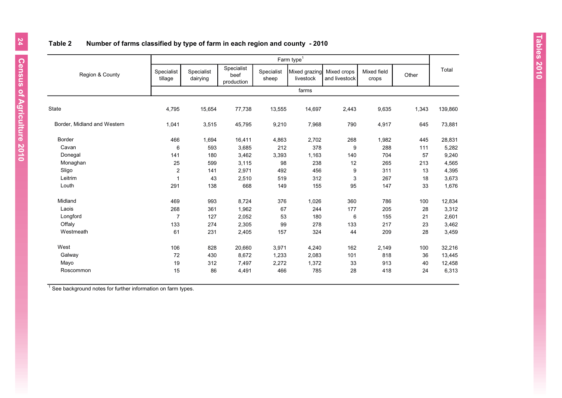# **Table 2 Number of farms classified by type of farm in each region and county - 2010**

|                             |                       | Farm type <sup>1</sup> |                                  |                     |                            |                              |                      |       |         |  |  |  |  |
|-----------------------------|-----------------------|------------------------|----------------------------------|---------------------|----------------------------|------------------------------|----------------------|-------|---------|--|--|--|--|
| Region & County             | Specialist<br>tillage | Specialist<br>dairying | Specialist<br>beef<br>production | Specialist<br>sheep | Mixed grazing<br>livestock | Mixed crops<br>and livestock | Mixed field<br>crops | Other | Total   |  |  |  |  |
|                             |                       |                        |                                  |                     | farms                      |                              |                      |       |         |  |  |  |  |
| <b>State</b>                | 4,795                 | 15,654                 | 77,738                           | 13,555              | 14,697                     | 2,443                        | 9,635                | 1,343 | 139,860 |  |  |  |  |
| Border, Midland and Western | 1,041                 | 3,515                  | 45,795                           | 9,210               | 7,968                      | 790                          | 4,917                | 645   | 73,881  |  |  |  |  |
| Border                      | 466                   | 1,694                  | 16,411                           | 4,863               | 2,702                      | 268                          | 1,982                | 445   | 28,831  |  |  |  |  |
| Cavan                       | 6                     | 593                    | 3,685                            | 212                 | 378                        | 9                            | 288                  | 111   | 5,282   |  |  |  |  |
| Donegal                     | 141                   | 180                    | 3,462                            | 3,393               | 1,163                      | 140                          | 704                  | 57    | 9,240   |  |  |  |  |
| Monaghan                    | 25                    | 599                    | 3,115                            | 98                  | 238                        | 12                           | 265                  | 213   | 4,565   |  |  |  |  |
| Sligo                       | $\overline{2}$        | 141                    | 2,971                            | 492                 | 456                        | 9                            | 311                  | 13    | 4,395   |  |  |  |  |
| Leitrim                     | $\overline{1}$        | 43                     | 2,510                            | 519                 | 312                        | 3                            | 267                  | 18    | 3,673   |  |  |  |  |
| Louth                       | 291                   | 138                    | 668                              | 149                 | 155                        | 95                           | 147                  | 33    | 1,676   |  |  |  |  |
| Midland                     | 469                   | 993                    | 8,724                            | 376                 | 1,026                      | 360                          | 786                  | 100   | 12,834  |  |  |  |  |
| Laois                       | 268                   | 361                    | 1,962                            | 67                  | 244                        | 177                          | 205                  | 28    | 3,312   |  |  |  |  |
| Longford                    | $\overline{7}$        | 127                    | 2,052                            | 53                  | 180                        | 6                            | 155                  | 21    | 2,601   |  |  |  |  |
| Offaly                      | 133                   | 274                    | 2,305                            | 99                  | 278                        | 133                          | 217                  | 23    | 3,462   |  |  |  |  |
| Westmeath                   | 61                    | 231                    | 2,405                            | 157                 | 324                        | 44                           | 209                  | 28    | 3,459   |  |  |  |  |
| West                        | 106                   | 828                    | 20,660                           | 3,971               | 4,240                      | 162                          | 2,149                | 100   | 32,216  |  |  |  |  |
| Galway                      | 72                    | 430                    | 8,672                            | 1,233               | 2,083                      | 101                          | 818                  | 36    | 13,445  |  |  |  |  |
| Mayo                        | 19                    | 312                    | 7,497                            | 2,272               | 1,372                      | 33                           | 913                  | 40    | 12,458  |  |  |  |  |
| Roscommon                   | 15                    | 86                     | 4,491                            | 466                 | 785                        | 28                           | 418                  | 24    | 6,313   |  |  |  |  |

 $1$  See background notes for further information on farm types.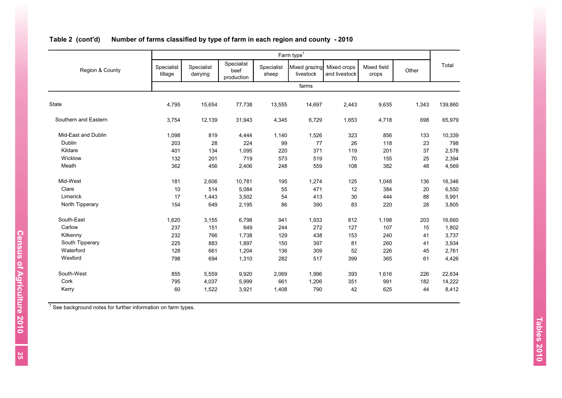|                      |                       |                        |                                  |                     | Farm type <sup>1</sup>     |                              |                      |       |         |
|----------------------|-----------------------|------------------------|----------------------------------|---------------------|----------------------------|------------------------------|----------------------|-------|---------|
| Region & County      | Specialist<br>tillage | Specialist<br>dairying | Specialist<br>beef<br>production | Specialist<br>sheep | Mixed grazing<br>livestock | Mixed crops<br>and livestock | Mixed field<br>crops | Other | Total   |
|                      |                       |                        |                                  |                     | farms                      |                              |                      |       |         |
| State                | 4,795                 | 15,654                 | 77,738                           | 13,555              | 14,697                     | 2,443                        | 9,635                | 1,343 | 139,860 |
| Southern and Eastern | 3,754                 | 12,139                 | 31,943                           | 4,345               | 6,729                      | 1,653                        | 4,718                | 698   | 65,979  |
| Mid-East and Dublin  | 1,098                 | 819                    | 4,444                            | 1,140               | 1,526                      | 323                          | 856                  | 133   | 10,339  |
| Dublin               | 203                   | 28                     | 224                              | 99                  | 77                         | 26                           | 118                  | 23    | 798     |
| Kildare              | 401                   | 134                    | 1,095                            | 220                 | 371                        | 119                          | 201                  | 37    | 2,578   |
| Wicklow              | 132                   | 201                    | 719                              | 573                 | 519                        | 70                           | 155                  | 25    | 2,394   |
| Meath                | 362                   | 456                    | 2,406                            | 248                 | 559                        | 108                          | 382                  | 48    | 4,569   |
| Mid-West             | 181                   | 2,606                  | 10,781                           | 195                 | 1,274                      | 125                          | 1,048                | 136   | 16,346  |
| Clare                | 10                    | 514                    | 5,084                            | 55                  | 471                        | 12                           | 384                  | 20    | 6,550   |
| Limerick             | 17                    | 1,443                  | 3,502                            | 54                  | 413                        | $30\,$                       | 444                  | 88    | 5,991   |
| North Tipperary      | 154                   | 649                    | 2,195                            | 86                  | 390                        | 83                           | 220                  | 28    | 3,805   |
| South-East           | 1,620                 | 3,155                  | 6,798                            | 941                 | 1,933                      | 812                          | 1,198                | 203   | 16,660  |
| Carlow               | 237                   | 151                    | 649                              | 244                 | 272                        | 127                          | 107                  | 15    | 1,802   |
| Kilkenny             | 232                   | 766                    | 1,738                            | 129                 | 438                        | 153                          | 240                  | 41    | 3,737   |
| South Tipperary      | 225                   | 883                    | 1,897                            | 150                 | 397                        | 81                           | 260                  | 41    | 3,934   |
| Waterford            | 128                   | 661                    | 1,204                            | 136                 | 309                        | 52                           | 226                  | 45    | 2,761   |
| Wexford              | 798                   | 694                    | 1,310                            | 282                 | 517                        | 399                          | 365                  | 61    | 4,426   |
| South-West           | 855                   | 5,559                  | 9,920                            | 2,069               | 1,996                      | 393                          | 1,616                | 226   | 22,634  |
| Cork                 | 795                   | 4,037                  | 5,999                            | 661                 | 1,206                      | 351                          | 991                  | 182   | 14,222  |
| Kerry                | 60                    | 1,522                  | 3,921                            | 1,408               | 790                        | 42                           | 625                  | 44    | 8,412   |

# **Table 2 (cont'd) Number of farms classified by type of farm in each region and county - 2010**

 $1$  See background notes for further information on farm types.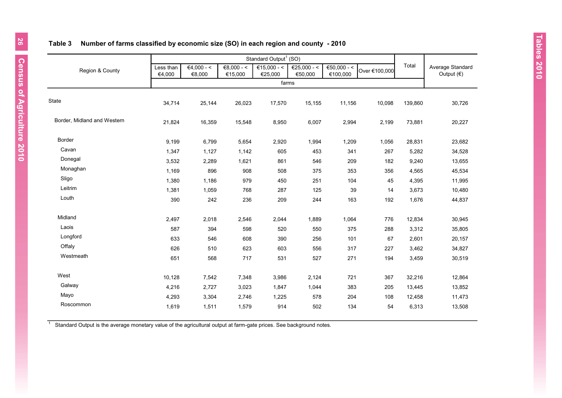|                             |                     |              |              | Standard Output <sup>1</sup> (SO) |                  |                         |               |         |                                      |
|-----------------------------|---------------------|--------------|--------------|-----------------------------------|------------------|-------------------------|---------------|---------|--------------------------------------|
| Region & County             | Less than<br>€4,000 | $€4,000 - <$ | $€8,000 - <$ | €15,000 - $\le$                   | €25,000 - <      | €50,000 - <<br>€100,000 | Over €100,000 | Total   | Average Standard<br>Output $( \in )$ |
|                             |                     | €8,000       | €15,000      | €25,000                           | €50,000<br>farms |                         |               |         |                                      |
|                             |                     |              |              |                                   |                  |                         |               |         |                                      |
| <b>State</b>                | 34,714              | 25,144       | 26,023       | 17,570                            | 15,155           | 11,156                  | 10,098        | 139,860 | 30,726                               |
| Border, Midland and Western | 21,824              | 16,359       | 15,548       | 8,950                             | 6,007            | 2,994                   | 2,199         | 73,881  | 20,227                               |
| Border                      | 9,199               | 6,799        | 5,654        | 2,920                             | 1,994            | 1,209                   | 1,056         | 28,831  | 23,682                               |
| Cavan                       | 1,347               | 1,127        | 1,142        | 605                               | 453              | 341                     | 267           | 5,282   | 34,528                               |
| Donegal                     | 3,532               | 2,289        | 1,621        | 861                               | 546              | 209                     | 182           | 9,240   | 13,655                               |
| Monaghan                    | 1,169               | 896          | 908          | 508                               | 375              | 353                     | 356           | 4,565   | 45,534                               |
| Sligo                       | 1,380               | 1,186        | 979          | 450                               | 251              | 104                     | 45            | 4,395   | 11,995                               |
| Leitrim                     | 1,381               | 1,059        | 768          | 287                               | 125              | 39                      | 14            | 3,673   | 10,480                               |
| Louth                       | 390                 | 242          | 236          | 209                               | 244              | 163                     | 192           | 1,676   | 44,837                               |
| Midland                     | 2,497               | 2,018        | 2,546        | 2,044                             | 1,889            | 1,064                   | 776           | 12,834  | 30,945                               |
| Laois                       | 587                 | 394          | 598          | 520                               | 550              | 375                     | 288           | 3,312   | 35,805                               |
| Longford                    | 633                 | 546          | 608          | 390                               | 256              | 101                     | 67            | 2,601   | 20,157                               |
| Offaly                      | 626                 | 510          | 623          | 603                               | 556              | 317                     | 227           | 3,462   | 34,827                               |
| Westmeath                   | 651                 | 568          | 717          | 531                               | 527              | 271                     | 194           | 3,459   | 30,519                               |
| West                        | 10,128              | 7,542        | 7,348        | 3,986                             | 2,124            | 721                     | 367           | 32,216  | 12,864                               |
| Galway                      | 4,216               | 2,727        | 3,023        | 1,847                             | 1,044            | 383                     | 205           | 13,445  | 13,852                               |
| Mayo                        | 4,293               | 3,304        | 2,746        | 1,225                             | 578              | 204                     | 108           | 12,458  | 11,473                               |
| Roscommon                   | 1,619               | 1,511        | 1,579        | 914                               | 502              | 134                     | 54            | 6,313   | 13,508                               |

## **Table 3 Number of farms classified by economic size (SO) in each region and county - 2010**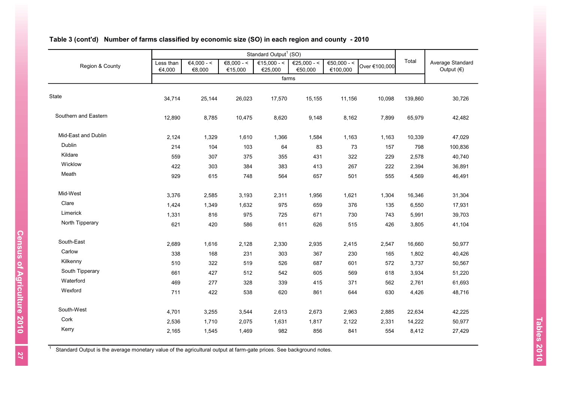| Region & County      | Less than<br>€4,000 | $€4,000 - <$<br>€8,000 | $€8,000 - <$<br>€15,000 | €15,000 - <<br>€25,000 | €25,000 - <<br>€50,000 | €50,000 - <<br>€100,000 | Over €100,000 | Total   | Average Standard<br>Output $(€)$ |
|----------------------|---------------------|------------------------|-------------------------|------------------------|------------------------|-------------------------|---------------|---------|----------------------------------|
|                      |                     |                        |                         | farms                  |                        |                         |               |         |                                  |
|                      |                     |                        |                         |                        |                        |                         |               |         |                                  |
| State                | 34,714              | 25,144                 | 26,023                  | 17,570                 | 15,155                 | 11,156                  | 10,098        | 139,860 | 30,726                           |
| Southern and Eastern | 12,890              | 8,785                  | 10,475                  | 8,620                  | 9,148                  | 8,162                   | 7,899         | 65,979  | 42,482                           |
| Mid-East and Dublin  | 2,124               | 1,329                  | 1,610                   | 1,366                  | 1,584                  | 1,163                   | 1,163         | 10,339  | 47,029                           |
| Dublin               | 214                 | 104                    | 103                     | 64                     | 83                     | 73                      | 157           | 798     | 100,836                          |
| Kildare              | 559                 | 307                    | 375                     | 355                    | 431                    | 322                     | 229           | 2,578   | 40,740                           |
| Wicklow              | 422                 | 303                    | 384                     | 383                    | 413                    | 267                     | 222           | 2,394   | 36,891                           |
| Meath                | 929                 | 615                    | 748                     | 564                    | 657                    | 501                     | 555           | 4,569   | 46,491                           |
| Mid-West             | 3,376               | 2,585                  | 3,193                   | 2,311                  | 1,956                  | 1,621                   | 1,304         | 16,346  | 31,304                           |
| Clare                | 1,424               | 1,349                  | 1,632                   | 975                    | 659                    | 376                     | 135           | 6,550   | 17,931                           |
| Limerick             | 1,331               | 816                    | 975                     | 725                    | 671                    | 730                     | 743           | 5,991   | 39,703                           |
| North Tipperary      | 621                 | 420                    | 586                     | 611                    | 626                    | 515                     | 426           | 3,805   | 41,104                           |
| South-East           | 2,689               | 1,616                  | 2,128                   | 2,330                  | 2,935                  | 2,415                   | 2,547         | 16,660  | 50,977                           |
| Carlow               | 338                 | 168                    | 231                     | 303                    | 367                    | 230                     | 165           | 1,802   | 40,426                           |
| Kilkenny             | 510                 | 322                    | 519                     | 526                    | 687                    | 601                     | 572           | 3,737   | 50,567                           |
| South Tipperary      | 661                 | 427                    | 512                     | 542                    | 605                    | 569                     | 618           | 3,934   | 51,220                           |
| Waterford            | 469                 | 277                    | 328                     | 339                    | 415                    | 371                     | 562           | 2,761   | 61,693                           |
| Wexford              | 711                 | 422                    | 538                     | 620                    | 861                    | 644                     | 630           | 4,426   | 48,716                           |
| South-West           | 4,701               | 3,255                  | 3,544                   | 2,613                  | 2,673                  | 2,963                   | 2,885         | 22,634  | 42,225                           |
| Cork                 | 2,536               | 1,710                  | 2,075                   | 1,631                  | 1,817                  | 2,122                   | 2,331         | 14,222  | 50,977                           |
| Kerry                | 2,165               | 1,545                  | 1,469                   | 982                    | 856                    | 841                     | 554           | 8,412   | 27,429                           |

# **Table 3 (cont'd) Number of farms classified by economic size (SO) in each region and county - 2010**

1 Standard Output is the average monetary value of the agricultural output at farm-gate prices. See background notes.

Census of Agriculture 2010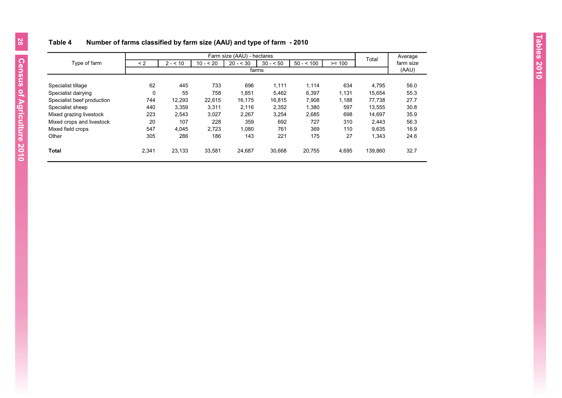# **Table 4 Number of farms classified by farm size (AAU) and type of farm - 2010**

|                            |          |          |            | Farm size (AAU) - hectares |           |            |          | Total   | Average   |  |  |  |  |  |
|----------------------------|----------|----------|------------|----------------------------|-----------|------------|----------|---------|-----------|--|--|--|--|--|
| Type of farm               | $\leq$ 2 | $2 - 10$ | $10 - 520$ | $20 - 30$                  | $30 - 50$ | $50 - 500$ | $>= 100$ |         | farm size |  |  |  |  |  |
|                            |          | farms    |            |                            |           |            |          |         |           |  |  |  |  |  |
|                            |          |          |            |                            |           |            |          |         |           |  |  |  |  |  |
| Specialist tillage         | 62       | 445      | 733        | 696                        | 1,111     | 1,114      | 634      | 4,795   | 56.0      |  |  |  |  |  |
| Specialist dairying        | 0        | 55       | 758        | 1,851                      | 5,462     | 6,397      | 1,131    | 15,654  | 55.3      |  |  |  |  |  |
| Specialist beef production | 744      | 12,293   | 22,615     | 16,175                     | 16,815    | 7,908      | 1,188    | 77,738  | 27.7      |  |  |  |  |  |
| Specialist sheep           | 440      | 3,359    | 3,311      | 2,116                      | 2,352     | 1,380      | 597      | 13,555  | 30.8      |  |  |  |  |  |
| Mixed grazing livestock    | 223      | 2,543    | 3,027      | 2,267                      | 3,254     | 2,685      | 698      | 14,697  | 35.9      |  |  |  |  |  |
| Mixed crops and livestock  | 20       | 107      | 228        | 359                        | 692       | 727        | 310      | 2.443   | 56.3      |  |  |  |  |  |
| Mixed field crops          | 547      | 4,045    | 2,723      | 1,080                      | 761       | 369        | 110      | 9,635   | 16.9      |  |  |  |  |  |
| Other                      | 305      | 286      | 186        | 143                        | 221       | 175        | 27       | 1,343   | 24.6      |  |  |  |  |  |
| <b>Total</b>               | 2.341    | 23,133   | 33,581     | 24.687                     | 30.668    | 20.755     | 4,695    | 139.860 | 32.7      |  |  |  |  |  |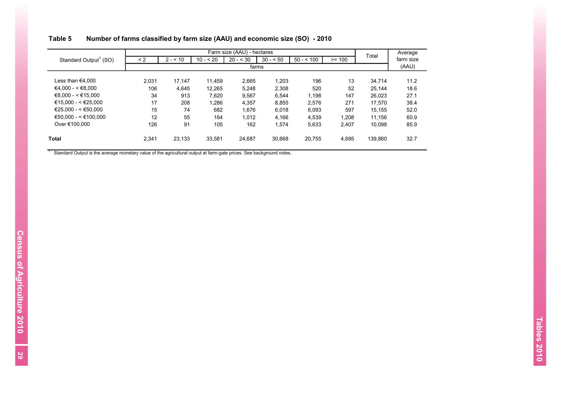|                                   |          |          |            | Farm size (AAU) - hectares |           |            |          | Total   | Average   |
|-----------------------------------|----------|----------|------------|----------------------------|-----------|------------|----------|---------|-----------|
| Standard Output <sup>1</sup> (SO) | $\leq$ 2 | $2 - 10$ | $10 - 520$ | $20 - 530$                 | $30 - 50$ | $50 - 500$ | $>= 100$ |         | farm size |
|                                   |          |          |            | farms                      |           |            |          |         | (AAU)     |
|                                   |          |          |            |                            |           |            |          |         |           |
| Less than €4.000                  | 2.031    | 17.147   | 11.459     | 2,665                      | 1,203     | 196        | 13       | 34,714  | 11.2      |
| $€4.000 - < €8.000$               | 106      | 4.645    | 12,265     | 5,248                      | 2,308     | 520        | 52       | 25.144  | 18.6      |
| €8.000 - < €15.000                | 34       | 913      | 7.620      | 9.567                      | 6.544     | 1,198      | 147      | 26.023  | 27.1      |
| €15.000 - < €25.000               | 17       | 208      | 1,286      | 4,357                      | 8,855     | 2,576      | 271      | 17.570  | 38.4      |
| $€25.000 - < €50.000$             | 15       | 74       | 682        | 1.676                      | 6,018     | 6,093      | 597      | 15.155  | 52.0      |
| $€50.000 - < €100.000$            | 12       | 55       | 164        | 1.012                      | 4.166     | 4,539      | 1,208    | 11.156  | 60.9      |
| Over €100.000                     | 126      | 91       | 105        | 162                        | 1.574     | 5,633      | 2,407    | 10.098  | 85.9      |
| Total                             | 2,341    | 23,133   | 33,581     | 24.687                     | 30.668    | 20.755     | 4,695    | 139.860 | 32.7      |

# **Table 5 Number of farms classified by farm size (AAU) and economic size (SO) - 2010**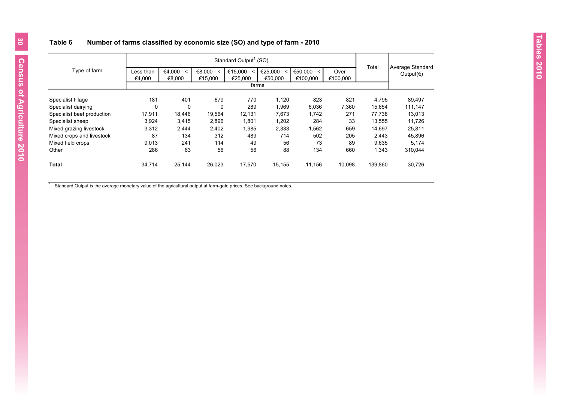## **Table 6 Number of farms classified by economic size (SO) and type of farm - 2010**

|                            |           |                                                                                      |          | Standard Output <sup>1</sup> (SO) |         |                                          |          |         |         |
|----------------------------|-----------|--------------------------------------------------------------------------------------|----------|-----------------------------------|---------|------------------------------------------|----------|---------|---------|
| Type of farm               | Less than | $€4.000 - <$<br>€15.000 - <<br>€25.000 - <<br>€50.000 - <<br>$€8.000 - <$<br>€25.000 |          | Over                              | Total   | Average Standard<br>Output( $\epsilon$ ) |          |         |         |
|                            | €4,000    | €8,000                                                                               | €15,000  |                                   | €50,000 | €100,000                                 | €100,000 |         |         |
|                            |           |                                                                                      |          |                                   | farms   |                                          |          |         |         |
| Specialist tillage         | 181       | 401                                                                                  | 679      | 770                               | 1,120   | 823                                      | 821      | 4,795   | 89,497  |
| Specialist dairying        | 0         | $\mathbf 0$                                                                          | $\Omega$ | 289                               | 1,969   | 6,036                                    | 7,360    | 15,654  | 111,147 |
| Specialist beef production | 17,911    | 18,446                                                                               | 19,564   | 12,131                            | 7,673   | 1,742                                    | 271      | 77,738  | 13,013  |
| Specialist sheep           | 3,924     | 3.415                                                                                | 2,896    | 1,801                             | 1,202   | 284                                      | 33       | 13.555  | 11.726  |
| Mixed grazing livestock    | 3,312     | 2,444                                                                                | 2,402    | 1,985                             | 2,333   | 1,562                                    | 659      | 14,697  | 25,811  |
| Mixed crops and livestock  | 87        | 134                                                                                  | 312      | 489                               | 714     | 502                                      | 205      | 2.443   | 45,896  |
| Mixed field crops          | 9.013     | 241                                                                                  | 114      | 49                                | 56      | 73                                       | 89       | 9.635   | 5,174   |
| Other                      | 286       | 63                                                                                   | 56       | 56                                | 88      | 134                                      | 660      | 1,343   | 310.044 |
| <b>Total</b>               | 34,714    | 25.144                                                                               | 26,023   | 17.570                            | 15,155  | 11.156                                   | 10.098   | 139,860 | 30,726  |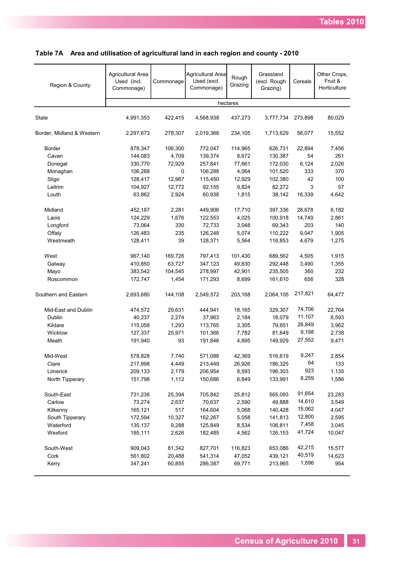| Region & County           | Agricultural Area<br>Used (incl.<br>Commonage) | Commonage   | Agricultural Area<br>Used (excl.<br>Commonage) | Rough<br>Grazing | Grassland<br>(excl. Rough<br>Grazing) | Cereals | Other Crops,<br>Fruit &<br>Horticulture |
|---------------------------|------------------------------------------------|-------------|------------------------------------------------|------------------|---------------------------------------|---------|-----------------------------------------|
|                           |                                                |             |                                                | hectares         |                                       |         |                                         |
| State                     | 4,991,353                                      | 422,415     | 4,568,938                                      | 437,273          | 3,777,734                             | 273,898 | 80,029                                  |
| Border, Midland & Western | 2,297,673                                      | 278,307     | 2,019,366                                      | 234,105          | 1,713,629                             | 56,077  | 15,552                                  |
| Border                    | 878,347                                        | 106,300     | 772,047                                        | 114,965          | 626,731                               | 22,894  | 7,456                                   |
| Cavan                     | 144,083                                        | 4,709       | 139,374                                        | 8,672            | 130,387                               | 54      | 261                                     |
| Donegal                   | 330,770                                        | 72,929      | 257,841                                        | 77,661           | 172,030                               | 6,124   | 2,026                                   |
| Monaghan                  | 106,288                                        | $\mathsf 0$ | 106,288                                        | 4,064            | 101,520                               | 333     | 370                                     |
| Sligo                     | 128,417                                        | 12,967      | 115,450                                        | 12,929           | 102,380                               | 42      | 100                                     |
| Leitrim                   | 104,927                                        | 12,772      | 92,155                                         | 9,824            | 82,272                                | 3       | 57                                      |
| Louth                     | 63,862                                         | 2,924       | 60,938                                         | 1,815            | 38,142                                | 16,339  | 4,642                                   |
| Midland                   | 452,187                                        | 2,281       | 449,906                                        | 17,710           | 397,336                               | 28,678  | 6,182                                   |
| Laois                     | 124,229                                        | 1,676       | 122.553                                        | 4,025            | 100,918                               | 14,749  | 2,861                                   |
| Longford                  | 73,064                                         | 330         | 72,733                                         | 3,048            | 69,343                                | 203     | 140                                     |
| Offaly                    | 126,483                                        | 235         | 126,248                                        | 5,074            | 110,222                               | 9,047   | 1,905                                   |
| Westmeath                 | 128,411                                        | 39          | 128,371                                        | 5,564            | 116,853                               | 4,679   | 1,275                                   |
| West                      | 967,140                                        | 169,726     | 797,413                                        | 101,430          | 689,562                               | 4,505   | 1,915                                   |
| Galway                    | 410,850                                        | 63,727      | 347,123                                        | 49,830           | 292,448                               | 3,490   | 1,355                                   |
| Mayo                      | 383,542                                        | 104,545     | 278,997                                        | 42,901           | 235,505                               | 360     | 232                                     |
| Roscommon                 | 172,747                                        | 1,454       | 171,293                                        | 8,699            | 161,610                               | 656     | 328                                     |
| Southern and Eastern      | 2,693,680                                      | 144,108     | 2,549,572                                      | 203,168          | 2,064,105                             | 217,821 | 64,477                                  |
| Mid-East and Dublin       | 474,572                                        | 29,631      | 444,941                                        | 18,165           | 329,307                               | 74,706  | 22,764                                  |
| Dublin                    | 40,237                                         | 2,274       | 37,963                                         | 2,184            | 18,079                                | 11,107  | 6,593                                   |
| Kildare                   | 115,058                                        | 1,293       | 113,765                                        | 3,305            | 79,651                                | 26,849  | 3,962                                   |
| Wicklow                   | 127,337                                        | 25,971      | 101,366                                        | 7,782            | 81,649                                | 9,198   | 2,738                                   |
| Meath                     | 191,940                                        | 93          | 191,846                                        | 4,895            | 149,929                               | 27,552  | 9,471                                   |
| Mid-West                  | 578,828                                        | 7.740       | 571,088                                        | 42,369           | 516,619                               | 9,247   | 2,854                                   |
| Clare                     | 217,898                                        | 4,449       | 213,449                                        | 26,926           | 186,325                               | 64      | 133                                     |
| Limerick                  | 209,133                                        | 2,179       | 206,954                                        | 8,593            | 196,303                               | 923     | 1,135                                   |
| North Tipperary           | 151,798                                        | 1,112       | 150,686                                        | 6,849            | 133,991                               | 8,259   | 1,586                                   |
| South-East                | 731,236                                        | 25,394      | 705,842                                        | 25,812           | 565,093                               | 91,654  | 23,283                                  |
| Carlow                    | 73,274                                         | 2,637       | 70,637                                         | 2,590            | 49,888                                | 14,610  | 3,549                                   |
| Kilkenny                  | 165,121                                        | 517         | 164,604                                        | 5,068            | 140,428                               | 15,062  | 4,047                                   |
| South Tipperary           | 172,594                                        | 10,327      | 162,267                                        | 5,058            | 141,813                               | 12,800  | 2,595                                   |
| Waterford                 | 135,137                                        | 9,288       | 125,849                                        | 8,534            | 106,811                               | 7,458   | 3,045                                   |
| Wexford                   | 185,111                                        | 2,626       | 182,485                                        | 4,562            | 126,153                               | 41,724  | 10,047                                  |
| South-West                | 909,043                                        | 81,342      | 827,701                                        | 116,823          | 653,086                               | 42,215  | 15,577                                  |
| Cork                      | 561,802                                        | 20,488      | 541,314                                        | 47,052           | 439,121                               | 40,519  | 14,623                                  |
| Kerry                     | 347,241                                        | 60,855      | 286,387                                        | 69,771           | 213,965                               | 1,696   | 954                                     |

# **Table 7A Area and utilisation of agricultural land in each region and county - 2010**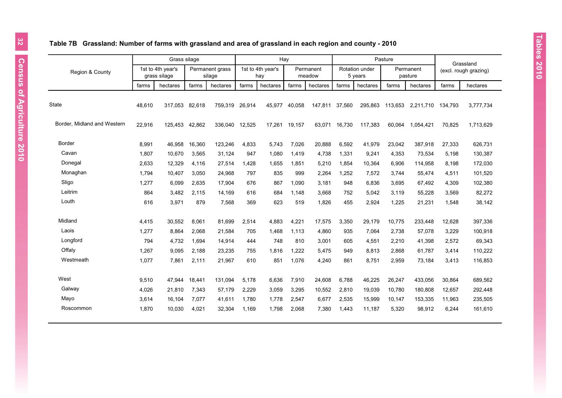# **Table 7B Grassland: Number of farms with grassland and area of grassland in each region and county - 2010**

|                             | Grass silage |                                   |        |                           | Hay    |                          |        |                     |        | Pasture                   |         | Grassland            |         |                       |
|-----------------------------|--------------|-----------------------------------|--------|---------------------------|--------|--------------------------|--------|---------------------|--------|---------------------------|---------|----------------------|---------|-----------------------|
| Region & County             |              | 1st to 4th year's<br>grass silage |        | Permanent grass<br>silage |        | 1st to 4th year's<br>hay |        | Permanent<br>meadow |        | Rotation under<br>5 years |         | Permanent<br>pasture |         | (excl. rough grazing) |
|                             | farms        | hectares                          | farms  | hectares                  | farms  | hectares                 | farms  | hectares            | farms  | hectares                  | farms   | hectares             | farms   | hectares              |
| <b>State</b>                | 48,610       | 317,053                           | 82,618 | 759,319                   | 26,914 | 45,977                   | 40,058 | 147,811             | 37,560 | 295,863                   | 113,653 | 2,211,710            | 134,793 | 3,777,734             |
| Border, Midland and Western | 22,916       | 125,453                           | 42,862 | 336.040                   | 12,525 | 17.261                   | 19.157 | 63.071              | 16.730 | 117,383                   | 60.064  | 1,054,421            | 70,825  | 1,713,629             |
| <b>Border</b>               | 8,991        | 46,958                            | 16,360 | 123,246                   | 4,833  | 5.743                    | 7,026  | 20,888              | 6,592  | 41,979                    | 23,042  | 387,918              | 27,333  | 626,731               |
| Cavan                       | 1,807        | 10,670                            | 3,565  | 31,124                    | 947    | 1,080                    | 1,419  | 4,738               | 1,331  | 9,241                     | 4,353   | 73,534               | 5,198   | 130,387               |
| Donegal                     | 2,633        | 12,329                            | 4,116  | 27,514                    | 1,428  | 1,655                    | 1,851  | 5,210               | 1,854  | 10,364                    | 6,906   | 114,958              | 8,198   | 172,030               |
| Monaghan                    | 1,794        | 10,407                            | 3,050  | 24,968                    | 797    | 835                      | 999    | 2,264               | 1,252  | 7,572                     | 3,744   | 55,474               | 4,511   | 101,520               |
| Sligo                       | 1,277        | 6,099                             | 2,635  | 17,904                    | 676    | 867                      | 1,090  | 3.181               | 948    | 6.836                     | 3,695   | 67,492               | 4,309   | 102,380               |
| Leitrim                     | 864          | 3,482                             | 2,115  | 14,169                    | 616    | 684                      | 1.148  | 3.668               | 752    | 5,042                     | 3,119   | 55,228               | 3,569   | 82,272                |
| Louth                       | 616          | 3,971                             | 879    | 7,568                     | 369    | 623                      | 519    | 1,826               | 455    | 2,924                     | 1,225   | 21,231               | 1,548   | 38,142                |
| Midland                     | 4,415        | 30,552                            | 8,061  | 81,699                    | 2,514  | 4,883                    | 4,221  | 17,575              | 3,350  | 29,179                    | 10,775  | 233,448              | 12,628  | 397,336               |
| Laois                       | 1,277        | 8,864                             | 2,068  | 21,584                    | 705    | 1,468                    | 1,113  | 4,860               | 935    | 7,064                     | 2,738   | 57,078               | 3,229   | 100,918               |
| Longford                    | 794          | 4,732                             | 1,694  | 14,914                    | 444    | 748                      | 810    | 3,001               | 605    | 4,551                     | 2,210   | 41,398               | 2,572   | 69,343                |
| Offaly                      | 1,267        | 9.095                             | 2,188  | 23,235                    | 755    | 1.816                    | 1.222  | 5,475               | 949    | 8,813                     | 2,868   | 61,787               | 3,414   | 110,222               |
| Westmeath                   | 1,077        | 7,861                             | 2,111  | 21,967                    | 610    | 851                      | 1,076  | 4,240               | 861    | 8,751                     | 2,959   | 73,184               | 3,413   | 116,853               |
| West                        | 9,510        | 47,944                            | 18,441 | 131,094                   | 5,178  | 6,636                    | 7,910  | 24,608              | 6,788  | 46,225                    | 26,247  | 433,056              | 30,864  | 689,562               |
| Galway                      | 4,026        | 21,810                            | 7,343  | 57,179                    | 2,229  | 3,059                    | 3,295  | 10,552              | 2,810  | 19,039                    | 10,780  | 180,808              | 12,657  | 292,448               |
| Mayo                        | 3.614        | 16,104                            | 7,077  | 41,611                    | 1.780  | 1,778                    | 2,547  | 6.677               | 2,535  | 15,999                    | 10,147  | 153,335              | 11,963  | 235,505               |
| Roscommon                   | 1.870        | 10,030                            | 4,021  | 32,304                    | 1.169  | 1,798                    | 2.068  | 7,380               | 1,443  | 11,187                    | 5,320   | 98,912               | 6,244   | 161,610               |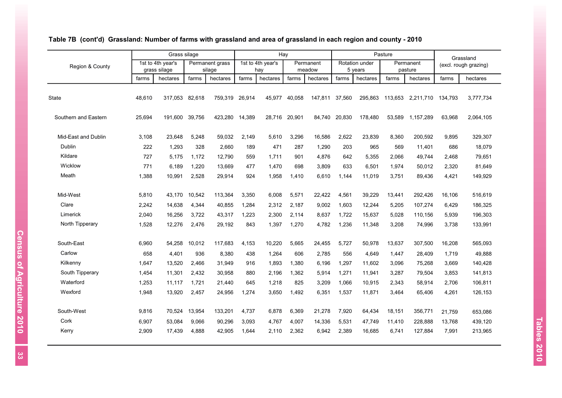|                      |        | Grass silage                      |        |                           |        | Hay                      |        |                     |        |                           | Pasture |                      |         | Grassland             |
|----------------------|--------|-----------------------------------|--------|---------------------------|--------|--------------------------|--------|---------------------|--------|---------------------------|---------|----------------------|---------|-----------------------|
| Region & County      |        | 1st to 4th year's<br>grass silage |        | Permanent grass<br>silage |        | 1st to 4th year's<br>hay |        | Permanent<br>meadow |        | Rotation under<br>5 years |         | Permanent<br>pasture |         | (excl. rough grazing) |
|                      | farms  | hectares                          | farms  | hectares                  | farms  | hectares                 | farms  | hectares            | farms  | hectares                  | farms   | hectares             | farms   | hectares              |
|                      |        |                                   |        |                           |        |                          |        |                     |        |                           |         |                      |         |                       |
| State                | 48.610 | 317.053                           | 82.618 | 759.319                   | 26.914 | 45.977                   | 40.058 | 147.811             | 37.560 | 295.863                   | 113.653 | 2.211.710            | 134.793 | 3,777,734             |
| Southern and Eastern | 25.694 | 191.600 39.756                    |        | 423,280                   | 14,389 | 28.716                   | 20.901 | 84.740              | 20,830 | 178.480                   | 53.589  | 1.157.289            | 63.968  | 2,064,105             |
| Mid-East and Dublin  | 3,108  | 23,648                            | 5,248  | 59,032                    | 2,149  | 5.610                    | 3,296  | 16,586              | 2,622  | 23,839                    | 8,360   | 200,592              | 9,895   | 329,307               |
| Dublin               | 222    | 1,293                             | 328    | 2,660                     | 189    | 471                      | 287    | 1,290               | 203    | 965                       | 569     | 11,401               | 686     | 18,079                |
| Kildare              | 727    | 5,175                             | 1,172  | 12.790                    | 559    | 1.711                    | 901    | 4.876               | 642    | 5,355                     | 2,066   | 49.744               | 2,468   | 79,651                |
| Wicklow              | 771    | 6,189                             | 1,220  | 13,669                    | 477    | 1,470                    | 698    | 3,809               | 633    | 6,501                     | 1,974   | 50,012               | 2,320   | 81,649                |
| Meath                | 1,388  | 10,991                            | 2,528  | 29,914                    | 924    | 1,958                    | 1,410  | 6.610               | 1,144  | 11,019                    | 3,751   | 89,436               | 4,421   | 149,929               |
| Mid-West             | 5,810  | 43,170                            | 10,542 | 113,364                   | 3,350  | 6,008                    | 5,571  | 22,422              | 4,561  | 39,229                    | 13,441  | 292,426              | 16,106  | 516,619               |
| Clare                | 2.242  | 14,638                            | 4,344  | 40,855                    | 1,284  | 2,312                    | 2,187  | 9,002               | 1,603  | 12,244                    | 5,205   | 107,274              | 6,429   | 186,325               |
| Limerick             | 2,040  | 16,256                            | 3,722  | 43,317                    | 1,223  | 2,300                    | 2,114  | 8,637               | 1,722  | 15,637                    | 5,028   | 110,156              | 5,939   | 196,303               |
| North Tipperary      | 1,528  | 12,276                            | 2,476  | 29,192                    | 843    | 1,397                    | 1,270  | 4,782               | 1,236  | 11,348                    | 3,208   | 74,996               | 3,738   | 133,991               |
| South-East           | 6,960  | 54,258                            | 10,012 | 117,683                   | 4,153  | 10,220                   | 5,665  | 24,455              | 5,727  | 50,978                    | 13,637  | 307,500              | 16,208  | 565,093               |
| Carlow               | 658    | 4,401                             | 936    | 8,380                     | 438    | 1,264                    | 606    | 2,785               | 556    | 4,649                     | 1,447   | 28,409               | 1,719   | 49,888                |
| Kilkenny             | 1,647  | 13,520                            | 2,466  | 31,949                    | 916    | 1,893                    | 1.380  | 6,196               | 1,297  | 11,602                    | 3,096   | 75,268               | 3,669   | 140,428               |
| South Tipperary      | 1,454  | 11,301                            | 2,432  | 30,958                    | 880    | 2.196                    | 1.362  | 5,914               | 1,271  | 11,941                    | 3,287   | 79,504               | 3,853   | 141,813               |
| Waterford            | 1,253  | 11,117                            | 1,721  | 21,440                    | 645    | 1,218                    | 825    | 3,209               | 1,066  | 10,915                    | 2,343   | 58,914               | 2,706   | 106,811               |
| Wexford              | 1,948  | 13,920                            | 2,457  | 24,956                    | 1,274  | 3,650                    | 1,492  | 6,351               | 1,537  | 11,871                    | 3,464   | 65,406               | 4,261   | 126,153               |
| South-West           | 9,816  | 70,524                            | 13,954 | 133,201                   | 4,737  | 6,878                    | 6,369  | 21,278              | 7,920  | 64,434                    | 18,151  | 356,771              | 21,759  | 653,086               |
| Cork                 | 6,907  | 53,084                            | 9,066  | 90,296                    | 3,093  | 4,767                    | 4,007  | 14,336              | 5,531  | 47,749                    | 11,410  | 228,888              | 13,768  | 439,120               |
| Kerry                | 2,909  | 17,439                            | 4,888  | 42,905                    | 1,644  | 2.110                    | 2,362  | 6,942               | 2,389  | 16,685                    | 6,741   | 127,884              | 7,991   | 213,965               |

# **Table 7B (cont'd) Grassland: Number of farms with grassland and area of grassland in each region and county - 2010**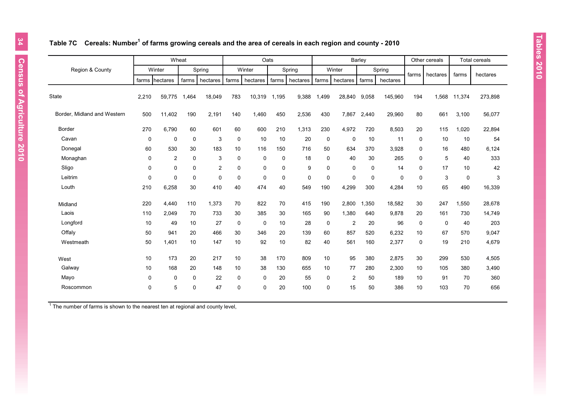## **Table 7C Cereals: Number<sup>1</sup> of farms growing cereals and the area of cereals in each region and county - 2010**

|                             |             |                | Wheat       |                |             |             | Oats  |           |             |                | Barley      |             |             | Other cereals |           | <b>Total cereals</b> |
|-----------------------------|-------------|----------------|-------------|----------------|-------------|-------------|-------|-----------|-------------|----------------|-------------|-------------|-------------|---------------|-----------|----------------------|
| Region & County             |             | Winter         |             | Spring         |             | Winter      |       | Spring    |             | Winter         |             | Spring      | farms       | hectares      | farms     | hectares             |
|                             |             | farms hectares | farms       | hectares       | farms       | hectares    | farms | hectares  | farms       | hectares       | farms       | hectares    |             |               |           |                      |
| <b>State</b>                | 2,210       | 59,775         | 1,464       | 18,049         | 783         | 10,319      | 1,195 | 9,388     | 1,499       | 28,840         | 9,058       | 145,960     | 194         | 1,568         | 11,374    | 273,898              |
| Border, Midland and Western | 500         | 11,402         | 190         | 2,191          | 140         | 1,460       | 450   | 2,536     | 430         | 7,867          | 2,440       | 29,960      | 80          | 661           | 3,100     | 56,077               |
| Border                      | 270         | 6,790          | 60          | 601            | 60          | 600         | 210   | 1,313     | 230         | 4,972          | 720         | 8,503       | 20          | 115           | 1,020     | 22,894               |
| Cavan                       | $\mathbf 0$ | $\pmb{0}$      | $\mathbf 0$ | 3              | $\mathbf 0$ | 10          | 10    | 20        | $\mathbf 0$ | $\mathbf 0$    | 10          | 11          | 0           | 10            | 10        | 54                   |
| Donegal                     | 60          | 530            | 30          | 183            | 10          | 116         | 150   | 716       | 50          | 634            | 370         | 3,928       | 0           | 16            | 480       | 6,124                |
| Monaghan                    | $\mathbf 0$ | $\overline{2}$ | $\mathbf 0$ | 3              | $\mathbf 0$ | 0           | 0     | 18        | 0           | 40             | 30          | 265         | 0           | 5             | 40        | 333                  |
| Sligo                       | 0           | 0              | 0           | $\overline{2}$ | $\mathbf 0$ | 0           | 0     | 9         | 0           | $\mathbf 0$    | $\mathbf 0$ | 14          | $\mathbf 0$ | 17            | 10        | 42                   |
| Leitrim                     | $\mathbf 0$ | $\mathsf 0$    | $\mathbf 0$ | $\mathbf 0$    | $\mathbf 0$ | 0           | 0     | $\pmb{0}$ | 0           | $\mathbf 0$    | 0           | $\mathbf 0$ | $\pmb{0}$   | 3             | $\pmb{0}$ | 3                    |
| Louth                       | 210         | 6,258          | 30          | 410            | 40          | 474         | 40    | 549       | 190         | 4,299          | 300         | 4,284       | 10          | 65            | 490       | 16,339               |
| Midland                     | 220         | 4,440          | 110         | 1,373          | 70          | 822         | 70    | 415       | 190         | 2,800          | 1,350       | 18,582      | 30          | 247           | 1,550     | 28,678               |
| Laois                       | 110         | 2.049          | 70          | 733            | 30          | 385         | 30    | 165       | 90          | 1,380          | 640         | 9,878       | 20          | 161           | 730       | 14,749               |
| Longford                    | 10          | 49             | 10          | 27             | $\mathbf 0$ | $\mathbf 0$ | 10    | 28        | 0           | $\overline{2}$ | 20          | 96          | $\pmb{0}$   | $\mathbf 0$   | 40        | 203                  |
| Offaly                      | 50          | 941            | 20          | 466            | 30          | 346         | 20    | 139       | 60          | 857            | 520         | 6,232       | 10          | 67            | 570       | 9,047                |
| Westmeath                   | 50          | 1,401          | 10          | 147            | 10          | 92          | 10    | 82        | 40          | 561            | 160         | 2,377       | $\mathbf 0$ | 19            | 210       | 4,679                |
| West                        | 10          | 173            | 20          | 217            | 10          | 38          | 170   | 809       | 10          | 95             | 380         | 2,875       | 30          | 299           | 530       | 4,505                |
| Galway                      | 10          | 168            | 20          | 148            | 10          | 38          | 130   | 655       | 10          | 77             | 280         | 2,300       | 10          | 105           | 380       | 3,490                |
| Mayo                        | 0           | 0              | $\mathbf 0$ | 22             | $\mathbf 0$ | 0           | 20    | 55        | 0           | 2              | 50          | 189         | 10          | 91            | 70        | 360                  |
| Roscommon                   | $\mathbf 0$ | 5              | $\mathbf 0$ | 47             | $\Omega$    | $\Omega$    | 20    | 100       | $\Omega$    | 15             | 50          | 386         | 10          | 103           | 70        | 656                  |
|                             |             |                |             |                |             |             |       |           |             |                |             |             |             |               |           |                      |

 $1$  The number of farms is shown to the nearest ten at regional and county level,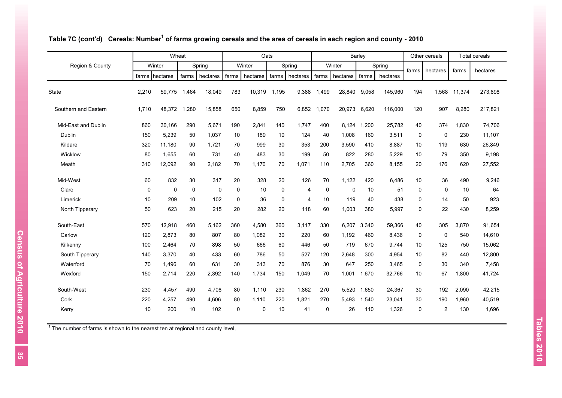|                      |             | Wheat          |             |          |             | Oats     |       |          |             |             | Barley     |          |             | Other cereals    |        | <b>Total cereals</b> |
|----------------------|-------------|----------------|-------------|----------|-------------|----------|-------|----------|-------------|-------------|------------|----------|-------------|------------------|--------|----------------------|
| Region & County      |             | Winter         |             | Spring   |             | Winter   |       | Spring   |             | Winter      |            | Spring   | farms       | hectares         | farms  | hectares             |
|                      |             | farms hectares | farms       | hectares | farms       | hectares | farms | hectares | farms       | hectares    | farms      | hectares |             |                  |        |                      |
| <b>State</b>         | 2,210       | 59,775         | 1,464       | 18,049   | 783         | 10,319   | 1,195 | 9,388    | 1,499       | 28,840      | 9,058      | 145,960  | 194         | 1,568            | 11,374 | 273,898              |
| Southern and Eastern | 1,710       | 48,372         | 1,280       | 15,858   | 650         | 8,859    | 750   | 6,852    | 1.070       | 20.973      | 6,620      | 116,000  | 120         | 907              | 8,280  | 217,821              |
| Mid-East and Dublin  | 860         | 30.166         | 290         | 5,671    | 190         | 2,841    | 140   | 1.747    | 400         | 8.124       | .200<br>-1 | 25,782   | 40          | 374              | 1,830  | 74,706               |
| Dublin               | 150         | 5,239          | 50          | 1,037    | 10          | 189      | 10    | 124      | 40          | 1,008       | 160        | 3,511    | 0           | 0                | 230    | 11,107               |
| Kildare              | 320         | 11,180         | 90          | 1,721    | 70          | 999      | 30    | 353      | 200         | 3,590       | 410        | 8,887    | 10          | 119              | 630    | 26,849               |
| Wicklow              | 80          | 1,655          | 60          | 731      | 40          | 483      | 30    | 199      | 50          | 822         | 280        | 5,229    | 10          | 79               | 350    | 9,198                |
| Meath                | 310         | 12,092         | 90          | 2,182    | 70          | 1,170    | 70    | 1,071    | 110         | 2,705       | 360        | 8,155    | 20          | 176              | 620    | 27,552               |
| Mid-West             | 60          | 832            | 30          | 317      | 20          | 328      | 20    | 126      | 70          | 1,122       | 420        | 6,486    | 10          | 36               | 490    | 9,246                |
| Clare                | $\mathbf 0$ | $\mathbf 0$    | $\mathbf 0$ | $\Omega$ | $\Omega$    | 10       | 0     | 4        | $\mathbf 0$ | $\mathbf 0$ | 10         | 51       | $\mathbf 0$ | $\Omega$         | 10     | 64                   |
| Limerick             | 10          | 209            | 10          | 102      | 0           | 36       | 0     | 4        | 10          | 119         | 40         | 438      | 0           | 14               | 50     | 923                  |
| North Tipperary      | 50          | 623            | 20          | 215      | 20          | 282      | 20    | 118      | 60          | 1,003       | 380        | 5,997    | 0           | 22               | 430    | 8,259                |
| South-East           | 570         | 12,918         | 460         | 5,162    | 360         | 4,580    | 360   | 3,117    | 330         | 6,207       | 3,340      | 59,366   | 40          | 305              | 3,870  | 91,654               |
| Carlow               | 120         | 2,873          | 80          | 807      | 80          | 1,082    | 30    | 220      | 60          | 1,192       | 460        | 8,436    | 0           | $\mathbf 0$      | 540    | 14,610               |
| Kilkenny             | 100         | 2,464          | 70          | 898      | 50          | 666      | 60    | 446      | 50          | 719         | 670        | 9,744    | 10          | 125              | 750    | 15,062               |
| South Tipperary      | 140         | 3,370          | 40          | 433      | 60          | 786      | 50    | 527      | 120         | 2,648       | 300        | 4,954    | 10          | 82               | 440    | 12,800               |
| Waterford            | 70          | 1,496          | 60          | 631      | 30          | 313      | 70    | 876      | 30          | 647         | 250        | 3,465    | $\mathbf 0$ | 30               | 340    | 7,458                |
| Wexford              | 150         | 2,714          | 220         | 2,392    | 140         | 1,734    | 150   | 1,049    | 70          | 1,001       | 1,670      | 32,766   | 10          | 67               | 1,800  | 41,724               |
| South-West           | 230         | 4.457          | 490         | 4,708    | 80          | 1,110    | 230   | 1,862    | 270         | 5.520       | 1,650      | 24,367   | 30          | 192              | 2,090  | 42,215               |
| Cork                 | 220         | 4,257          | 490         | 4,606    | 80          | 1,110    | 220   | 1,821    | 270         | 5,493       | 1,540      | 23,041   | 30          | 190              | 1,960  | 40,519               |
| Kerry                | 10          | 200            | 10          | 102      | $\mathbf 0$ | 0        | 10    | 41       | 0           | 26          | 110        | 1,326    | 0           | $\boldsymbol{2}$ | 130    | 1,696                |

#### **Table 7C (cont'd) Cereals: Number<sup>1</sup> of farms growing cereals and the area of cereals in each region and county - 2010**

 $1$  The number of farms is shown to the nearest ten at regional and county level,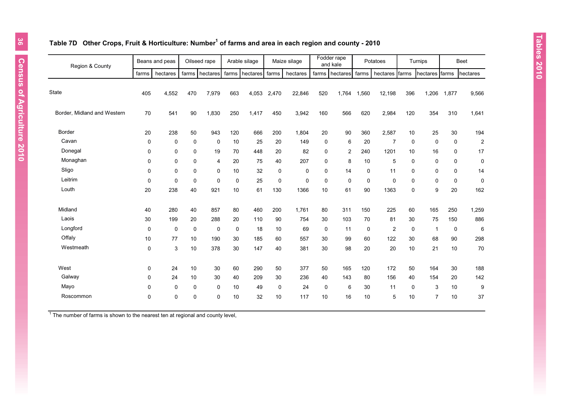#### **Table 7D Other Crops, Fruit & Horticulture: Number<sup>1</sup> of farms and area in each region and county - 2010**

| Region & County             |       | Beans and peas |             | Oilseed rape   |       | Arable silage |             | Maize silage |             | Fodder rape<br>and kale |             | Potatoes       |             | Turnips          |             | <b>Beet</b>             |
|-----------------------------|-------|----------------|-------------|----------------|-------|---------------|-------------|--------------|-------------|-------------------------|-------------|----------------|-------------|------------------|-------------|-------------------------|
|                             | farms | hectares       | farms       | hectares       | farms | hectares      | farms       | hectares     |             | farms hectares          | farms       | hectares       | farms       | hectares farms   |             | hectares                |
| <b>State</b>                | 405   | 4,552          | 470         | 7,979          | 663   | 4,053         | 2,470       | 22,846       | 520         | 1,764                   | 1,560       | 12,198         | 396         | 1,206            | 1,877       | 9,566                   |
| Border, Midland and Western | 70    | 541            | 90          | 1,830          | 250   | 1,417         | 450         | 3,942        | 160         | 566                     | 620         | 2,984          | 120         | 354              | 310         | 1,641                   |
| <b>Border</b>               | 20    | 238            | 50          | 943            | 120   | 666           | 200         | 1,804        | 20          | 90                      | 360         | 2,587          | 10          | 25               | 30          | 194                     |
| Cavan                       | 0     | 0              | $\mathbf 0$ | 0              | 10    | 25            | 20          | 149          | 0           | 6                       | 20          | $\overline{7}$ | 0           | 0                | 0           | $\overline{\mathbf{c}}$ |
| Donegal                     | 0     | $\mathbf 0$    | 0           | 19             | 70    | 448           | 20          | 82           | 0           | 2                       | 240         | 1201           | 10          | 16               | 0           | 17                      |
| Monaghan                    | 0     | $\mathbf 0$    | 0           | $\overline{4}$ | 20    | 75            | 40          | 207          | 0           | 8                       | 10          | 5              | $\mathbf 0$ | $\pmb{0}$        | 0           | 0                       |
| Sligo                       | 0     | 0              | $\mathbf 0$ | $\mathbf 0$    | 10    | 32            | $\mathbf 0$ | 0            | 0           | 14                      | 0           | 11             | 0           | 0                | 0           | 14                      |
| Leitrim                     | 0     | $\Omega$       | 0           | $\mathbf 0$    | 0     | 25            | 0           | 0            | $\Omega$    | $\Omega$                | $\mathbf 0$ | $\mathbf 0$    | $\mathbf 0$ | 0                | $\mathbf 0$ | 0                       |
| Louth                       | 20    | 238            | 40          | 921            | 10    | 61            | 130         | 1366         | 10          | 61                      | 90          | 1363           | 0           | $\boldsymbol{9}$ | 20          | 162                     |
| Midland                     | 40    | 280            | 40          | 857            | 80    | 460           | 200         | 1,761        | 80          | 311                     | 150         | 225            | 60          | 165              | 250         | 1,259                   |
| Laois                       | 30    | 199            | 20          | 288            | 20    | 110           | 90          | 754          | 30          | 103                     | 70          | 81             | 30          | 75               | 150         | 886                     |
| Longford                    | 0     | 0              | 0           | 0              | 0     | 18            | 10          | 69           | 0           | 11                      | 0           | $\overline{2}$ | 0           | $\overline{1}$   | 0           | 6                       |
| Offaly                      | 10    | 77             | 10          | 190            | 30    | 185           | 60          | 557          | 30          | 99                      | 60          | 122            | 30          | 68               | 90          | 298                     |
| Westmeath                   | 0     | 3              | 10          | 378            | 30    | 147           | 40          | 381          | 30          | 98                      | 20          | 20             | 10          | 21               | 10          | 70                      |
| West                        | 0     | 24             | 10          | 30             | 60    | 290           | 50          | 377          | 50          | 165                     | 120         | 172            | 50          | 164              | 30          | 188                     |
| Galway                      | 0     | 24             | 10          | 30             | 40    | 209           | 30          | 236          | 40          | 143                     | 80          | 156            | 40          | 154              | 20          | 142                     |
| Mayo                        | 0     | $\mathbf 0$    | 0           | $\mathbf 0$    | 10    | 49            | 0           | 24           | $\mathbf 0$ | 6                       | 30          | 11             | 0           | 3                | 10          | 9                       |
| Roscommon                   | 0     | $\mathbf{0}$   | $\Omega$    | $\mathbf 0$    | 10    | 32            | 10          | 117          | 10          | 16                      | 10          | 5              | 10          | $\overline{7}$   | 10          | 37                      |
|                             |       |                |             |                |       |               |             |              |             |                         |             |                |             |                  |             |                         |

 $1$  The number of farms is shown to the nearest ten at regional and county level,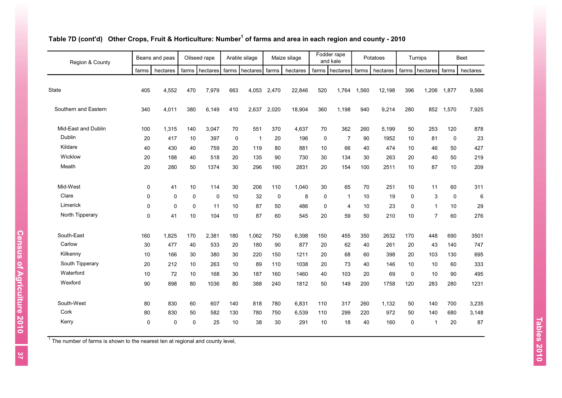| Region & County      |             | Beans and peas |             | Oilseed rape |     | Arable silage    |             | Maize silage |             | Fodder rape<br>and kale |       | Potatoes |                 | Turnips        |             | <b>Beet</b> |
|----------------------|-------------|----------------|-------------|--------------|-----|------------------|-------------|--------------|-------------|-------------------------|-------|----------|-----------------|----------------|-------------|-------------|
|                      | farms       | hectares       | farms       | hectares     |     | farms   hectares | farms       | hectares     | farms       | hectares                | farms | hectares |                 | farms hectares | farms       | hectares    |
| State                | 405         | 4,552          | 470         | 7,979        | 663 | 4,053            | 2,470       | 22,846       | 520         | 1,764                   | 1,560 | 12,198   | 396             | 1,206          | 1,877       | 9,566       |
| Southern and Eastern | 340         | 4,011          | 380         | 6,149        | 410 | 2,637            | 2,020       | 18,904       | 360         | 1,198                   | 940   | 9,214    | 280             | 852            | 1,570       | 7,925       |
| Mid-East and Dublin  | 100         | 1,315          | 140         | 3,047        | 70  | 551              | 370         | 4,637        | 70          | 362                     | 260   | 5,199    | 50              | 253            | 120         | 878         |
| Dublin               | 20          | 417            | 10          | 397          | 0   | $\overline{1}$   | 20          | 196          | $\mathbf 0$ | $\overline{7}$          | 90    | 1952     | 10              | 81             | $\mathbf 0$ | 23          |
| Kildare              | 40          | 430            | 40          | 759          | 20  | 119              | 80          | 881          | 10          | 66                      | 40    | 474      | 10              | 46             | 50          | 427         |
| Wicklow              | 20          | 188            | 40          | 518          | 20  | 135              | 90          | 730          | 30          | 134                     | 30    | 263      | 20              | 40             | 50          | 219         |
| Meath                | 20          | 280            | 50          | 1374         | 30  | 296              | 190         | 2831         | 20          | 154                     | 100   | 2511     | 10              | 87             | 10          | 209         |
| Mid-West             | $\mathbf 0$ | 41             | 10          | 114          | 30  | 206              | 110         | 1,040        | 30          | 65                      | 70    | 251      | 10 <sup>1</sup> | 11             | 60          | 311         |
| Clare                | 0           | 0              | $\mathbf 0$ | 0            | 10  | 32               | $\mathbf 0$ | 8            | $\mathbf 0$ | $\mathbf{1}$            | 10    | 19       | $\mathbf 0$     | 3              | $\mathbf 0$ | 6           |
| Limerick             | 0           | 0              | $\mathbf 0$ | 11           | 10  | 87               | 50          | 486          | 0           | 4                       | 10    | 23       | $\pmb{0}$       | $\mathbf{1}$   | 10          | 29          |
| North Tipperary      | 0           | 41             | 10          | 104          | 10  | 87               | 60          | 545          | 20          | 59                      | 50    | 210      | 10              | $\overline{7}$ | 60          | 276         |
| South-East           | 160         | 1,825          | 170         | 2,381        | 180 | 1,062            | 750         | 6,398        | 150         | 455                     | 350   | 2632     | 170             | 448            | 690         | 3501        |
| Carlow               | 30          | 477            | 40          | 533          | 20  | 180              | 90          | 877          | 20          | 62                      | 40    | 261      | 20              | 43             | 140         | 747         |
| Kilkenny             | 10          | 166            | 30          | 380          | 30  | 220              | 150         | 1211         | 20          | 68                      | 60    | 398      | 20              | 103            | 130         | 695         |
| South Tipperary      | 20          | 212            | 10          | 263          | 10  | 89               | 110         | 1038         | 20          | 73                      | 40    | 146      | 10              | 10             | 60          | 333         |
| Waterford            | 10          | 72             | 10          | 168          | 30  | 187              | 160         | 1460         | 40          | 103                     | 20    | 69       | 0               | 10             | 90          | 495         |
| Wexford              | 90          | 898            | 80          | 1036         | 80  | 388              | 240         | 1812         | 50          | 149                     | 200   | 1758     | 120             | 283            | 280         | 1231        |
| South-West           | 80          | 830            | 60          | 607          | 140 | 818              | 780         | 6,831        | 110         | 317                     | 260   | 1,132    | 50              | 140            | 700         | 3,235       |
| Cork                 | 80          | 830            | 50          | 582          | 130 | 780              | 750         | 6,539        | 110         | 299                     | 220   | 972      | 50              | 140            | 680         | 3,148       |
| Kerry                | 0           | 0              | $\mathbf 0$ | 25           | 10  | 38               | 30          | 291          | 10          | 18                      | 40    | 160      | $\pmb{0}$       | $\mathbf{1}$   | 20          | 87          |

#### **Table 7D (cont'd) Other Crops, Fruit & Horticulture: Number<sup>1</sup> of farms and area in each region and county - 2010**

 $1$  The number of farms is shown to the nearest ten at regional and county level,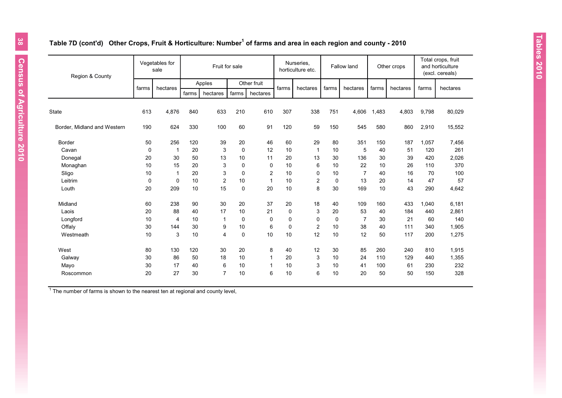#### **Table 7D (cont'd) Other Crops, Fruit & Horticulture: Number<sup>1</sup> of farms and area in each region and county - 2010**

| Region & County             |             | Vegetables for<br>sale |       | Fruit for sale |             |                |             | Nurseries.<br>horticulture etc. |             | Fallow land    |       | Other crops |       | Total crops, fruit<br>and horticulture<br>(excl. cereals) |
|-----------------------------|-------------|------------------------|-------|----------------|-------------|----------------|-------------|---------------------------------|-------------|----------------|-------|-------------|-------|-----------------------------------------------------------|
|                             |             |                        |       | Apples         |             | Other fruit    |             |                                 |             |                |       |             |       |                                                           |
|                             | farms       | hectares               | farms | hectares       | farms       | hectares       | farms       | hectares                        | farms       | hectares       | farms | hectares    | farms | hectares                                                  |
|                             |             |                        |       |                |             |                |             |                                 |             |                |       |             |       |                                                           |
| State                       | 613         | 4,876                  | 840   | 633            | 210         | 610            | 307         | 338                             | 751         | 4,606          | 1,483 | 4,803       | 9,798 | 80,029                                                    |
| Border, Midland and Western | 190         | 624                    | 330   | 100            | 60          | 91             | 120         | 59                              | 150         | 545            | 580   | 860         | 2,910 | 15,552                                                    |
| <b>Border</b>               | 50          | 256                    | 120   | 39             | 20          | 46             | 60          | 29                              | 80          | 351            | 150   | 187         | 1,057 | 7,456                                                     |
| Cavan                       | $\mathbf 0$ | -1                     | 20    | 3              | 0           | 12             | 10          | $\mathbf{1}$                    | 10          | 5              | 40    | 51          | 120   | 261                                                       |
| Donegal                     | 20          | 30                     | 50    | 13             | 10          | 11             | 20          | 13                              | 30          | 136            | 30    | 39          | 420   | 2,026                                                     |
| Monaghan                    | 10          | 15                     | 20    | 3              | 0           | 0              | 10          | 6                               | 10          | 22             | 10    | 26          | 110   | 370                                                       |
| Sligo                       | 10          | $\mathbf{1}$           | 20    | 3              | 0           | $\overline{c}$ | 10          | $\mathbf 0$                     | 10          | $\overline{7}$ | 40    | 16          | 70    | 100                                                       |
| Leitrim                     | $\mathbf 0$ | $\mathbf 0$            | 10    | $\overline{c}$ | 10          | $\mathbf{1}$   | 10          | 2                               | $\mathbf 0$ | 13             | 20    | 14          | 47    | 57                                                        |
| Louth                       | 20          | 209                    | 10    | 15             | $\pmb{0}$   | 20             | 10          | 8                               | 30          | 169            | 10    | 43          | 290   | 4,642                                                     |
| Midland                     | 60          | 238                    | 90    | 30             | 20          | 37             | 20          | 18                              | 40          | 109            | 160   | 433         | 1,040 | 6,181                                                     |
| Laois                       | 20          | 88                     | 40    | 17             | 10          | 21             | $\mathbf 0$ | 3                               | 20          | 53             | 40    | 184         | 440   | 2,861                                                     |
| Longford                    | 10          | 4                      | 10    | 1              | $\mathbf 0$ | 0              | $\mathbf 0$ | 0                               | $\mathbf 0$ | $\overline{7}$ | 30    | 21          | 60    | 140                                                       |
| Offaly                      | 30          | 144                    | 30    | 9              | 10          | 6              | $\mathbf 0$ | $\overline{2}$                  | 10          | 38             | 40    | 111         | 340   | 1,905                                                     |
| Westmeath                   | 10          | 3                      | 10    | 4              | 0           | 10             | 10          | 12                              | 10          | 12             | 50    | 117         | 200   | 1,275                                                     |
| West                        | 80          | 130                    | 120   | 30             | 20          | 8              | 40          | 12                              | 30          | 85             | 260   | 240         | 810   | 1,915                                                     |
| Galway                      | 30          | 86                     | 50    | 18             | 10          | 1              | 20          | 3                               | 10          | 24             | 110   | 129         | 440   | 1,355                                                     |
| Mayo                        | 30          | 17                     | 40    | 6              | 10          | 1              | 10          | 3                               | 10          | 41             | 100   | 61          | 230   | 232                                                       |
| Roscommon                   | 20          | 27                     | 30    | $\overline{7}$ | 10          | 6              | 10          | 6                               | 10          | 20             | 50    | 50          | 150   | 328                                                       |

 $1$  The number of farms is shown to the nearest ten at regional and county level,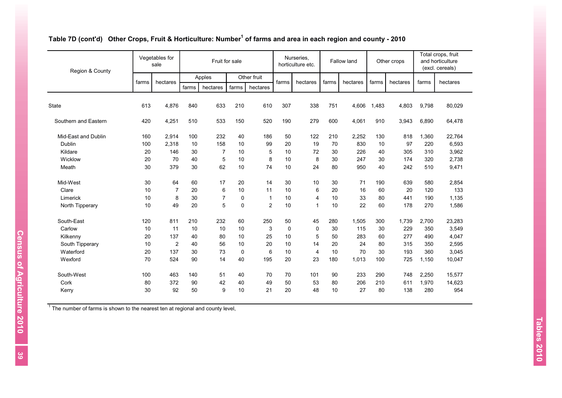| Region & County      |       | Vegetables for<br>sale |       | Fruit for sale |             |              |             | Nurseries,<br>horticulture etc. |       | Fallow land |       | Other crops |       | Total crops, fruit<br>and horticulture<br>(excl. cereals) |
|----------------------|-------|------------------------|-------|----------------|-------------|--------------|-------------|---------------------------------|-------|-------------|-------|-------------|-------|-----------------------------------------------------------|
|                      |       |                        |       | Apples         |             | Other fruit  |             |                                 |       |             |       |             |       |                                                           |
|                      | farms | hectares               | farms | hectares       | farms       | hectares     | farms       | hectares                        | farms | hectares    | farms | hectares    | farms | hectares                                                  |
| <b>State</b>         | 613   | 4,876                  | 840   | 633            | 210         | 610          | 307         | 338                             | 751   | 4.606       | 1,483 | 4,803       | 9,798 | 80,029                                                    |
| Southern and Eastern | 420   | 4,251                  | 510   | 533            | 150         | 520          | 190         | 279                             | 600   | 4,061       | 910   | 3,943       | 6,890 | 64,478                                                    |
| Mid-East and Dublin  | 160   | 2.914                  | 100   | 232            | 40          | 186          | 50          | 122                             | 210   | 2,252       | 130   | 818         | 1,360 | 22,764                                                    |
| Dublin               | 100   | 2.318                  | 10    | 158            | 10          | 99           | 20          | 19                              | 70    | 830         | 10    | 97          | 220   | 6,593                                                     |
| Kildare              | 20    | 146                    | 30    | $\overline{7}$ | 10          | 5            | 10          | 72                              | 30    | 226         | 40    | 305         | 310   | 3,962                                                     |
| Wicklow              | 20    | 70                     | 40    | 5              | 10          | 8            | 10          | 8                               | 30    | 247         | 30    | 174         | 320   | 2,738                                                     |
| Meath                | 30    | 379                    | 30    | 62             | 10          | 74           | 10          | 24                              | 80    | 950         | 40    | 242         | 510   | 9,471                                                     |
| Mid-West             | 30    | 64                     | 60    | 17             | 20          | 14           | 30          | 10                              | 30    | 71          | 190   | 639         | 580   | 2,854                                                     |
| Clare                | 10    | $\overline{7}$         | 20    | 6              | 10          | 11           | 10          | 6                               | 20    | 16          | 60    | 20          | 120   | 133                                                       |
| Limerick             | 10    | 8                      | 30    | $\overline{7}$ | $\pmb{0}$   | $\mathbf{1}$ | 10          | 4                               | 10    | 33          | 80    | 441         | 190   | 1,135                                                     |
| North Tipperary      | 10    | 49                     | 20    | 5              | $\mathbf 0$ | 2            | 10          | 1                               | 10    | 22          | 60    | 178         | 270   | 1,586                                                     |
| South-East           | 120   | 811                    | 210   | 232            | 60          | 250          | 50          | 45                              | 280   | 1,505       | 300   | 1,739       | 2,700 | 23,283                                                    |
| Carlow               | 10    | 11                     | 10    | 10             | 10          | 3            | $\mathbf 0$ | 0                               | 30    | 115         | 30    | 229         | 350   | 3,549                                                     |
| Kilkenny             | 20    | 137                    | 40    | 80             | 10          | 25           | 10          | 5                               | 50    | 283         | 60    | 277         | 490   | 4,047                                                     |
| South Tipperary      | 10    | 2                      | 40    | 56             | 10          | 20           | 10          | 14                              | 20    | 24          | 80    | 315         | 350   | 2,595                                                     |
| Waterford            | 20    | 137                    | 30    | 73             | $\mathbf 0$ | 6            | 10          | 4                               | 10    | 70          | 30    | 193         | 360   | 3,045                                                     |
| Wexford              | 70    | 524                    | 90    | 14             | 40          | 195          | 20          | 23                              | 180   | 1,013       | 100   | 725         | 1,150 | 10,047                                                    |
| South-West           | 100   | 463                    | 140   | 51             | 40          | 70           | 70          | 101                             | 90    | 233         | 290   | 748         | 2,250 | 15,577                                                    |
| Cork                 | 80    | 372                    | 90    | 42             | 40          | 49           | 50          | 53                              | 80    | 206         | 210   | 611         | 1,970 | 14,623                                                    |
| Kerry                | 30    | 92                     | 50    | 9              | 10          | 21           | 20          | 48                              | 10    | 27          | 80    | 138         | 280   | 954                                                       |

#### **Table 7D (cont'd) Other Crops, Fruit & Horticulture: Number<sup>1</sup> of farms and area in each region and county - 2010**

 $1$  The number of farms is shown to the nearest ten at regional and county level,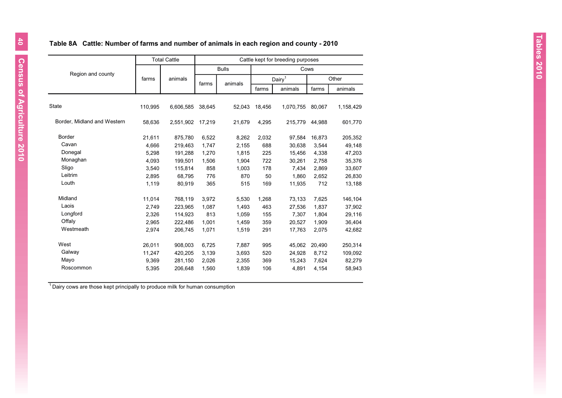# **Table 8A Cattle: Number of farms and number of animals in each region and county - 2010**

|                             |         | <b>Total Cattle</b> |        |              |        | Cattle kept for breeding purposes |        |           |
|-----------------------------|---------|---------------------|--------|--------------|--------|-----------------------------------|--------|-----------|
|                             |         |                     |        | <b>Bulls</b> |        | Cows                              |        |           |
| Region and county           | farms   | animals             | farms  | animals      |        | Dairy <sup>1</sup>                |        | Other     |
|                             |         |                     |        |              | farms  | animals                           | farms  | animals   |
| <b>State</b>                | 110,995 | 6,606,585           | 38,645 | 52,043       | 18,456 | 1,070,755                         | 80,067 | 1,158,429 |
| Border, Midland and Western | 58,636  | 2,551,902           | 17,219 | 21,679       | 4,295  | 215,779                           | 44,988 | 601,770   |
| <b>Border</b>               | 21,611  | 875,780             | 6,522  | 8,262        | 2,032  | 97,584                            | 16,873 | 205,352   |
| Cavan                       | 4,666   | 219,463             | 1,747  | 2.155        | 688    | 30,638                            | 3.544  | 49,148    |
| Donegal                     | 5,298   | 191,288             | 1,270  | 1,815        | 225    | 15,456                            | 4,338  | 47,203    |
| Monaghan                    | 4,093   | 199,501             | 1,506  | 1,904        | 722    | 30,261                            | 2,758  | 35,376    |
| Sligo                       | 3,540   | 115,814             | 858    | 1,003        | 178    | 7,434                             | 2,869  | 33,607    |
| Leitrim                     | 2.895   | 68.795              | 776    | 870          | 50     | 1.860                             | 2,652  | 26,830    |
| Louth                       | 1,119   | 80,919              | 365    | 515          | 169    | 11,935                            | 712    | 13,188    |
| Midland                     | 11.014  | 768,119             | 3.972  | 5.530        | 1,268  | 73,133                            | 7.625  | 146,104   |
| Laois                       | 2,749   | 223,965             | 1,087  | 1,493        | 463    | 27,536                            | 1,837  | 37,902    |
| Longford                    | 2,326   | 114,923             | 813    | 1,059        | 155    | 7,307                             | 1,804  | 29,116    |
| Offaly                      | 2,965   | 222,486             | 1,001  | 1,459        | 359    | 20,527                            | 1,909  | 36,404    |
| Westmeath                   | 2,974   | 206,745             | 1.071  | 1,519        | 291    | 17,763                            | 2,075  | 42,682    |
| West                        | 26,011  | 908.003             | 6,725  | 7,887        | 995    | 45.062                            | 20,490 | 250,314   |
| Galway                      | 11,247  | 420,205             | 3,139  | 3,693        | 520    | 24,928                            | 8,712  | 109,092   |
| Mayo                        | 9,369   | 281,150             | 2,026  | 2,355        | 369    | 15,243                            | 7,624  | 82,279    |
| Roscommon                   | 5,395   | 206,648             | 1,560  | 1,839        | 106    | 4,891                             | 4,154  | 58,943    |

 $1$ Dairy cows are those kept principally to produce milk for human consumption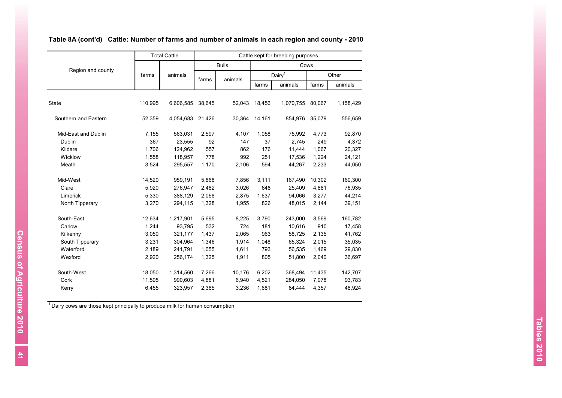|                      |         | <b>Total Cattle</b> |        |              |        | Cattle kept for breeding purposes |        |           |
|----------------------|---------|---------------------|--------|--------------|--------|-----------------------------------|--------|-----------|
|                      |         |                     |        | <b>Bulls</b> |        | Cows                              |        |           |
| Region and county    | farms   | animals             | farms  | animals      |        | Dairy <sup>1</sup>                |        | Other     |
|                      |         |                     |        |              | farms  | animals                           | farms  | animals   |
| <b>State</b>         | 110,995 | 6,606,585           | 38,645 | 52,043       | 18,456 | 1,070,755                         | 80,067 | 1,158,429 |
| Southern and Eastern | 52,359  | 4,054,683           | 21,426 | 30,364       | 14,161 | 854,976                           | 35,079 | 556,659   |
| Mid-East and Dublin  | 7,155   | 563,031             | 2,597  | 4,107        | 1,058  | 75,992                            | 4,773  | 92,870    |
| Dublin               | 367     | 23,555              | 92     | 147          | 37     | 2.745                             | 249    | 4,372     |
| Kildare              | 1,706   | 124,962             | 557    | 862          | 176    | 11,444                            | 1,067  | 20,327    |
| Wicklow              | 1,558   | 118,957             | 778    | 992          | 251    | 17,536                            | 1,224  | 24,121    |
| Meath                | 3,524   | 295,557             | 1,170  | 2,106        | 594    | 44,267                            | 2,233  | 44,050    |
| Mid-West             | 14,520  | 959,191             | 5,868  | 7,856        | 3,111  | 167,490                           | 10,302 | 160,300   |
| Clare                | 5,920   | 276,947             | 2,482  | 3,026        | 648    | 25,409                            | 4,881  | 76,935    |
| Limerick             | 5,330   | 388,129             | 2,058  | 2,875        | 1,637  | 94,066                            | 3,277  | 44,214    |
| North Tipperary      | 3,270   | 294,115             | 1,328  | 1,955        | 826    | 48,015                            | 2,144  | 39,151    |
| South-East           | 12,634  | 1,217,901           | 5,695  | 8,225        | 3,790  | 243,000                           | 8,569  | 160,782   |
| Carlow               | 1,244   | 93,795              | 532    | 724          | 181    | 10,616                            | 910    | 17,458    |
| Kilkenny             | 3,050   | 321,177             | 1,437  | 2,065        | 963    | 58,725                            | 2,135  | 41,762    |
| South Tipperary      | 3,231   | 304,964             | 1,346  | 1,914        | 1,048  | 65,324                            | 2,015  | 35,035    |
| Waterford            | 2,189   | 241,791             | 1,055  | 1,611        | 793    | 56,535                            | 1,469  | 29,830    |
| Wexford              | 2,920   | 256,174             | 1,325  | 1,911        | 805    | 51,800                            | 2,040  | 36,697    |
| South-West           | 18,050  | 1,314,560           | 7,266  | 10,176       | 6,202  | 368,494                           | 11,435 | 142,707   |
| Cork                 | 11,595  | 990,603             | 4,881  | 6,940        | 4,521  | 284,050                           | 7,078  | 93,783    |
| Kerry                | 6,455   | 323,957             | 2,385  | 3,236        | 1,681  | 84,444                            | 4,357  | 48,924    |

# **Table 8A (cont'd) Cattle: Number of farms and number of animals in each region and county - 2010**

<sup>1</sup> Dairy cows are those kept principally to produce milk for human consumption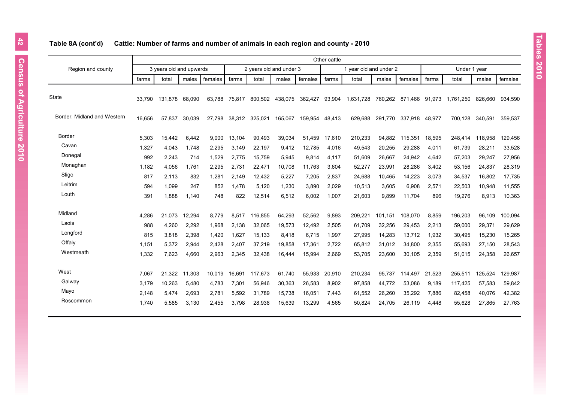# farms | total | males | females | farms | total | males | females | farms | total | males | females | farms | total | males | females State 33,790 131,878 68,090 63,788 75,817 800,502 438,075 362,427 93,904 1,631,728 760,262 871,466 91,973 1,761,250 826,660 934,590 Border, Midland and Western 16,656 57,837 30,039 27,798 38,312 325,021 165,067 159,954 48,413 629,688 291,770 337,918 48,977 700,128 340,591 359,537 Border 5,303 15,442 6,442 9,000 13,104 90,493 39,034 51,459 17,610 210,233 94,882 115,351 18,595 248,414 118,958 129,456 Cavan 1,327 4,043 1,748 2,295 3,149 22,197 9,412 12,785 4,016 49,543 20,255 29,288 4,011 61,739 28,211 33,528 Donegal 992 2,243 714 1,529 2,775 15,759 5,945 9,814 4,117 51,609 26,667 24,942 4,642 57,203 29,247 27,956 Monaghan 1,182 4,056 1,761 2,295 2,731 22,471 10,708 11,763 3,604 52,277 23,991 28,286 3,402 53,156 24,837 28,319 Sligo 817 2,113 832 1,281 2,149 12,432 5,227 7,205 2,837 24,688 10,465 14,223 3,073 34,537 16,802 17,735 Leitrim 594 1,099 247 852 1,478 5,120 1,230 3,890 2,029 10,513 3,605 6,908 2,571 22,503 10,948 11,555 Louth 391 1,888 1,140 748 822 12,514 6,512 6,002 1,007 21,603 9,899 11,704 896 19,276 8,913 10,363 Midland 4,286 21,073 12,294 8,779 8,517 116,855 64,293 52,562 9,893 209,221 101,151 108,070 8,859 196,203 96,109 100,094 Laois 988 4,260 2,292 1,968 2,138 32,065 19,573 12,492 2,505 61,709 32,256 29,453 2,213 59,000 29,371 29,629 Longford 815 3,818 2,398 1,420 1,627 15,133 8,418 6,715 1,997 27,995 14,283 13,712 1,932 30,495 15,230 15,265 Offaly 1,151 5,372 2,944 2,428 2,407 37,219 19,858 17,361 2,722 65,812 31,012 34,800 2,355 55,693 27,150 28,543 Westmeath 1,332 7,623 4,660 2,963 2,345 32,438 16,444 15,994 2,669 53,705 23,600 30,105 2,359 51,015 24,358 26,657 West 7,067 21,322 11,303 10,019 16,691 117,673 61,740 55,933 20,910 210,234 95,737 114,497 21,523 255,511 125,524 129,987 Galway 3,179 10,263 5,480 4,783 7,301 56,946 30,363 26,583 8,902 97,858 44,772 53,086 9,189 117,425 57,583 59,842 Mayo 2,148 5,474 2,693 2,781 5,592 31,789 15,738 16,051 7,443 61,552 26,260 35,292 7,886 82,458 40,076 42,382 Roscommon 1,740 5,585 3,130 2,455 3,798 28,938 15,639 13,299 4,565 50,824 24,705 26,119 4,448 55,628 27,865 27,763 Region and county Other cattle 3 years old and upwards  $\begin{array}{ccc} 2 \text{ years} \\ 2 \text{ years} \end{array}$  2 years old and under 3 1 year old and under 2 Under 1 year

#### **Table 8A (cont'd) Cattle: Number of farms and number of animals in each region and county - 2010**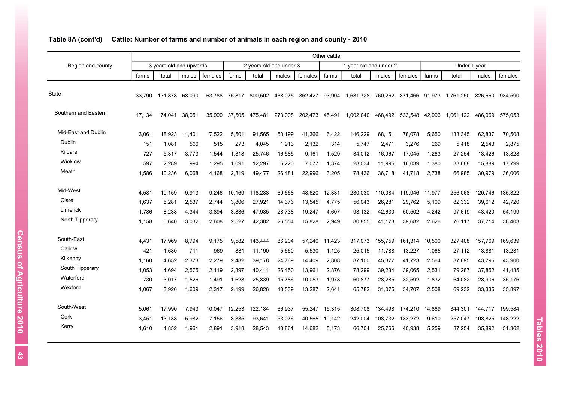|                      |        |                         |        |         |        |         |                         |         | Other cattle |                        |         |                        |        |              |         |         |
|----------------------|--------|-------------------------|--------|---------|--------|---------|-------------------------|---------|--------------|------------------------|---------|------------------------|--------|--------------|---------|---------|
| Region and county    |        | 3 years old and upwards |        |         |        |         | 2 years old and under 3 |         |              | 1 year old and under 2 |         |                        |        | Under 1 year |         |         |
|                      | farms  | total                   | males  | females | farms  | total   | males                   | females | farms        | total                  | males   | females                | farms  | total        | males   | females |
| <b>State</b>         | 33.790 | 131.878 68.090          |        | 63.788  | 75.817 |         | 800,502 438,075         | 362,427 | 93,904       | 1,631,728              |         | 760,262 871,466 91,973 |        | 1.761.250    | 826.660 | 934.590 |
| Southern and Eastern | 17.134 | 74.041                  | 38.051 | 35.990  | 37.505 | 475.481 | 273.008                 | 202.473 | 45,491       | 1.002.040              | 468.492 | 533.548                | 42.996 | 1.061.122    | 486,069 | 575.053 |
| Mid-East and Dublin  | 3,061  | 18,923                  | 11,401 | 7,522   | 5,501  | 91,565  | 50,199                  | 41,366  | 6,422        | 146,229                | 68,151  | 78,078                 | 5,650  | 133,345      | 62,837  | 70,508  |
| Dublin               | 151    | 1.081                   | 566    | 515     | 273    | 4.045   | 1,913                   | 2.132   | 314          | 5.747                  | 2,471   | 3,276                  | 269    | 5,418        | 2,543   | 2,875   |
| Kildare              | 727    | 5,317                   | 3,773  | 1,544   | 1,318  | 25,746  | 16,585                  | 9,161   | 1,529        | 34,012                 | 16,967  | 17,045                 | 1,263  | 27,254       | 13,426  | 13,828  |
| Wicklow              | 597    | 2.289                   | 994    | 1,295   | 1,091  | 12,297  | 5,220                   | 7,077   | 1,374        | 28,034                 | 11,995  | 16,039                 | 1,380  | 33,688       | 15,889  | 17,799  |
| Meath                | 1,586  | 10,236                  | 6,068  | 4,168   | 2,819  | 49,477  | 26,481                  | 22,996  | 3,205        | 78,436                 | 36,718  | 41,718                 | 2,738  | 66,985       | 30,979  | 36,006  |
| Mid-West             | 4,581  | 19.159                  | 9,913  | 9,246   | 10.169 | 118,288 | 69,668                  | 48.620  | 12,331       | 230,030                | 110.084 | 119,946                | 11,977 | 256,068      | 120,746 | 135,322 |
| Clare                | 1,637  | 5,281                   | 2,537  | 2,744   | 3,806  | 27,921  | 14,376                  | 13,545  | 4,775        | 56,043                 | 26,281  | 29,762                 | 5,109  | 82,332       | 39,612  | 42,720  |
| Limerick             | 1,786  | 8.238                   | 4,344  | 3,894   | 3,836  | 47,985  | 28,738                  | 19,247  | 4,607        | 93,132                 | 42,630  | 50,502                 | 4,242  | 97,619       | 43,420  | 54,199  |
| North Tipperary      | 1.158  | 5.640                   | 3.032  | 2.608   | 2.527  | 42.382  | 26.554                  | 15.828  | 2.949        | 80.855                 | 41.173  | 39.682                 | 2.626  | 76.117       | 37.714  | 38,403  |
| South-East           | 4,431  | 17.969                  | 8,794  | 9,175   | 9,582  | 143.444 | 86,204                  | 57.240  | 11,423       | 317.073                | 155,759 | 161,314                | 10,500 | 327.408      | 157.769 | 169,639 |
| Carlow               | 421    | 1,680                   | 711    | 969     | 881    | 11,190  | 5,660                   | 5,530   | 1,125        | 25,015                 | 11,788  | 13,227                 | 1,065  | 27,112       | 13,881  | 13,231  |
| Kilkenny             | 1,160  | 4,652                   | 2,373  | 2,279   | 2,482  | 39,178  | 24,769                  | 14,409  | 2,808        | 87,100                 | 45,377  | 41,723                 | 2,564  | 87,695       | 43,795  | 43,900  |
| South Tipperary      | 1,053  | 4.694                   | 2,575  | 2,119   | 2,397  | 40,411  | 26,450                  | 13,961  | 2,876        | 78,299                 | 39,234  | 39,065                 | 2,531  | 79,287       | 37,852  | 41,435  |
| Waterford            | 730    | 3,017                   | 1,526  | 1,491   | 1,623  | 25,839  | 15,786                  | 10,053  | 1,973        | 60,877                 | 28,285  | 32,592                 | 1,832  | 64,082       | 28,906  | 35,176  |
| Wexford              | 1,067  | 3,926                   | 1,609  | 2,317   | 2,199  | 26,826  | 13,539                  | 13,287  | 2,641        | 65,782                 | 31,075  | 34,707                 | 2,508  | 69,232       | 33,335  | 35,897  |
| South-West           | 5,061  | 17,990                  | 7,943  | 10,047  | 12,253 | 122,184 | 66,937                  | 55,247  | 15,315       | 308,708                | 134.498 | 174,210                | 14,869 | 344,301      | 144.717 | 199,584 |
| Cork                 | 3,451  | 13,138                  | 5,982  | 7,156   | 8,335  | 93,641  | 53,076                  | 40,565  | 10,142       | 242,004                | 108,732 | 133,272                | 9,610  | 257,047      | 108,825 | 148,222 |
| Kerry                | 1,610  | 4,852                   | 1,961  | 2,891   | 3,918  | 28,543  | 13,861                  | 14,682  | 5,173        | 66,704                 | 25,766  | 40,938                 | 5,259  | 87,254       | 35,892  | 51,362  |

# **Table 8A (cont'd) Cattle: Number of farms and number of animals in each region and county - 2010**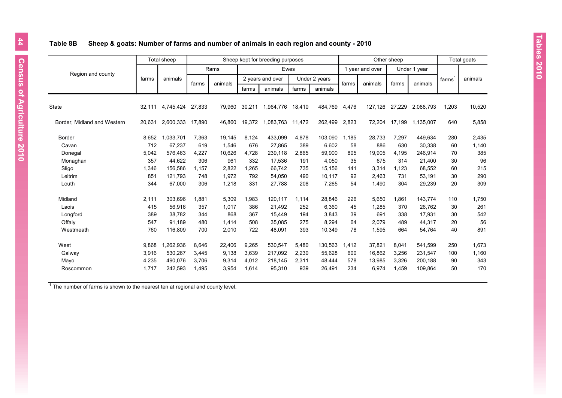## **Table 8B Sheep & goats: Number of farms and number of animals in each region and county - 2010**

|                             |        | Total sheep |        |         |        | Sheep kept for breeding purposes |        |               |       |                 | Other sheep |              |       | Total goats |
|-----------------------------|--------|-------------|--------|---------|--------|----------------------------------|--------|---------------|-------|-----------------|-------------|--------------|-------|-------------|
|                             |        |             |        | Rams    |        | Ewes                             |        |               |       | 1 year and over |             | Under 1 year |       |             |
| Region and county           | farms  | animals     |        |         |        | 2 years and over                 |        | Under 2 years |       |                 |             |              | farms | animals     |
|                             |        |             | farms  | animals | farms  | animals                          | farms  | animals       | farms | animals         | farms       | animals      |       |             |
| <b>State</b>                | 32.111 | 4,745,424   | 27,833 | 79,960  | 30,211 | 1,964,776                        | 18.410 | 484,769       | 4,476 | 127,126         | 27,229      | 2,088,793    | 1,203 | 10,520      |
| Border, Midland and Western | 20,631 | 2,600,333   | 17,890 | 46,860  | 19,372 | 1,083,763 11,472                 |        | 262,499       | 2,823 | 72,204          | 17,199      | 1,135,007    | 640   | 5,858       |
| Border                      | 8,652  | 1,033,701   | 7,363  | 19,145  | 8,124  | 433,099                          | 4,878  | 103,090       | 1,185 | 28,733          | 7,297       | 449,634      | 280   | 2,435       |
| Cavan                       | 712    | 67.237      | 619    | 1,546   | 676    | 27,865                           | 389    | 6.602         | 58    | 886             | 630         | 30,338       | 60    | 1,140       |
| Donegal                     | 5,042  | 576,463     | 4,227  | 10,626  | 4,728  | 239,118                          | 2,865  | 59,900        | 805   | 19,905          | 4,195       | 246,914      | 70    | 385         |
| Monaghan                    | 357    | 44,622      | 306    | 961     | 332    | 17,536                           | 191    | 4,050         | 35    | 675             | 314         | 21,400       | 30    | 96          |
| Sligo                       | 1,346  | 156,586     | 1,157  | 2,822   | 1,265  | 66,742                           | 735    | 15,156        | 141   | 3,314           | 1,123       | 68,552       | 60    | 215         |
| Leitrim                     | 851    | 121.793     | 748    | 1.972   | 792    | 54,050                           | 490    | 10.117        | 92    | 2,463           | 731         | 53,191       | 30    | 290         |
| Louth                       | 344    | 67,000      | 306    | 1,218   | 331    | 27,788                           | 208    | 7,265         | 54    | 1,490           | 304         | 29,239       | 20    | 309         |
| Midland                     | 2,111  | 303,696     | 1,881  | 5,309   | 1,983  | 120,117                          | 1,114  | 28,846        | 226   | 5,650           | 1,861       | 143,774      | 110   | 1,750       |
| Laois                       | 415    | 56.916      | 357    | 1,017   | 386    | 21,492                           | 252    | 6,360         | 45    | 1,285           | 370         | 26,762       | 30    | 261         |
| Longford                    | 389    | 38,782      | 344    | 868     | 367    | 15,449                           | 194    | 3,843         | 39    | 691             | 338         | 17,931       | 30    | 542         |
| Offaly                      | 547    | 91.189      | 480    | 1,414   | 508    | 35,085                           | 275    | 8,294         | 64    | 2,079           | 489         | 44,317       | 20    | 56          |
| Westmeath                   | 760    | 116,809     | 700    | 2,010   | 722    | 48,091                           | 393    | 10,349        | 78    | 1,595           | 664         | 54,764       | 40    | 891         |
| West                        | 9,868  | 1,262,936   | 8,646  | 22,406  | 9,265  | 530,547                          | 5,480  | 130,563       | 1,412 | 37,821          | 8,041       | 541.599      | 250   | 1,673       |
| Galway                      | 3,916  | 530,267     | 3,445  | 9,138   | 3,639  | 217,092                          | 2,230  | 55,628        | 600   | 16,862          | 3,256       | 231,547      | 100   | 1,160       |
| Mayo                        | 4,235  | 490,076     | 3,706  | 9,314   | 4,012  | 218,145                          | 2,311  | 48,444        | 578   | 13,985          | 3,326       | 200,188      | 90    | 343         |
| Roscommon                   | 1,717  | 242,593     | 1,495  | 3,954   | 1,614  | 95,310                           | 939    | 26,491        | 234   | 6,974           | 1,459       | 109,864      | 50    | 170         |

 $1$  The number of farms is shown to the nearest ten at regional and county level,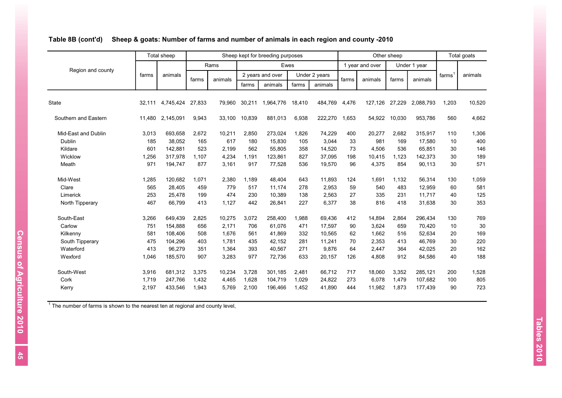|                      |        | <b>Total sheep</b> |        |         |        | Sheep kept for breeding purposes |        |               |       |                 | Other sheep |              |       | Total goats |
|----------------------|--------|--------------------|--------|---------|--------|----------------------------------|--------|---------------|-------|-----------------|-------------|--------------|-------|-------------|
|                      |        |                    |        | Rams    |        | Ewes                             |        |               |       | 1 year and over |             | Under 1 year |       |             |
| Region and county    | farms  | animals            | farms  | animals |        | 2 years and over                 |        | Under 2 years | farms | animals         | farms       | animals      | farms | animals     |
|                      |        |                    |        |         | farms  | animals                          | farms  | animals       |       |                 |             |              |       |             |
| <b>State</b>         | 32.111 | 4,745,424          | 27,833 | 79.960  | 30,211 | 1,964,776                        | 18.410 | 484,769       | 4,476 | 127,126         | 27,229      | 2,088,793    | 1,203 | 10,520      |
| Southern and Eastern | 11,480 | 2,145,091          | 9,943  | 33,100  | 10,839 | 881,013                          | 6,938  | 222,270       | 1,653 | 54,922          | 10,030      | 953,786      | 560   | 4,662       |
| Mid-East and Dublin  | 3,013  | 693,658            | 2,672  | 10,211  | 2,850  | 273,024                          | 1,826  | 74,229        | 400   | 20,277          | 2,682       | 315,917      | 110   | 1,306       |
| Dublin               | 185    | 38,052             | 165    | 617     | 180    | 15,830                           | 105    | 3,044         | 33    | 981             | 169         | 17,580       | 10    | 400         |
| Kildare              | 601    | 142,881            | 523    | 2,199   | 562    | 55,805                           | 358    | 14,520        | 73    | 4.506           | 536         | 65,851       | 30    | 146         |
| Wicklow              | 1,256  | 317,978            | 1,107  | 4,234   | 1,191  | 123,861                          | 827    | 37,095        | 198   | 10,415          | 1,123       | 142,373      | 30    | 189         |
| Meath                | 971    | 194,747            | 877    | 3,161   | 917    | 77,528                           | 536    | 19,570        | 96    | 4,375           | 854         | 90,113       | 30    | 571         |
| Mid-West             | 1,285  | 120,682            | 1,071  | 2,380   | 1,189  | 48,404                           | 643    | 11,893        | 124   | 1,691           | 1,132       | 56,314       | 130   | 1,059       |
| Clare                | 565    | 28,405             | 459    | 779     | 517    | 11,174                           | 278    | 2,953         | 59    | 540             | 483         | 12,959       | 60    | 581         |
| Limerick             | 253    | 25,478             | 199    | 474     | 230    | 10,389                           | 138    | 2.563         | 27    | 335             | 231         | 11.717       | 40    | 125         |
| North Tipperary      | 467    | 66,799             | 413    | 1,127   | 442    | 26,841                           | 227    | 6,377         | 38    | 816             | 418         | 31,638       | 30    | 353         |
| South-East           | 3,266  | 649,439            | 2,825  | 10,275  | 3,072  | 258,400                          | 1,988  | 69,436        | 412   | 14,894          | 2,864       | 296,434      | 130   | 769         |
| Carlow               | 751    | 154.888            | 656    | 2.171   | 706    | 61.076                           | 471    | 17.597        | 90    | 3.624           | 659         | 70,420       | 10    | 30          |
| Kilkenny             | 581    | 108,406            | 508    | 1,676   | 561    | 41,869                           | 332    | 10,565        | 62    | 1,662           | 516         | 52,634       | 20    | 169         |
| South Tipperary      | 475    | 104.296            | 403    | 1,781   | 435    | 42,152                           | 281    | 11.241        | 70    | 2,353           | 413         | 46,769       | 30    | 220         |
| Waterford            | 413    | 96.279             | 351    | 1,364   | 393    | 40.567                           | 271    | 9.876         | 64    | 2,447           | 364         | 42,025       | 20    | 162         |
| Wexford              | 1,046  | 185,570            | 907    | 3,283   | 977    | 72,736                           | 633    | 20,157        | 126   | 4,808           | 912         | 84,586       | 40    | 188         |
| South-West           | 3,916  | 681,312            | 3,375  | 10,234  | 3,728  | 301,185                          | 2,481  | 66,712        | 717   | 18,060          | 3,352       | 285,121      | 200   | 1,528       |
| Cork                 | 1,719  | 247,766            | 1,432  | 4,465   | 1,628  | 104,719                          | 1,029  | 24,822        | 273   | 6,078           | 1,479       | 107,682      | 100   | 805         |
| Kerry                | 2,197  | 433,546            | 1,943  | 5,769   | 2,100  | 196,466                          | 1,452  | 41,890        | 444   | 11,982          | 1,873       | 177,439      | 90    | 723         |

## **Table 8B (cont'd) Sheep & goats: Number of farms and number of animals in each region and county -2010**

 $1$  The number of farms is shown to the nearest ten at regional and county level,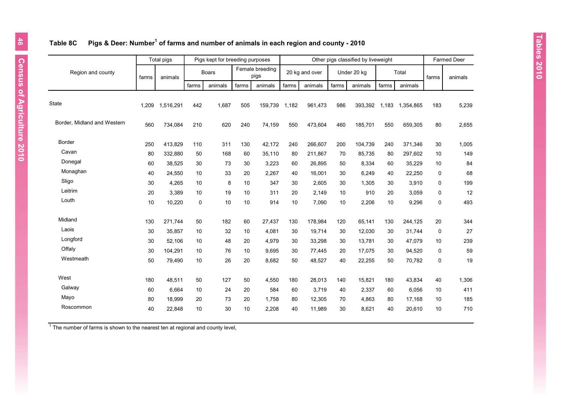## **Table 8C Pigs & Deer: Number<sup>1</sup> of farms and number of animals in each region and county - 2010**

|                             |       | Total pigs |       | Pigs kept for breeding purposes |       |                         |       |                |       | Other pigs classified by liveweight |       |           |             | <b>Farmed Deer</b> |
|-----------------------------|-------|------------|-------|---------------------------------|-------|-------------------------|-------|----------------|-------|-------------------------------------|-------|-----------|-------------|--------------------|
| Region and county           | farms | animals    |       | <b>Boars</b>                    |       | Female breeding<br>pigs |       | 20 kg and over |       | Under 20 kg                         |       | Total     | farms       | animals            |
|                             |       |            | farms | animals                         | farms | animals                 | farms | animals        | farms | animals                             | farms | animals   |             |                    |
| <b>State</b>                | 1,209 | 1,516,291  | 442   | 1,687                           | 505   | 159,739                 | 1,182 | 961,473        | 986   | 393,392                             | 1,183 | 1,354,865 | 183         | 5,239              |
| Border, Midland and Western | 560   | 734,084    | 210   | 620                             | 240   | 74,159                  | 550   | 473,604        | 460   | 185,701                             | 550   | 659,305   | 80          | 2,655              |
| Border                      | 250   | 413,829    | 110   | 311                             | 130   | 42,172                  | 240   | 266,607        | 200   | 104,739                             | 240   | 371,346   | 30          | 1,005              |
| Cavan                       | 80    | 332,880    | 50    | 168                             | 60    | 35,110                  | 80    | 211,867        | 70    | 85,735                              | 80    | 297,602   | 10          | 149                |
| Donegal                     | 60    | 38.525     | 30    | 73                              | 30    | 3,223                   | 60    | 26.895         | 50    | 8.334                               | 60    | 35.229    | 10          | 84                 |
| Monaghan                    | 40    | 24,550     | 10    | 33                              | 20    | 2,267                   | 40    | 16,001         | 30    | 6,249                               | 40    | 22,250    | 0           | 68                 |
| Sligo                       | 30    | 4,265      | 10    | 8                               | 10    | 347                     | 30    | 2,605          | 30    | 1,305                               | 30    | 3,910     | 0           | 199                |
| Leitrim                     | 20    | 3.389      | 10    | 19                              | 10    | 311                     | 20    | 2.149          | 10    | 910                                 | 20    | 3,059     | 0           | 12                 |
| Louth                       | 10    | 10,220     | 0     | 10                              | 10    | 914                     | 10    | 7,090          | 10    | 2,206                               | 10    | 9,296     | 0           | 493                |
| Midland                     | 130   | 271,744    | 50    | 182                             | 60    | 27,437                  | 130   | 178,984        | 120   | 65,141                              | 130   | 244,125   | 20          | 344                |
| Laois                       | 30    | 35,857     | 10    | 32                              | 10    | 4,081                   | 30    | 19,714         | 30    | 12,030                              | 30    | 31,744    | 0           | 27                 |
| Longford                    | 30    | 52,106     | 10    | 48                              | 20    | 4,979                   | 30    | 33,298         | 30    | 13,781                              | 30    | 47,079    | 10          | 239                |
| Offaly                      | 30    | 104,291    | 10    | 76                              | 10    | 9,695                   | 30    | 77,445         | 20    | 17,075                              | 30    | 94,520    | 0           | 59                 |
| Westmeath                   | 50    | 79,490     | 10    | 26                              | 20    | 8,682                   | 50    | 48,527         | 40    | 22,255                              | 50    | 70,782    | $\mathbf 0$ | 19                 |
| West                        | 180   | 48,511     | 50    | 127                             | 50    | 4,550                   | 180   | 28,013         | 140   | 15,821                              | 180   | 43,834    | 40          | 1,306              |
| Galway                      | 60    | 6,664      | 10    | 24                              | 20    | 584                     | 60    | 3,719          | 40    | 2,337                               | 60    | 6,056     | 10          | 411                |
| Mayo                        | 80    | 18.999     | 20    | 73                              | 20    | 1.758                   | 80    | 12,305         | 70    | 4,863                               | 80    | 17,168    | 10          | 185                |
| Roscommon                   | 40    | 22,848     | 10    | 30                              | 10    | 2,208                   | 40    | 11,989         | 30    | 8,621                               | 40    | 20,610    | 10          | 710                |
|                             |       |            |       |                                 |       |                         |       |                |       |                                     |       |           |             |                    |

 $1$  The number of farms is shown to the nearest ten at regional and county level,

 $\sim$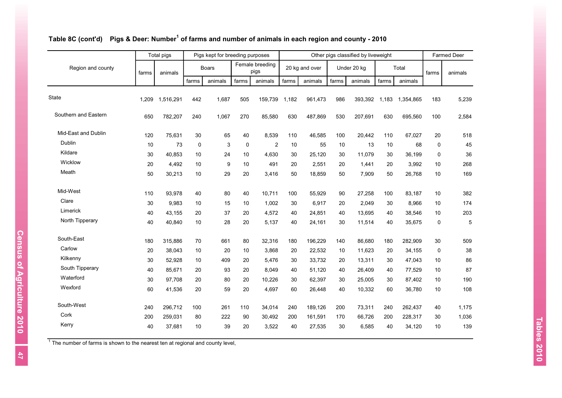|                      |       | Total pigs |       | Pigs kept for breeding purposes |       |                         |       |                |       | Other pigs classified by liveweight |       |           |             | <b>Farmed Deer</b> |
|----------------------|-------|------------|-------|---------------------------------|-------|-------------------------|-------|----------------|-------|-------------------------------------|-------|-----------|-------------|--------------------|
| Region and county    | farms | animals    |       | <b>Boars</b>                    |       | Female breeding<br>pigs |       | 20 kg and over |       | Under 20 kg                         |       | Total     | farms       | animals            |
|                      |       |            | farms | animals                         | farms | animals                 | farms | animals        | farms | animals                             | farms | animals   |             |                    |
| State                | 1,209 | 1,516,291  | 442   | 1,687                           | 505   | 159.739                 | 1.182 | 961,473        | 986   | 393.392                             | 1.183 | 1,354,865 | 183         | 5,239              |
| Southern and Eastern | 650   | 782,207    | 240   | 1,067                           | 270   | 85,580                  | 630   | 487,869        | 530   | 207,691                             | 630   | 695,560   | 100         | 2,584              |
| Mid-East and Dublin  | 120   | 75,631     | 30    | 65                              | 40    | 8,539                   | 110   | 46,585         | 100   | 20,442                              | 110   | 67,027    | 20          | 518                |
| Dublin               | 10    | 73         | 0     | 3                               | 0     | 2                       | 10    | 55             | 10    | 13                                  | 10    | 68        | $\mathbf 0$ | 45                 |
| Kildare              | 30    | 40,853     | 10    | 24                              | 10    | 4,630                   | 30    | 25,120         | 30    | 11.079                              | 30    | 36,199    | $\mathbf 0$ | 36                 |
| Wicklow              | 20    | 4,492      | 10    | 9                               | 10    | 491                     | 20    | 2,551          | 20    | 1,441                               | 20    | 3,992     | 10          | 268                |
| Meath                | 50    | 30,213     | 10    | 29                              | 20    | 3,416                   | 50    | 18,859         | 50    | 7,909                               | 50    | 26,768    | 10          | 169                |
| Mid-West             | 110   | 93,978     | 40    | 80                              | 40    | 10,711                  | 100   | 55,929         | 90    | 27,258                              | 100   | 83,187    | 10          | 382                |
| Clare                | 30    | 9,983      | 10    | 15                              | 10    | 1,002                   | 30    | 6,917          | 20    | 2,049                               | 30    | 8,966     | 10          | 174                |
| Limerick             | 40    | 43,155     | 20    | 37                              | 20    | 4,572                   | 40    | 24,851         | 40    | 13.695                              | 40    | 38,546    | 10          | 203                |
| North Tipperary      | 40    | 40,840     | 10    | 28                              | 20    | 5,137                   | 40    | 24,161         | 30    | 11,514                              | 40    | 35,675    | 0           | 5                  |
| South-East           | 180   | 315,886    | 70    | 661                             | 80    | 32,316                  | 180   | 196,229        | 140   | 86,680                              | 180   | 282,909   | 30          | 509                |
| Carlow               | 20    | 38,043     | 10    | 20                              | 10    | 3,868                   | 20    | 22,532         | 10    | 11,623                              | 20    | 34,155    | $\mathbf 0$ | 38                 |
| Kilkenny             | 30    | 52,928     | 10    | 409                             | 20    | 5,476                   | 30    | 33,732         | 20    | 13,311                              | 30    | 47,043    | 10          | 86                 |
| South Tipperary      | 40    | 85,671     | 20    | 93                              | 20    | 8,049                   | 40    | 51,120         | 40    | 26,409                              | 40    | 77,529    | 10          | 87                 |
| Waterford            | 30    | 97.708     | 20    | 80                              | 20    | 10,226                  | 30    | 62,397         | 30    | 25.005                              | 30    | 87,402    | 10          | 190                |
| Wexford              | 60    | 41,536     | 20    | 59                              | 20    | 4,697                   | 60    | 26,448         | 40    | 10,332                              | 60    | 36,780    | 10          | 108                |
| South-West           | 240   | 296.712    | 100   | 261                             | 110   | 34,014                  | 240   | 189,126        | 200   | 73,311                              | 240   | 262,437   | 40          | 1,175              |
| Cork                 | 200   | 259,031    | 80    | 222                             | 90    | 30,492                  | 200   | 161,591        | 170   | 66,726                              | 200   | 228,317   | 30          | 1,036              |
| Kerry                | 40    | 37,681     | 10    | 39                              | 20    | 3,522                   | 40    | 27,535         | 30    | 6,585                               | 40    | 34,120    | 10          | 139                |

#### **Table 8C (cont'd) Pigs & Deer: Number<sup>1</sup> of farms and number of animals in each region and county - 2010**

 $1$  The number of farms is shown to the nearest ten at regional and county level,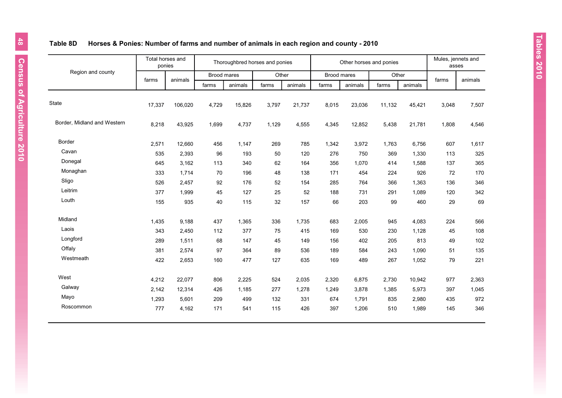# **Table 8D Horses & Ponies: Number of farms and number of animals in each region and county - 2010**

|                             | ponies | Total horses and |             | Thoroughbred horses and ponies |       |         |             | Other horses and ponies |        |         | Mules, jennets and<br>asses |         |
|-----------------------------|--------|------------------|-------------|--------------------------------|-------|---------|-------------|-------------------------|--------|---------|-----------------------------|---------|
| Region and county           | farms  | animals          | Brood mares |                                | Other |         | Brood mares |                         | Other  |         | farms                       | animals |
|                             |        |                  | farms       | animals                        | farms | animals | farms       | animals                 | farms  | animals |                             |         |
| State                       | 17,337 | 106,020          | 4,729       | 15,826                         | 3,797 | 21,737  | 8,015       | 23,036                  | 11,132 | 45,421  | 3,048                       | 7,507   |
| Border, Midland and Western | 8,218  | 43,925           | 1,699       | 4,737                          | 1,129 | 4,555   | 4,345       | 12,852                  | 5,438  | 21,781  | 1,808                       | 4,546   |
| Border                      | 2,571  | 12,660           | 456         | 1,147                          | 269   | 785     | 1,342       | 3,972                   | 1,763  | 6,756   | 607                         | 1,617   |
| Cavan                       | 535    | 2,393            | 96          | 193                            | 50    | 120     | 276         | 750                     | 369    | 1,330   | 113                         | 325     |
| Donegal                     | 645    | 3,162            | 113         | 340                            | 62    | 164     | 356         | 1,070                   | 414    | 1,588   | 137                         | 365     |
| Monaghan                    | 333    | 1,714            | 70          | 196                            | 48    | 138     | 171         | 454                     | 224    | 926     | 72                          | 170     |
| Sligo                       | 526    | 2,457            | 92          | 176                            | 52    | 154     | 285         | 764                     | 366    | 1,363   | 136                         | 346     |
| Leitrim                     | 377    | 1,999            | 45          | 127                            | 25    | 52      | 188         | 731                     | 291    | 1,089   | 120                         | 342     |
| Louth                       | 155    | 935              | 40          | 115                            | 32    | 157     | 66          | 203                     | 99     | 460     | 29                          | 69      |
| Midland                     | 1,435  | 9,188            | 437         | 1,365                          | 336   | 1,735   | 683         | 2,005                   | 945    | 4,083   | 224                         | 566     |
| Laois                       | 343    | 2,450            | 112         | 377                            | 75    | 415     | 169         | 530                     | 230    | 1,128   | 45                          | 108     |
| Longford                    | 289    | 1,511            | 68          | 147                            | 45    | 149     | 156         | 402                     | 205    | 813     | 49                          | 102     |
| Offaly                      | 381    | 2,574            | 97          | 364                            | 89    | 536     | 189         | 584                     | 243    | 1,090   | 51                          | 135     |
| Westmeath                   | 422    | 2,653            | 160         | 477                            | 127   | 635     | 169         | 489                     | 267    | 1,052   | 79                          | 221     |
| West                        | 4,212  | 22,077           | 806         | 2,225                          | 524   | 2,035   | 2,320       | 6,875                   | 2,730  | 10,942  | 977                         | 2,363   |
| Galway                      | 2,142  | 12,314           | 426         | 1,185                          | 277   | 1,278   | 1,249       | 3,878                   | 1,385  | 5,973   | 397                         | 1,045   |
| Mayo                        | 1,293  | 5,601            | 209         | 499                            | 132   | 331     | 674         | 1,791                   | 835    | 2,980   | 435                         | 972     |
| Roscommon                   | 777    | 4,162            | 171         | 541                            | 115   | 426     | 397         | 1,206                   | 510    | 1,989   | 145                         | 346     |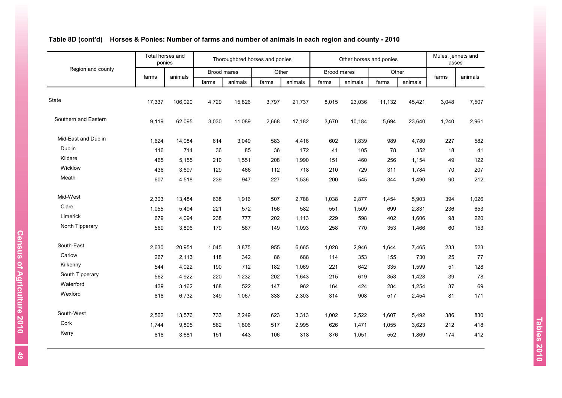|                      | Total horses and<br>ponies |         | Thoroughbred horses and ponies |         |       |         | Other horses and ponies |         |        |         | Mules, jennets and<br>asses |         |
|----------------------|----------------------------|---------|--------------------------------|---------|-------|---------|-------------------------|---------|--------|---------|-----------------------------|---------|
| Region and county    |                            | animals | <b>Brood mares</b>             |         | Other |         | Brood mares             |         | Other  |         |                             |         |
|                      | farms                      |         | farms                          | animals | farms | animals | farms                   | animals | farms  | animals | farms                       | animals |
| State                | 17,337                     | 106,020 | 4,729                          | 15,826  | 3,797 | 21,737  | 8,015                   | 23,036  | 11,132 | 45,421  | 3,048                       | 7,507   |
| Southern and Eastern | 9,119                      | 62,095  | 3,030                          | 11,089  | 2,668 | 17,182  | 3,670                   | 10,184  | 5,694  | 23,640  | 1,240                       | 2,961   |
| Mid-East and Dublin  | 1,624                      | 14,084  | 614                            | 3,049   | 583   | 4,416   | 602                     | 1,839   | 989    | 4,780   | 227                         | 582     |
| Dublin               | 116                        | 714     | 36                             | 85      | 36    | 172     | 41                      | 105     | 78     | 352     | 18                          | 41      |
| Kildare              | 465                        | 5,155   | 210                            | 1,551   | 208   | 1,990   | 151                     | 460     | 256    | 1,154   | 49                          | 122     |
| Wicklow              | 436                        | 3,697   | 129                            | 466     | 112   | 718     | 210                     | 729     | 311    | 1,784   | 70                          | 207     |
| Meath                | 607                        | 4,518   | 239                            | 947     | 227   | 1,536   | 200                     | 545     | 344    | 1,490   | 90                          | 212     |
| Mid-West             | 2,303                      | 13,484  | 638                            | 1,916   | 507   | 2,788   | 1,038                   | 2,877   | 1,454  | 5,903   | 394                         | 1,026   |
| Clare                | 1,055                      | 5,494   | 221                            | 572     | 156   | 582     | 551                     | 1,509   | 699    | 2,831   | 236                         | 653     |
| Limerick             | 679                        | 4,094   | 238                            | 777     | 202   | 1,113   | 229                     | 598     | 402    | 1,606   | 98                          | 220     |
| North Tipperary      | 569                        | 3,896   | 179                            | 567     | 149   | 1,093   | 258                     | 770     | 353    | 1,466   | 60                          | 153     |
| South-East           | 2,630                      | 20,951  | 1,045                          | 3,875   | 955   | 6,665   | 1,028                   | 2,946   | 1,644  | 7,465   | 233                         | 523     |
| Carlow               | 267                        | 2,113   | 118                            | 342     | 86    | 688     | 114                     | 353     | 155    | 730     | 25                          | 77      |
| Kilkenny             | 544                        | 4,022   | 190                            | 712     | 182   | 1,069   | 221                     | 642     | 335    | 1,599   | 51                          | 128     |
| South Tipperary      | 562                        | 4,922   | 220                            | 1,232   | 202   | 1,643   | 215                     | 619     | 353    | 1,428   | 39                          | 78      |
| Waterford            | 439                        | 3,162   | 168                            | 522     | 147   | 962     | 164                     | 424     | 284    | 1,254   | 37                          | 69      |
| Wexford              | 818                        | 6,732   | 349                            | 1,067   | 338   | 2,303   | 314                     | 908     | 517    | 2,454   | 81                          | 171     |
| South-West           | 2,562                      | 13,576  | 733                            | 2,249   | 623   | 3,313   | 1,002                   | 2,522   | 1,607  | 5,492   | 386                         | 830     |
| Cork                 | 1,744                      | 9,895   | 582                            | 1,806   | 517   | 2,995   | 626                     | 1,471   | 1,055  | 3,623   | 212                         | 418     |
| Kerry                | 818                        | 3,681   | 151                            | 443     | 106   | 318     | 376                     | 1,051   | 552    | 1,869   | 174                         | 412     |

# **Table 8D (cont'd) Horses & Ponies: Number of farms and number of animals in each region and county - 2010**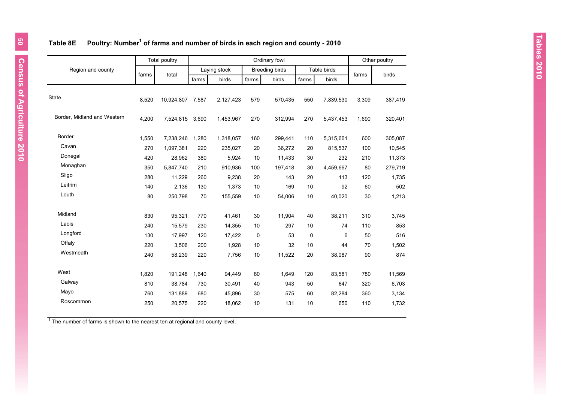## **Table 8E Poultry: Number<sup>1</sup> of farms and number of birds in each region and county - 2010**

|                             |       | <b>Total poultry</b><br>Ordinary fowl |       |              |             |                       | Other poultry |             |       |         |
|-----------------------------|-------|---------------------------------------|-------|--------------|-------------|-----------------------|---------------|-------------|-------|---------|
| Region and county           |       | total                                 |       | Laying stock |             | <b>Breeding birds</b> |               | Table birds |       | birds   |
|                             | farms |                                       | farms | birds        | farms       | birds                 | farms         | birds       | farms |         |
| State                       | 8,520 | 10,924,807 7,587                      |       | 2,127,423    | 579         | 570,435               | 550           | 7,839,530   | 3,309 | 387,419 |
| Border, Midland and Western | 4,200 | 7,524,815                             | 3,690 | 1,453,967    | 270         | 312,994               | 270           | 5,437,453   | 1,690 | 320,401 |
| <b>Border</b>               | 1,550 | 7,238,246                             | 1,280 | 1,318,057    | 160         | 299,441               | 110           | 5,315,661   | 600   | 305,087 |
| Cavan                       | 270   | 1,097,381                             | 220   | 235,027      | 20          | 36,272                | 20            | 815,537     | 100   | 10,545  |
| Donegal                     | 420   | 28,962                                | 380   | 5,924        | 10          | 11,433                | 30            | 232         | 210   | 11,373  |
| Monaghan                    | 350   | 5,847,740                             | 210   | 910,936      | 100         | 197,418               | 30            | 4,459,667   | 80    | 279,719 |
| Sligo                       | 280   | 11,229                                | 260   | 9,238        | 20          | 143                   | 20            | 113         | 120   | 1,735   |
| Leitrim                     | 140   | 2,136                                 | 130   | 1,373        | 10          | 169                   | 10            | 92          | 60    | 502     |
| Louth                       | 80    | 250,798                               | 70    | 155,559      | 10          | 54,006                | 10            | 40,020      | 30    | 1,213   |
| Midland                     | 830   | 95,321                                | 770   | 41,461       | 30          | 11,904                | 40            | 38,211      | 310   | 3,745   |
| Laois                       | 240   | 15,579                                | 230   | 14,355       | 10          | 297                   | 10            | 74          | 110   | 853     |
| Longford                    | 130   | 17,997                                | 120   | 17,422       | $\mathbf 0$ | 53                    | $\mathsf 0$   | 6           | 50    | 516     |
| Offaly                      | 220   | 3,506                                 | 200   | 1,928        | 10          | 32                    | 10            | 44          | 70    | 1,502   |
| Westmeath                   | 240   | 58,239                                | 220   | 7,756        | 10          | 11,522                | 20            | 38,087      | 90    | 874     |
| West                        | 1,820 | 191,248                               | 1,640 | 94,449       | 80          | 1,649                 | 120           | 83,581      | 780   | 11,569  |
| Galway                      | 810   | 38,784                                | 730   | 30,491       | 40          | 943                   | 50            | 647         | 320   | 6,703   |
| Mayo                        | 760   | 131,889                               | 680   | 45,896       | 30          | 575                   | 60            | 82,284      | 360   | 3,134   |
| Roscommon                   | 250   | 20,575                                | 220   | 18,062       | 10          | 131                   | 10            | 650         | 110   | 1,732   |

 $1$  The number of farms is shown to the nearest ten at regional and county level,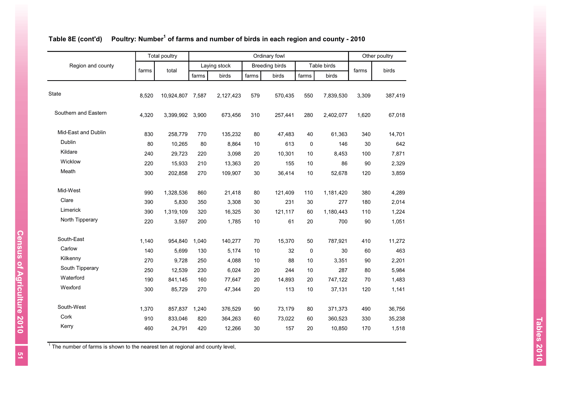|                      |       | <b>Total poultry</b> | Ordinary fowl |              |       |                       |                  |             | Other poultry |         |
|----------------------|-------|----------------------|---------------|--------------|-------|-----------------------|------------------|-------------|---------------|---------|
| Region and county    |       | total                |               | Laying stock |       | <b>Breeding birds</b> |                  | Table birds |               | birds   |
|                      | farms |                      | farms         | birds        | farms | birds                 | farms            | birds       | farms         |         |
| State                | 8,520 | 10,924,807 7,587     |               | 2,127,423    | 579   | 570,435               | 550              | 7,839,530   | 3,309         | 387,419 |
| Southern and Eastern | 4,320 | 3,399,992            | 3,900         | 673,456      | 310   | 257,441               | 280              | 2,402,077   | 1,620         | 67,018  |
| Mid-East and Dublin  | 830   | 258,779              | 770           | 135,232      | 80    | 47,483                | 40               | 61,363      | 340           | 14,701  |
| Dublin               | 80    | 10,265               | 80            | 8,864        | 10    | 613                   | 0                | 146         | 30            | 642     |
| Kildare              | 240   | 29,723               | 220           | 3,098        | 20    | 10,301                | 10               | 8,453       | 100           | 7,871   |
| Wicklow              | 220   | 15,933               | 210           | 13,363       | 20    | 155                   | 10               | 86          | 90            | 2,329   |
| Meath                | 300   | 202,858              | 270           | 109,907      | 30    | 36,414                | 10               | 52,678      | 120           | 3,859   |
| Mid-West             | 990   | 1,328,536            | 860           | 21,418       | 80    | 121,409               | 110              | 1,181,420   | 380           | 4,289   |
| Clare                | 390   | 5,830                | 350           | 3,308        | 30    | 231                   | 30               | 277         | 180           | 2,014   |
| Limerick             | 390   | 1,319,109            | 320           | 16,325       | 30    | 121,117               | 60               | 1,180,443   | 110           | 1,224   |
| North Tipperary      | 220   | 3,597                | 200           | 1,785        | 10    | 61                    | 20               | 700         | 90            | 1,051   |
| South-East           | 1,140 | 954,840              | 1,040         | 140,277      | 70    | 15,370                | 50               | 787,921     | 410           | 11,272  |
| Carlow               | 140   | 5,699                | 130           | 5,174        | 10    | 32                    | $\boldsymbol{0}$ | 30          | 60            | 463     |
| Kilkenny             | 270   | 9,728                | 250           | 4,088        | 10    | 88                    | 10               | 3,351       | 90            | 2,201   |
| South Tipperary      | 250   | 12,539               | 230           | 6.024        | 20    | 244                   | 10               | 287         | 80            | 5,984   |
| Waterford            | 190   | 841,145              | 160           | 77,647       | 20    | 14,893                | 20               | 747,122     | 70            | 1,483   |
| Wexford              | 300   | 85,729               | 270           | 47,344       | 20    | 113                   | 10               | 37,131      | 120           | 1,141   |
| South-West           | 1,370 | 857,837              | 1,240         | 376,529      | 90    | 73,179                | 80               | 371,373     | 490           | 36,756  |
| Cork                 | 910   | 833,046              | 820           | 364,263      | 60    | 73,022                | 60               | 360,523     | 330           | 35,238  |
| Kerry                | 460   | 24,791               | 420           | 12,266       | 30    | 157                   | 20               | 10,850      | 170           | 1,518   |

#### **Table 8E (cont'd) Poultry: Number<sup>1</sup> of farms and number of birds in each region and county - 2010**

 $1$  The number of farms is shown to the nearest ten at regional and county level,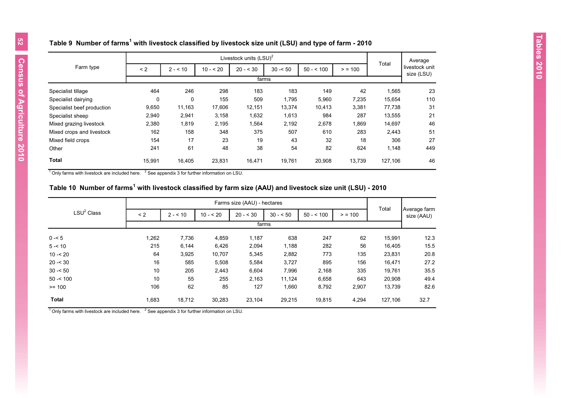| Table 9  Number of farms $^{\rm 1}$ with livestock classified by livestock size unit (LSU) and type of farm - 2010 |  |  |  |
|--------------------------------------------------------------------------------------------------------------------|--|--|--|
|                                                                                                                    |  |  |  |

|                            |        |          |           | Livestock units (LSU) <sup>2</sup> |           |            |        |         | Average                      |
|----------------------------|--------|----------|-----------|------------------------------------|-----------|------------|--------|---------|------------------------------|
| Farm type                  | < 2    | $2 - 10$ | $10 - 20$ | $20 - 530$                         | $30 - 50$ | $50 - 500$ | > 100  | Total   | livestock unit<br>size (LSU) |
|                            |        |          |           | farms                              |           |            |        |         |                              |
| Specialist tillage         | 464    | 246      | 298       | 183                                | 183       | 149        | 42     | 1,565   | 23                           |
| Specialist dairying        | 0      | 0        | 155       | 509                                | 1,795     | 5,960      | 7,235  | 15,654  | 110                          |
| Specialist beef production | 9,650  | 11,163   | 17,606    | 12,151                             | 13,374    | 10,413     | 3,381  | 77,738  | 31                           |
| Specialist sheep           | 2,940  | 2,941    | 3,158     | 1,632                              | 1,613     | 984        | 287    | 13,555  | 21                           |
| Mixed grazing livestock    | 2,380  | 1,819    | 2,195     | 1,564                              | 2,192     | 2,678      | 1,869  | 14,697  | 46                           |
| Mixed crops and livestock  | 162    | 158      | 348       | 375                                | 507       | 610        | 283    | 2,443   | 51                           |
| Mixed field crops          | 154    | 17       | 23        | 19                                 | 43        | 32         | 18     | 306     | 27                           |
| Other                      | 241    | 61       | 48        | 38                                 | 54        | 82         | 624    | 1,148   | 449                          |
| <b>Total</b>               | 15,991 | 16,405   | 23,831    | 16,471                             | 19,761    | 20,908     | 13,739 | 127,106 | 46                           |

 $^1$  Only farms with livestock are included here.  $\frac{2}{3}$  See appendix 3 for further information on LSU.

#### **Table 10 Number of farms<sup>1</sup> with livestock classified by farm size (AAU) and livestock size unit (LSU) - 2010**

|                        |       |          |           | Farms size (AAU) - hectares |           |            |       |         |                            |
|------------------------|-------|----------|-----------|-----------------------------|-----------|------------|-------|---------|----------------------------|
| LSU <sup>2</sup> Class | < 2   | $2 - 10$ | $10 - 20$ | $20 - 530$                  | $30 - 50$ | $50 - 500$ | > 100 | Total   | Average farm<br>size (AAU) |
|                        |       |          |           | farms                       |           |            |       |         |                            |
| $0 - 5$                | 1,262 | 7,736    | 4,859     | 1,187                       | 638       | 247        | 62    | 15.991  | 12.3                       |
| $5 - 10$               | 215   | 6,144    | 6,426     | 2,094                       | 1,188     | 282        | 56    | 16,405  | 15.5                       |
| $10 - 20$              | 64    | 3,925    | 10,707    | 5,345                       | 2,882     | 773        | 135   | 23,831  | 20.8                       |
| $20 - 30$              | 16    | 585      | 5,508     | 5,584                       | 3,727     | 895        | 156   | 16,471  | 27.2                       |
| $30 - 50$              | 10    | 205      | 2,443     | 6,604                       | 7,996     | 2,168      | 335   | 19,761  | 35.5                       |
| $50 - 100$             | 10    | 55       | 255       | 2,163                       | 11,124    | 6,658      | 643   | 20,908  | 49.4                       |
| $>= 100$               | 106   | 62       | 85        | 127                         | 1,660     | 8,792      | 2,907 | 13,739  | 82.6                       |
| <b>Total</b>           | 1,683 | 18,712   | 30,283    | 23,104                      | 29,215    | 19,815     | 4,294 | 127,106 | 32.7                       |

 $1$  Only farms with livestock are included here.  $2$  See appendix 3 for further information on LSU.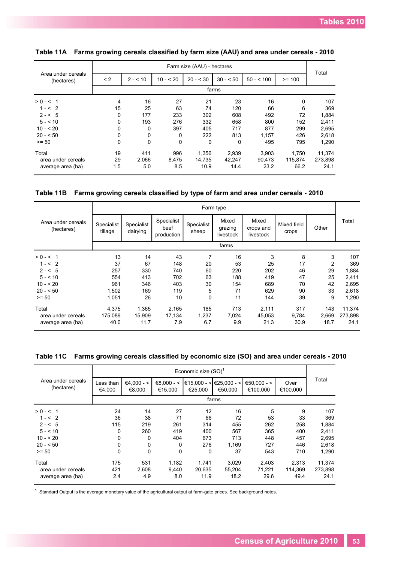|                                  |          |             |             | Farm size (AAU) - hectares |           |            |          |         |
|----------------------------------|----------|-------------|-------------|----------------------------|-----------|------------|----------|---------|
| Area under cereals<br>(hectares) | < 2      | $2 - 10$    | $10 - 20$   | $20 - 30$                  | $30 - 50$ | $50 - 100$ | $>= 100$ | Total   |
|                                  |          |             |             |                            | farms     |            |          |         |
| $> 0 - 5 1$                      | 4        | 16          | 27          | 21                         | 23        | 16         | $\Omega$ | 107     |
| $1 - 52$                         | 15       | 25          | 63          | 74                         | 120       | 66         | 6        | 369     |
| $2 - 5$                          | 0        | 177         | 233         | 302                        | 608       | 492        | 72       | 1,884   |
| $5 - 510$                        | 0        | 193         | 276         | 332                        | 658       | 800        | 152      | 2,411   |
| $10 - 520$                       | 0        | 0           | 397         | 405                        | 717       | 877        | 299      | 2,695   |
| $20 - 50$                        | 0        | 0           | 0           | 222                        | 813       | 1,157      | 426      | 2,618   |
| $>= 50$                          | $\Omega$ | $\mathbf 0$ | $\mathbf 0$ | 0                          | $\Omega$  | 495        | 795      | 1,290   |
| Total                            | 19       | 411         | 996         | 1,356                      | 2,939     | 3,903      | 1,750    | 11,374  |
| area under cereals               | 29       | 2,066       | 8,475       | 14.735                     | 42.247    | 90.473     | 115,874  | 273,898 |
| average area (ha)                | 1.5      | 5.0         | 8.5         | 10.9                       | 14.4      | 23.2       | 66.2     | 24.1    |

### **Table 11A Farms growing cereals classified by farm size (AAU) and area under cereals - 2010**

**Table 11B Farms growing cereals classified by type of farm and area under cereals - 2010**

|                                  | Farm type             |                        |                                  |                     |                               |                                 |                      |                |         |  |  |
|----------------------------------|-----------------------|------------------------|----------------------------------|---------------------|-------------------------------|---------------------------------|----------------------|----------------|---------|--|--|
| Area under cereals<br>(hectares) | Specialist<br>tillage | Specialist<br>dairying | Specialist<br>beef<br>production | Specialist<br>sheep | Mixed<br>grazing<br>livestock | Mixed<br>crops and<br>livestock | Mixed field<br>crops | Other          | Total   |  |  |
|                                  |                       |                        |                                  |                     | farms                         |                                 |                      |                |         |  |  |
| $> 0 - 5 1$                      | 13                    | 14                     | 43                               | 7                   | 16                            | 3                               | 8                    | 3              | 107     |  |  |
| $1 - 52$                         | 37                    | 67                     | 148                              | 20                  | 53                            | 25                              | 17                   | $\overline{2}$ | 369     |  |  |
| $2 - 5$                          | 257                   | 330                    | 740                              | 60                  | 220                           | 202                             | 46                   | 29             | 1,884   |  |  |
| $5 - 510$                        | 554                   | 413                    | 702                              | 63                  | 188                           | 419                             | 47                   | 25             | 2,411   |  |  |
| $10 - 520$                       | 961                   | 346                    | 403                              | 30                  | 154                           | 689                             | 70                   | 42             | 2,695   |  |  |
| $20 - 50$                        | 1,502                 | 169                    | 119                              | 5                   | 71                            | 629                             | 90                   | 33             | 2,618   |  |  |
| $>= 50$                          | 1,051                 | 26                     | 10                               | 0                   | 11                            | 144                             | 39                   | 9              | 1,290   |  |  |
| Total                            | 4,375                 | 1,365                  | 2,165                            | 185                 | 713                           | 2,111                           | 317                  | 143            | 11,374  |  |  |
| area under cereals               | 175,089               | 15,909                 | 17,134                           | 1,237               | 7,024                         | 45,053                          | 9,784                | 2,669          | 273,898 |  |  |
| average area (ha)                | 40.0                  | 11.7                   | 7.9                              | 6.7                 | 9.9                           | 21.3                            | 30.9                 | 18.7           | 24.1    |  |  |

|  |  | Table 11C Farms growing cereals classified by economic size (SO) and area under cereals - 2010 |  |  |  |  |
|--|--|------------------------------------------------------------------------------------------------|--|--|--|--|
|--|--|------------------------------------------------------------------------------------------------|--|--|--|--|

|                                  |                     |                        |                         | Economic size $(SO)^T$ |                        |                         |                  |         |  |  |  |
|----------------------------------|---------------------|------------------------|-------------------------|------------------------|------------------------|-------------------------|------------------|---------|--|--|--|
| Area under cereals<br>(hectares) | Less than<br>€4,000 | $€4.000 - <$<br>€8,000 | $€8.000 - <$<br>€15,000 | €15.000 - <<br>€25.000 | €25.000 - <<br>€50.000 | €50.000 - <<br>€100,000 | Over<br>€100,000 | Total   |  |  |  |
|                                  | farms               |                        |                         |                        |                        |                         |                  |         |  |  |  |
| $> 0 - 5 1$                      | 24                  | 14                     | 27                      | 12                     | 16                     | 5                       | 9                | 107     |  |  |  |
| $1 - 52$                         | 36                  | 38                     | 71                      | 66                     | 72                     | 53                      | 33               | 369     |  |  |  |
| $2 - 5$                          | 115                 | 219                    | 261                     | 314                    | 455                    | 262                     | 258              | 1,884   |  |  |  |
| $5 - 510$                        | 0                   | 260                    | 419                     | 400                    | 567                    | 365                     | 400              | 2,411   |  |  |  |
| $10 - 520$                       | 0                   | 0                      | 404                     | 673                    | 713                    | 448                     | 457              | 2,695   |  |  |  |
| $20 - 50$                        | 0                   | 0                      | $\Omega$                | 276                    | 1,169                  | 727                     | 446              | 2,618   |  |  |  |
| $>= 50$                          | 0                   | 0                      | $\mathbf 0$             | 0                      | 37                     | 543                     | 710              | 1.290   |  |  |  |
| Total                            | 175                 | 531                    | 1,182                   | 1,741                  | 3,029                  | 2,403                   | 2,313            | 11,374  |  |  |  |
| area under cereals               | 421                 | 2,608                  | 9.440                   | 20,635                 | 55.204                 | 71,221                  | 114.369          | 273,898 |  |  |  |
| average area (ha)                | 2.4                 | 4.9                    | 8.0                     | 11.9                   | 18.2                   | 29.6                    | 49.4             | 24.1    |  |  |  |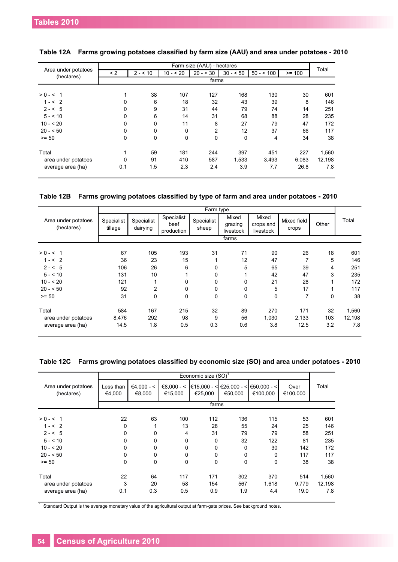|                                   |          |          |           | Farm size (AAU) - hectares |             |            |          | Total  |  |  |  |
|-----------------------------------|----------|----------|-----------|----------------------------|-------------|------------|----------|--------|--|--|--|
| Area under potatoes<br>(hectares) | $\leq$ 2 | $2 - 10$ | $10 - 20$ | $20 - 30$                  | $30 - 50$   | $50 - 500$ | $>= 100$ |        |  |  |  |
|                                   |          | farms    |           |                            |             |            |          |        |  |  |  |
|                                   |          |          |           |                            |             |            |          |        |  |  |  |
| $> 0 - 5 1$                       |          | 38       | 107       | 127                        | 168         | 130        | 30       | 601    |  |  |  |
| $1 - 52$                          | 0        | 6        | 18        | 32                         | 43          | 39         | 8        | 146    |  |  |  |
| $2 - 5$                           | $\Omega$ | 9        | 31        | 44                         | 79          | 74         | 14       | 251    |  |  |  |
| $5 - 10$                          | 0        | 6        | 14        | 31                         | 68          | 88         | 28       | 235    |  |  |  |
| $10 - 520$                        | 0        | $\Omega$ | 11        | 8                          | 27          | 79         | 47       | 172    |  |  |  |
| $20 - 50$                         | 0        | $\Omega$ | $\Omega$  | $\overline{2}$             | 12          | 37         | 66       | 117    |  |  |  |
| $>= 50$                           | 0        | $\Omega$ | $\Omega$  | 0                          | $\mathbf 0$ | 4          | 34       | 38     |  |  |  |
| Total                             |          | 59       | 181       | 244                        | 397         | 451        | 227      | 1,560  |  |  |  |
| area under potatoes               | 0        | 91       | 410       | 587                        | 1,533       | 3,493      | 6,083    | 12,198 |  |  |  |
| average area (ha)                 | 0.1      | 1.5      | 2.3       | 2.4                        | 3.9         | 7.7        | 26.8     | 7.8    |  |  |  |

| Table 12A Farms growing potatoes classified by farm size (AAU) and area under potatoes - 2010 |  |  |
|-----------------------------------------------------------------------------------------------|--|--|
|                                                                                               |  |  |

**Table 12B Farms growing potatoes classified by type of farm and area under potatoes - 2010**

|                                   |                       |                        |                                  | Farm type           |                               |                                 |                      |       |        |  |
|-----------------------------------|-----------------------|------------------------|----------------------------------|---------------------|-------------------------------|---------------------------------|----------------------|-------|--------|--|
| Area under potatoes<br>(hectares) | Specialist<br>tillage | Specialist<br>dairying | Specialist<br>beef<br>production | Specialist<br>sheep | Mixed<br>grazing<br>livestock | Mixed<br>crops and<br>livestock | Mixed field<br>crops | Other | Total  |  |
|                                   | farms                 |                        |                                  |                     |                               |                                 |                      |       |        |  |
| $> 0 - 5 1$                       | 67                    | 105                    | 193                              | 31                  | 71                            | 90                              | 26                   | 18    | 601    |  |
| $1 - 52$                          | 36                    | 23                     | 15                               |                     | 12                            | 47                              | $\overline{7}$       | 5     | 146    |  |
| $2 - 5$                           | 106                   | 26                     | 6                                | 0                   | 5                             | 65                              | 39                   | 4     | 251    |  |
| $5 - 10$                          | 131                   | 10                     |                                  | 0                   |                               | 42                              | 47                   | 3     | 235    |  |
| $10 - 20$                         | 121                   |                        | 0                                | 0                   | 0                             | 21                              | 28                   |       | 172    |  |
| $20 - 50$                         | 92                    | 2                      | 0                                | 0                   | 0                             | 5                               | 17                   |       | 117    |  |
| $>= 50$                           | 31                    | 0                      | $\mathbf 0$                      | 0                   | 0                             | 0                               | 7                    | 0     | 38     |  |
| Total                             | 584                   | 167                    | 215                              | 32                  | 89                            | 270                             | 171                  | 32    | 1,560  |  |
| area under potatoes               | 8,476                 | 292                    | 98                               | 9                   | 56                            | 1,030                           | 2,133                | 103   | 12,198 |  |
| average area (ha)                 | 14.5                  | 1.8                    | 0.5                              | 0.3                 | 0.6                           | 3.8                             | 12.5                 | 3.2   | 7.8    |  |

**Table 12C Farms growing potatoes classified by economic size (SO) and area under potatoes - 2010**

|                                   |                     |                        |          | Economic size (SO) <sup>1</sup> |         |                                                                                         |                  |        |
|-----------------------------------|---------------------|------------------------|----------|---------------------------------|---------|-----------------------------------------------------------------------------------------|------------------|--------|
| Area under potatoes<br>(hectares) | Less than<br>€4,000 | $€4,000 - <$<br>€8,000 | €15,000  | €25,000                         | €50,000 | $€8,000 - <$ $\leq$ $€15,000 - <$ $\leq$ $€25,000 - <$ $\leq$ $€50,000 - <$<br>€100,000 | Over<br>€100,000 | Total  |
|                                   | farms               |                        |          |                                 |         |                                                                                         |                  |        |
| $> 0 - 5 1$                       | 22                  | 63                     | 100      | 112                             | 136     | 115                                                                                     | 53               | 601    |
| $1 - 52$                          | 0                   |                        | 13       | 28                              | 55      | 24                                                                                      | 25               | 146    |
| $2 - 5$                           | 0                   | 0                      | 4        | 31                              | 79      | 79                                                                                      | 58               | 251    |
| $5 - 10$                          | 0                   | 0                      | $\Omega$ | 0                               | 32      | 122                                                                                     | 81               | 235    |
| $10 - 520$                        | 0                   | 0                      | $\Omega$ | 0                               | 0       | 30                                                                                      | 142              | 172    |
| $20 - 50$                         | 0                   | 0                      | $\Omega$ | $\Omega$                        | 0       | 0                                                                                       | 117              | 117    |
| $>= 50$                           | $\Omega$            | 0                      | $\Omega$ | $\Omega$                        | 0       | $\Omega$                                                                                | 38               | 38     |
| Total                             | 22                  | 64                     | 117      | 171                             | 302     | 370                                                                                     | 514              | 1,560  |
| area under potatoes               | 3                   | 20                     | 58       | 154                             | 567     | 1,618                                                                                   | 9,779            | 12,198 |
| average area (ha)                 | 0.1                 | 0.3                    | 0.5      | 0.9                             | 1.9     | 4.4                                                                                     | 19.0             | 7.8    |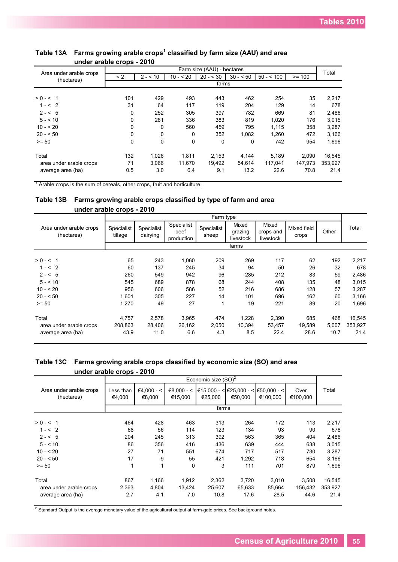|                                       | - r -    |          |           |                            |           |            |          |         |  |  |
|---------------------------------------|----------|----------|-----------|----------------------------|-----------|------------|----------|---------|--|--|
|                                       |          |          |           | Farm size (AAU) - hectares |           |            |          | Total   |  |  |
| Area under arable crops<br>(hectares) | $\leq$ 2 | $2 - 10$ | $10 - 20$ | $20 - 30$                  | $30 - 50$ | $50 - 500$ | $>= 100$ |         |  |  |
|                                       | farms    |          |           |                            |           |            |          |         |  |  |
| $> 0 - 5 = 1$                         | 101      | 429      | 493       | 443                        | 462       | 254        | 35       | 2,217   |  |  |
| $1 - 52$                              | 31       | 64       | 117       | 119                        | 204       | 129        | 14       | 678     |  |  |
| $2 - 5$                               | 0        | 252      | 305       | 397                        | 782       | 669        | 81       | 2,486   |  |  |
| $5 - 510$                             | 0        | 281      | 336       | 383                        | 819       | 1,020      | 176      | 3,015   |  |  |
| $10 - 520$                            | 0        | 0        | 560       | 459                        | 795       | 1,115      | 358      | 3,287   |  |  |
| $20 - 50$                             | 0        | 0        | 0         | 352                        | 1.082     | 1.260      | 472      | 3,166   |  |  |
| $>= 50$                               | $\Omega$ | 0        | 0         | 0                          | 0         | 742        | 954      | 1,696   |  |  |
| Total                                 | 132      | 1,026    | 1.811     | 2,153                      | 4,144     | 5,189      | 2.090    | 16,545  |  |  |
| area under arable crops               | 71       | 3,066    | 11,670    | 19,492                     | 54,614    | 117,041    | 147,973  | 353,927 |  |  |
| average area (ha)                     | 0.5      | 3.0      | 6.4       | 9.1                        | 13.2      | 22.6       | 70.8     | 21.4    |  |  |

#### **Table 13A Farms growing arable crops 1 classified by farm size (AAU) and area under arable crops - 2010**

<sup>1</sup> Arable crops is the sum of cereals, other crops, fruit and horticulture.

#### **Table 13B Farms growing arable crops classified by type of farm and area under arable crops - 2010**

|                                       |                       |                        |                                  | Farm type           |                               |                                 |                      |       |         |
|---------------------------------------|-----------------------|------------------------|----------------------------------|---------------------|-------------------------------|---------------------------------|----------------------|-------|---------|
| Area under arable crops<br>(hectares) | Specialist<br>tillage | Specialist<br>dairying | Specialist<br>beef<br>production | Specialist<br>sheep | Mixed<br>grazing<br>livestock | Mixed<br>crops and<br>livestock | Mixed field<br>crops | Other | Total   |
|                                       |                       |                        |                                  |                     | farms                         |                                 |                      |       |         |
| $> 0 - 5 1$                           | 65                    | 243                    | 1,060                            | 209                 | 269                           | 117                             | 62                   | 192   | 2,217   |
| $1 - 52$                              | 60                    | 137                    | 245                              | 34                  | 94                            | 50                              | 26                   | 32    | 678     |
| $2 - 5$                               | 260                   | 549                    | 942                              | 96                  | 285                           | 212                             | 83                   | 59    | 2,486   |
| $5 - 510$                             | 545                   | 689                    | 878                              | 68                  | 244                           | 408                             | 135                  | 48    | 3,015   |
| $10 - 520$                            | 956                   | 606                    | 586                              | 52                  | 216                           | 686                             | 128                  | 57    | 3,287   |
| $20 - 50$                             | 1.601                 | 305                    | 227                              | 14                  | 101                           | 696                             | 162                  | 60    | 3,166   |
| $>= 50$                               | 1,270                 | 49                     | 27                               | 1                   | 19                            | 221                             | 89                   | 20    | 1,696   |
| Total                                 | 4,757                 | 2,578                  | 3,965                            | 474                 | 1,228                         | 2,390                           | 685                  | 468   | 16,545  |
| area under arable crops               | 208,863               | 28,406                 | 26,162                           | 2,050               | 10,394                        | 53.457                          | 19,589               | 5,007 | 353,927 |
| average area (ha)                     | 43.9                  | 11.0                   | 6.6                              | 4.3                 | 8.5                           | 22.4                            | 28.6                 | 10.7  | 21.4    |

## **Table 13C Farms growing arable crops classified by economic size (SO) and area under arable crops - 2010**

|                                       |                     |                        |                         | Economic size $(SO)^2$ |                                                       |                         |                  |         |  |  |
|---------------------------------------|---------------------|------------------------|-------------------------|------------------------|-------------------------------------------------------|-------------------------|------------------|---------|--|--|
| Area under arable crops<br>(hectares) | Less than<br>€4.000 | $€4.000 - <$<br>€8.000 | $€8.000 - <$<br>€15.000 | €25.000                | l€15.000 - <l€25.000 -="" <l<br="">€50.000</l€25.000> | €50.000 - <<br>€100.000 | Over<br>€100.000 | Total   |  |  |
|                                       | farms               |                        |                         |                        |                                                       |                         |                  |         |  |  |
| $> 0 - 5 1$                           | 464                 | 428                    | 463                     | 313                    | 264                                                   | 172                     | 113              | 2,217   |  |  |
| $1 - 52$                              | 68                  | 56                     | 114                     | 123                    | 134                                                   | 93                      | 90               | 678     |  |  |
| $2 - 5$                               | 204                 | 245                    | 313                     | 392                    | 563                                                   | 365                     | 404              | 2,486   |  |  |
| $5 - 510$                             | 86                  | 356                    | 416                     | 436                    | 639                                                   | 444                     | 638              | 3,015   |  |  |
| $10 - 520$                            | 27                  | 71                     | 551                     | 674                    | 717                                                   | 517                     | 730              | 3,287   |  |  |
| $20 - 50$                             | 17                  | 9                      | 55                      | 421                    | 1,292                                                 | 718                     | 654              | 3,166   |  |  |
| $>= 50$                               | 1                   | 1                      | 0                       | 3                      | 111                                                   | 701                     | 879              | 1,696   |  |  |
| Total                                 | 867                 | 1,166                  | 1.912                   | 2,362                  | 3,720                                                 | 3,010                   | 3.508            | 16,545  |  |  |
| area under arable crops               | 2,363               | 4,804                  | 13.424                  | 25,607                 | 65,633                                                | 85,664                  | 156,432          | 353,927 |  |  |
| average area (ha)                     | 2.7                 | 4.1                    | 7.0                     | 10.8                   | 17.6                                                  | 28.5                    | 44.6             | 21.4    |  |  |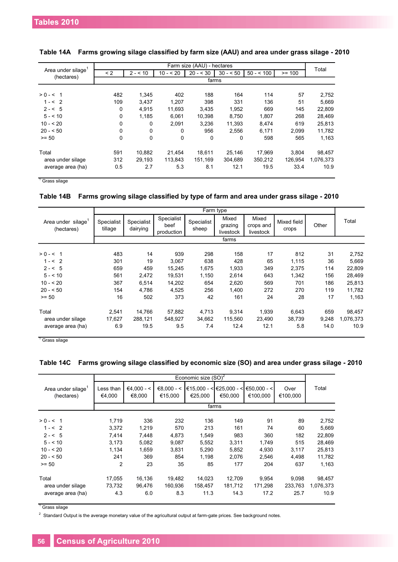|                   |          |             |           | Farm size (AAU) - hectares |           |            |          | Total     |  |  |
|-------------------|----------|-------------|-----------|----------------------------|-----------|------------|----------|-----------|--|--|
| Area under silage | $\leq$ 2 | $2 - 10$    | $10 - 20$ | $20 - 530$                 | $30 - 50$ | $50 - 100$ | $>= 100$ |           |  |  |
| (hectares)        | farms    |             |           |                            |           |            |          |           |  |  |
|                   |          |             |           |                            |           |            |          |           |  |  |
| $> 0 - 5 1$       | 482      | 1.345       | 402       | 188                        | 164       | 114        | 57       | 2,752     |  |  |
| $1 - 52$          | 109      | 3,437       | 1.207     | 398                        | 331       | 136        | 51       | 5,669     |  |  |
| $2 - 5$           | 0        | 4,915       | 11.693    | 3,435                      | 1,952     | 669        | 145      | 22,809    |  |  |
| $5 - 510$         | $\Omega$ | 1.185       | 6.061     | 10.398                     | 8.750     | 1.807      | 268      | 28,469    |  |  |
| $10 - 520$        | $\Omega$ | 0           | 2,091     | 3.236                      | 11,393    | 8,474      | 619      | 25,813    |  |  |
| $20 - 50$         | $\Omega$ | 0           | 0         | 956                        | 2.556     | 6.171      | 2.099    | 11,782    |  |  |
| $>= 50$           | $\Omega$ | $\mathbf 0$ | 0         | $\Omega$                   | 0         | 598        | 565      | 1,163     |  |  |
|                   |          |             |           |                            |           |            |          |           |  |  |
| Total             | 591      | 10,882      | 21.454    | 18,611                     | 25,146    | 17.969     | 3.804    | 98,457    |  |  |
| area under silage | 312      | 29.193      | 113.843   | 151.169                    | 304.689   | 350,212    | 126.954  | 1,076,373 |  |  |
| average area (ha) | 0.5      | 2.7         | 5.3       | 8.1                        | 12.1      | 19.5       | 33.4     | 10.9      |  |  |

#### **Table 14A Farms growing silage classified by farm size (AAU) and area under grass silage - 2010**

<sup>1</sup> Grass silage

#### **Table 14B Farms growing silage classified by type of farm and area under grass silage - 2010**

|                                 |                       |                        |                                  |                     | Farm type                     |                                 |                      |       |           |
|---------------------------------|-----------------------|------------------------|----------------------------------|---------------------|-------------------------------|---------------------------------|----------------------|-------|-----------|
| Area under silage<br>(hectares) | Specialist<br>tillage | Specialist<br>dairying | Specialist<br>beef<br>production | Specialist<br>sheep | Mixed<br>grazing<br>livestock | Mixed<br>crops and<br>livestock | Mixed field<br>crops | Other | Total     |
|                                 |                       |                        |                                  |                     | farms                         |                                 |                      |       |           |
| $> 0 - 5 = 1$                   | 483                   | 14                     | 939                              | 298                 | 158                           | 17                              | 812                  | 31    | 2,752     |
| $1 - 52$                        | 301                   | 19                     | 3,067                            | 638                 | 428                           | 65                              | 1,115                | 36    | 5,669     |
| $2 - 5$                         | 659                   | 459                    | 15.245                           | 1.675               | 1,933                         | 349                             | 2,375                | 114   | 22,809    |
| $5 - 10$                        | 561                   | 2.472                  | 19,531                           | 1,150               | 2,614                         | 643                             | 1,342                | 156   | 28,469    |
| $10 - 520$                      | 367                   | 6,514                  | 14,202                           | 654                 | 2,620                         | 569                             | 701                  | 186   | 25,813    |
| $20 - 50$                       | 154                   | 4,786                  | 4,525                            | 256                 | 1,400                         | 272                             | 270                  | 119   | 11,782    |
| $>= 50$                         | 16                    | 502                    | 373                              | 42                  | 161                           | 24                              | 28                   | 17    | 1,163     |
| Total                           | 2,541                 | 14,766                 | 57,882                           | 4,713               | 9,314                         | 1,939                           | 6,643                | 659   | 98,457    |
| area under silage               | 17,627                | 288,121                | 548,927                          | 34.662              | 115,560                       | 23.490                          | 38,739               | 9,248 | 1,076,373 |
| average area (ha)               | 6.9                   | 19.5                   | 9.5                              | 7.4                 | 12.4                          | 12.1                            | 5.8                  | 14.0  | 10.9      |

<sup>1</sup> Grass silage

#### **Table 14C Farms growing silage classified by economic size (SO) and area under grass silage - 2010**

|                                 |                     |                        |                         | Economic size $(SO)^2$ |                                              |                         |                  |           |
|---------------------------------|---------------------|------------------------|-------------------------|------------------------|----------------------------------------------|-------------------------|------------------|-----------|
| Area under silage<br>(hectares) | Less than<br>€4.000 | $€4.000 - <$<br>€8.000 | $€8.000 - <$<br>€15.000 | €25.000                | $\in$ 15,000 - < $\in$ 25,000 - <<br>€50.000 | €50.000 - <<br>€100.000 | Over<br>€100.000 | Total     |
|                                 |                     |                        |                         |                        | farms                                        |                         |                  |           |
| $> 0 - 5 = 1$                   | 1.719               | 336                    | 232                     | 136                    | 149                                          | 91                      | 89               | 2,752     |
| $1 - 52$                        | 3.372               | 1,219                  | 570                     | 213                    | 161                                          | 74                      | 60               | 5,669     |
| $2 - 5$                         | 7,414               | 7,448                  | 4,873                   | 1.549                  | 983                                          | 360                     | 182              | 22,809    |
| $5 - 10$                        | 3,173               | 5,082                  | 9,087                   | 5,552                  | 3,311                                        | 1,749                   | 515              | 28,469    |
| $10 - 520$                      | 1.134               | 1,659                  | 3,831                   | 5.290                  | 5,852                                        | 4,930                   | 3,117            | 25,813    |
| $20 - 50$                       | 241                 | 369                    | 854                     | 1.198                  | 2.076                                        | 2,546                   | 4,498            | 11,782    |
| $>= 50$                         | $\overline{2}$      | 23                     | 35                      | 85                     | 177                                          | 204                     | 637              | 1,163     |
| Total                           | 17,055              | 16,136                 | 19.482                  | 14,023                 | 12,709                                       | 9,954                   | 9.098            | 98,457    |
| area under silage               | 73,732              | 96,476                 | 160,936                 | 158,457                | 181,712                                      | 171,298                 | 233,763          | 1,076,373 |
| average area (ha)               | 4.3                 | 6.0                    | 8.3                     | 11.3                   | 14.3                                         | 17.2                    | 25.7             | 10.9      |

<sup>1</sup> Grass silage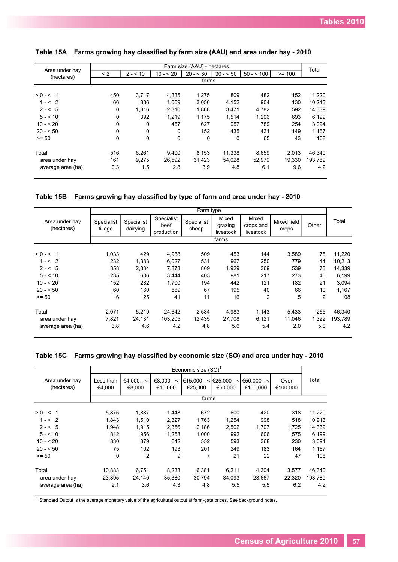|                              |              |          |            | Farm size (AAU) - hectares |           |            |          |         |
|------------------------------|--------------|----------|------------|----------------------------|-----------|------------|----------|---------|
| Area under hay<br>(hectares) | < 2          | $2 - 10$ | $10 - 520$ | $20 - 30$                  | $30 - 50$ | $50 - 500$ | $>= 100$ | Total   |
|                              |              |          |            | farms                      |           |            |          |         |
| $> 0 - 5 1$                  | 450          | 3.717    | 4.335      | 1,275                      | 809       | 482        | 152      | 11,220  |
| $1 - 52$                     | 66           | 836      | 1.069      | 3,056                      | 4,152     | 904        | 130      | 10,213  |
| $2 - 5$                      | $\mathbf 0$  | 1.316    | 2,310      | 1,868                      | 3,471     | 4,782      | 592      | 14,339  |
| $5 - 10$                     | 0            | 392      | 1.219      | 1.175                      | 1,514     | 1.206      | 693      | 6,199   |
| $10 - 20$                    | 0            | $\Omega$ | 467        | 627                        | 957       | 789        | 254      | 3,094   |
| $20 - 50$                    | 0            | $\Omega$ | $\Omega$   | 152                        | 435       | 431        | 149      | 1,167   |
| $>= 50$                      | $\mathbf{0}$ | $\Omega$ | $\Omega$   | $\mathbf 0$                | $\Omega$  | 65         | 43       | 108     |
| Total                        | 516          | 6,261    | 9.400      | 8.153                      | 11,338    | 8,659      | 2.013    | 46,340  |
| area under hay               | 161          | 9.275    | 26.592     | 31.423                     | 54.028    | 52,979     | 19.330   | 193.789 |
| average area (ha)            | 0.3          | 1.5      | 2.8        | 3.9                        | 4.8       | 6.1        | 9.6      | 4.2     |

#### **Table 15A Farms growing hay classified by farm size (AAU) and area under hay - 2010**

**Table 15B Farms growing hay classified by type of farm and area under hay - 2010**

|                              |                       |                        |                                  | Farm type           |                               |                                 |                      |       |         |
|------------------------------|-----------------------|------------------------|----------------------------------|---------------------|-------------------------------|---------------------------------|----------------------|-------|---------|
| Area under hay<br>(hectares) | Specialist<br>tillage | Specialist<br>dairying | Specialist<br>beef<br>production | Specialist<br>sheep | Mixed<br>grazing<br>livestock | Mixed<br>crops and<br>livestock | Mixed field<br>crops | Other | Total   |
|                              |                       |                        |                                  |                     | farms                         |                                 |                      |       |         |
| $> 0 - 5 1$                  | 1,033                 | 429                    | 4,988                            | 509                 | 453                           | 144                             | 3,589                | 75    | 11,220  |
| $1 - 52$                     | 232                   | 1,383                  | 6,027                            | 531                 | 967                           | 250                             | 779                  | 44    | 10,213  |
| $2 - 5$                      | 353                   | 2,334                  | 7,873                            | 869                 | 1.929                         | 369                             | 539                  | 73    | 14,339  |
| $5 - 510$                    | 235                   | 606                    | 3,444                            | 403                 | 981                           | 217                             | 273                  | 40    | 6,199   |
| $10 - 520$                   | 152                   | 282                    | 1.700                            | 194                 | 442                           | 121                             | 182                  | 21    | 3,094   |
| $20 - 50$                    | 60                    | 160                    | 569                              | 67                  | 195                           | 40                              | 66                   | 10    | 1,167   |
| $>= 50$                      | 6                     | 25                     | 41                               | 11                  | 16                            | $\overline{2}$                  | 5                    | 2     | 108     |
| Total                        | 2,071                 | 5,219                  | 24,642                           | 2,584               | 4,983                         | 1,143                           | 5,433                | 265   | 46,340  |
| area under hay               | 7,821                 | 24,131                 | 103,205                          | 12.435              | 27,708                        | 6,121                           | 11.046               | 1,322 | 193,789 |
| average area (ha)            | 3.8                   | 4.6                    | 4.2                              | 4.8                 | 5.6                           | 5.4                             | 2.0                  | 5.0   | 4.2     |

#### **Table 15C Farms growing hay classified by economic size (SO) and area under hay - 2010**

|                              |                     |                        |                         | Economic size (SO) <sup>1</sup> |                                              |                           |                  |         |
|------------------------------|---------------------|------------------------|-------------------------|---------------------------------|----------------------------------------------|---------------------------|------------------|---------|
| Area under hay<br>(hectares) | Less than<br>€4.000 | $€4.000 - <$<br>€8,000 | $€8.000 - <$<br>€15,000 | €25,000                         | $\in$ 15,000 - < $\in$ 25,000 - <<br>€50.000 | $€50,000 - <$<br>€100,000 | Over<br>€100,000 | Total   |
|                              |                     |                        |                         | farms                           |                                              |                           |                  |         |
| $> 0 - 5 = 1$                | 5,875               | 1,887                  | 1,448                   | 672                             | 600                                          | 420                       | 318              | 11,220  |
| $1 - 52$                     | 1,843               | 1,510                  | 2,327                   | 1,763                           | 1,254                                        | 998                       | 518              | 10,213  |
| $2 - 5$                      | 1.948               | 1.915                  | 2,356                   | 2,186                           | 2,502                                        | 1,707                     | 1.725            | 14,339  |
| $5 - 510$                    | 812                 | 956                    | 1,258                   | 1,000                           | 992                                          | 606                       | 575              | 6,199   |
| $10 - 520$                   | 330                 | 379                    | 642                     | 552                             | 593                                          | 368                       | 230              | 3,094   |
| $20 - 50$                    | 75                  | 102                    | 193                     | 201                             | 249                                          | 183                       | 164              | 1.167   |
| $>= 50$                      | $\mathbf 0$         | $\overline{2}$         | 9                       | 7                               | 21                                           | 22                        | 47               | 108     |
| Total                        | 10,883              | 6,751                  | 8,233                   | 6,381                           | 6,211                                        | 4,304                     | 3.577            | 46,340  |
| area under hay               | 23,395              | 24,140                 | 35,380                  | 30,794                          | 34,093                                       | 23,667                    | 22,320           | 193,789 |
| average area (ha)            | 2.1                 | 3.6                    | 4.3                     | 4.8                             | 5.5                                          | 5.5                       | 6.2              | 4.2     |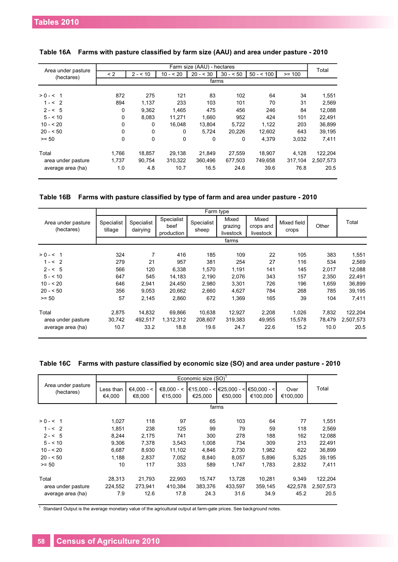|                                  |          |             |             | Farm size (AAU) - hectares |           |            |          |           |  |  |
|----------------------------------|----------|-------------|-------------|----------------------------|-----------|------------|----------|-----------|--|--|
| Area under pasture<br>(hectares) | $\leq$ 2 | $2 - 10$    | $10 - 520$  | $20 - 530$                 | $30 - 50$ | $50 - 500$ | $>= 100$ | Total     |  |  |
|                                  | farms    |             |             |                            |           |            |          |           |  |  |
| $> 0 - 5 1$                      | 872      | 275         | 121         | 83                         | 102       | 64         | 34       | 1,551     |  |  |
| $1 - 52$                         | 894      | 1,137       | 233         | 103                        | 101       | 70         | 31       | 2,569     |  |  |
| $2 - 5$                          | 0        | 9,362       | 1,465       | 475                        | 456       | 246        | 84       | 12,088    |  |  |
| $5 - 10$                         | $\Omega$ | 8.083       | 11.271      | 1.660                      | 952       | 424        | 101      | 22,491    |  |  |
| $10 - 520$                       | $\Omega$ | $\Omega$    | 16.048      | 13,804                     | 5,722     | 1,122      | 203      | 36,899    |  |  |
| $20 - 50$                        | $\Omega$ | $\mathbf 0$ | 0           | 5.724                      | 20,226    | 12,602     | 643      | 39,195    |  |  |
| $>= 50$                          | $\Omega$ | $\mathbf 0$ | $\mathbf 0$ | 0                          | 0         | 4.379      | 3,032    | 7,411     |  |  |
| Total                            | 1.766    | 18.857      | 29.138      | 21,849                     | 27,559    | 18,907     | 4,128    | 122,204   |  |  |
| area under pasture               | 1.737    | 90.754      | 310.322     | 360.496                    | 677.503   | 749.658    | 317.104  | 2,507,573 |  |  |
| average area (ha)                | 1.0      | 4.8         | 10.7        | 16.5                       | 24.6      | 39.6       | 76.8     | 20.5      |  |  |

**Table 16B Farms with pasture classified by type of farm and area under pasture - 2010**

|                                         |                       |                        |                                  |                     | Farm type                     |                                 |                      |                |                   |
|-----------------------------------------|-----------------------|------------------------|----------------------------------|---------------------|-------------------------------|---------------------------------|----------------------|----------------|-------------------|
| Area under pasture<br>(hectares)        | Specialist<br>tillage | Specialist<br>dairying | Specialist<br>beef<br>production | Specialist<br>sheep | Mixed<br>grazing<br>livestock | Mixed<br>crops and<br>livestock | Mixed field<br>crops | Other          | Total             |
|                                         |                       |                        |                                  |                     | farms                         |                                 |                      |                |                   |
| $> 0 - 5 = 1$                           | 324                   | 7                      | 416                              | 185                 | 109                           | 22                              | 105                  | 383            | 1,551             |
| $1 - 52$                                | 279                   | 21                     | 957                              | 381                 | 254                           | 27                              | 116                  | 534            | 2,569             |
| $2 - 5$                                 | 566                   | 120                    | 6,338                            | 1,570               | 1,191                         | 141                             | 145                  | 2,017          | 12,088            |
| $5 - 510$                               | 647                   | 545                    | 14.183                           | 2,190               | 2,076                         | 343                             | 157                  | 2.350          | 22,491            |
| $10 - 520$                              | 646                   | 2,941                  | 24.450                           | 2,980               | 3,301                         | 726                             | 196                  | 1.659          | 36,899            |
| $20 - 50$                               | 356                   | 9,053                  | 20.662                           | 2,660               | 4,627                         | 784                             | 268                  | 785            | 39,195            |
| $>= 50$                                 | 57                    | 2,145                  | 2,860                            | 672                 | 1,369                         | 165                             | 39                   | 104            | 7,411             |
| Total                                   | 2.875                 | 14.832                 | 69.866                           | 10.638              | 12,927                        | 2,208                           | 1,026                | 7,832          | 122,204           |
| area under pasture<br>average area (ha) | 30,742<br>10.7        | 492,517<br>33.2        | 1,312,312<br>18.8                | 208.607<br>19.6     | 319,383<br>24.7               | 49,955<br>22.6                  | 15,578<br>15.2       | 78.479<br>10.0 | 2,507,573<br>20.5 |

|  |  | Table 16C Farms with pasture classified by economic size (SO) and area under pasture - 2010 |  |  |  |  |  |
|--|--|---------------------------------------------------------------------------------------------|--|--|--|--|--|
|--|--|---------------------------------------------------------------------------------------------|--|--|--|--|--|

|                                  |                     |                        |                         | Economic size (SO) |                                    |                           |                  |           |
|----------------------------------|---------------------|------------------------|-------------------------|--------------------|------------------------------------|---------------------------|------------------|-----------|
| Area under pasture<br>(hectares) | Less than<br>€4,000 | $€4.000 - <$<br>€8,000 | $€8.000 - <$<br>€15,000 | €25.000            | €15.000 - < €25.000 - <<br>€50.000 | $∈50.000 -  $<br>€100,000 | Over<br>€100,000 | Total     |
|                                  |                     |                        |                         |                    | farms                              |                           |                  |           |
| $> 0 - 5 = 1$                    | 1.027               | 118                    | 97                      | 65                 | 103                                | 64                        | 77               | 1,551     |
| $1 - 52$                         | 1.851               | 238                    | 125                     | 99                 | 79                                 | 59                        | 118              | 2.569     |
| $2 - 5$                          | 8,244               | 2,175                  | 741                     | 300                | 278                                | 188                       | 162              | 12,088    |
| $5 - 510$                        | 9.306               | 7.378                  | 3.543                   | 1.008              | 734                                | 309                       | 213              | 22,491    |
| $10 - 520$                       | 6.687               | 8.930                  | 11,102                  | 4,846              | 2,730                              | 1,982                     | 622              | 36,899    |
| $20 - 50$                        | 1.188               | 2.837                  | 7.052                   | 8.840              | 8.057                              | 5.896                     | 5.325            | 39,195    |
| $>= 50$                          | 10                  | 117                    | 333                     | 589                | 1.747                              | 1.783                     | 2,832            | 7.411     |
| Total                            | 28,313              | 21,793                 | 22.993                  | 15,747             | 13,728                             | 10,281                    | 9,349            | 122,204   |
| area under pasture               | 224,552             | 273,941                | 410,384                 | 383,376            | 433.597                            | 359,145                   | 422,578          | 2,507,573 |
| average area (ha)                | 7.9                 | 12.6                   | 17.8                    | 24.3               | 31.6                               | 34.9                      | 45.2             | 20.5      |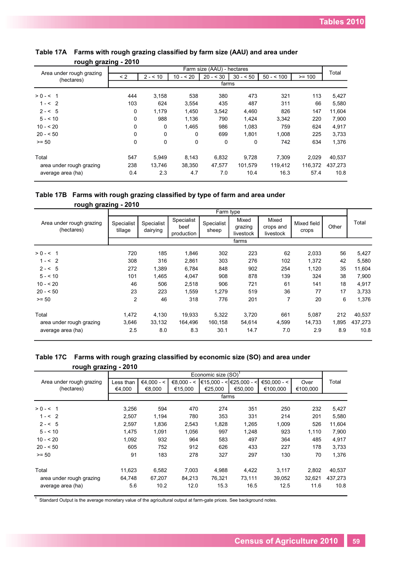| פייי=~יש ייפ~~י                        | $- - -$  |          |             |                            |           |            |          |         |
|----------------------------------------|----------|----------|-------------|----------------------------|-----------|------------|----------|---------|
|                                        |          |          |             | Farm size (AAU) - hectares |           |            |          | Total   |
| Area under rough grazing<br>(hectares) | $\leq$ 2 | $2 - 10$ | $10 - 520$  | $20 - 530$                 | $30 - 50$ | $50 - 100$ | $>= 100$ |         |
|                                        |          |          |             | farms                      |           |            |          |         |
| $> 0 - 5 = 1$                          | 444      | 3,158    | 538         | 380                        | 473       | 321        | 113      | 5,427   |
| $1 - 52$                               | 103      | 624      | 3,554       | 435                        | 487       | 311        | 66       | 5,580   |
| $2 - 5$                                | 0        | 1.179    | 1,450       | 3,542                      | 4,460     | 826        | 147      | 11,604  |
| $5 - 5 = 10$                           | 0        | 988      | 1,136       | 790                        | 1,424     | 3,342      | 220      | 7,900   |
| $10 - 520$                             | 0        | $\Omega$ | 1,465       | 986                        | 1,083     | 759        | 624      | 4,917   |
| $20 - 50$                              | 0        | 0        | $\mathbf 0$ | 699                        | 1.801     | 1,008      | 225      | 3,733   |
| $>= 50$                                | 0        | 0        | $\mathbf 0$ | 0                          | $\Omega$  | 742        | 634      | 1,376   |
| Total                                  | 547      | 5,949    | 8,143       | 6,832                      | 9,728     | 7,309      | 2,029    | 40,537  |
| area under rough grazing               | 238      | 13,746   | 38,350      | 47,577                     | 101,579   | 119,412    | 116,372  | 437,273 |
| average area (ha)                      | 0.4      | 2.3      | 4.7         | 7.0                        | 10.4      | 16.3       | 57.4     | 10.8    |

#### **Table 17A Farms with rough grazing classified by farm size (AAU) and area under rough grazing - 2010**

#### **Table 17B Farms with rough grazing classified by type of farm and area under rough grazing - 2010**

| . <u>.</u>                             | <u>.</u>              |                        |                                  | Farm type           |                               |                                 |                      |       |         |
|----------------------------------------|-----------------------|------------------------|----------------------------------|---------------------|-------------------------------|---------------------------------|----------------------|-------|---------|
| Area under rough grazing<br>(hectares) | Specialist<br>tillage | Specialist<br>dairying | Specialist<br>beef<br>production | Specialist<br>sheep | Mixed<br>grazing<br>livestock | Mixed<br>crops and<br>livestock | Mixed field<br>crops | Other | Total   |
|                                        |                       |                        |                                  |                     | farms                         |                                 |                      |       |         |
| $> 0 - 5 = 1$                          | 720                   | 185                    | 1,846                            | 302                 | 223                           | 62                              | 2,033                | 56    | 5,427   |
| $1 - 52$                               | 308                   | 316                    | 2,861                            | 303                 | 276                           | 102                             | 1,372                | 42    | 5,580   |
| $2 - 5$                                | 272                   | 1,389                  | 6,784                            | 848                 | 902                           | 254                             | 1,120                | 35    | 11,604  |
| $5 - 10$                               | 101                   | 1,465                  | 4,047                            | 908                 | 878                           | 139                             | 324                  | 38    | 7,900   |
| $10 - 520$                             | 46                    | 506                    | 2,518                            | 906                 | 721                           | 61                              | 141                  | 18    | 4,917   |
| $20 - 50$                              | 23                    | 223                    | 1,559                            | 1,279               | 519                           | 36                              | 77                   | 17    | 3,733   |
| $>= 50$                                | $\overline{2}$        | 46                     | 318                              | 776                 | 201                           | $\overline{7}$                  | 20                   | 6     | 1,376   |
| Total                                  | 1,472                 | 4,130                  | 19,933                           | 5,322               | 3,720                         | 661                             | 5,087                | 212   | 40,537  |
| area under rough grazing               | 3,646                 | 33,132                 | 164,496                          | 160,158             | 54,614                        | 4,599                           | 14,733               | 1,895 | 437,273 |
| average area (ha)                      | 2.5                   | 8.0                    | 8.3                              | 30.1                | 14.7                          | 7.0                             | 2.9                  | 8.9   | 10.8    |

## **Table 17C Farms with rough grazing classified by economic size (SO) and area under rough grazing - 2010**

| <u>. . </u>                            | $\cdot$             |                        |                         | Economic size (SO) |                                              |                           |                  |         |
|----------------------------------------|---------------------|------------------------|-------------------------|--------------------|----------------------------------------------|---------------------------|------------------|---------|
| Area under rough grazing<br>(hectares) | Less than<br>€4,000 | $€4.000 - <$<br>€8,000 | $€8.000 - <$<br>€15,000 | €25,000            | $\in$ 15,000 - < $\in$ 25,000 - <<br>€50.000 | $€50.000 - <$<br>€100,000 | Over<br>€100,000 | Total   |
|                                        |                     |                        |                         | farms              |                                              |                           |                  |         |
| $> 0 - 5 1$                            | 3,256               | 594                    | 470                     | 274                | 351                                          | 250                       | 232              | 5,427   |
| $1 - 52$                               | 2,507               | 1,194                  | 780                     | 353                | 331                                          | 214                       | 201              | 5,580   |
| $2 - 5$                                | 2,597               | 1,836                  | 2,543                   | 1,828              | 1,265                                        | 1,009                     | 526              | 11,604  |
| $5 - 10$                               | 1,475               | 1,091                  | 1,056                   | 997                | 1,248                                        | 923                       | 1,110            | 7,900   |
| $10 - 520$                             | 1,092               | 932                    | 964                     | 583                | 497                                          | 364                       | 485              | 4,917   |
| $20 - 50$                              | 605                 | 752                    | 912                     | 626                | 433                                          | 227                       | 178              | 3,733   |
| $>= 50$                                | 91                  | 183                    | 278                     | 327                | 297                                          | 130                       | 70               | 1,376   |
| Total                                  | 11,623              | 6,582                  | 7,003                   | 4,988              | 4,422                                        | 3,117                     | 2,802            | 40,537  |
| area under rough grazing               | 64,748              | 67,207                 | 84,213                  | 76,321             | 73,111                                       | 39,052                    | 32,621           | 437,273 |
| average area (ha)                      | 5.6                 | 10.2                   | 12.0                    | 15.3               | 16.5                                         | 12.5                      | 11.6             | 10.8    |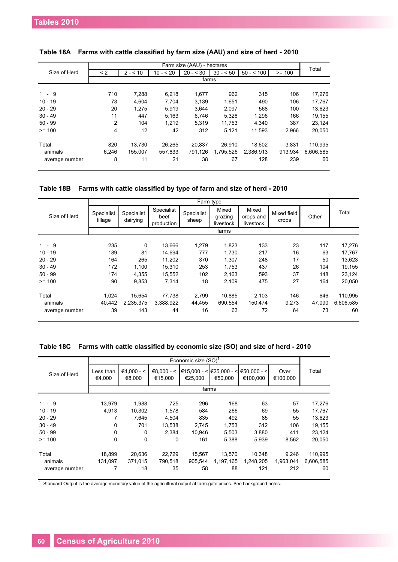|                |       |          |            | Farm size (AAU) - hectares |           |            |          | Total     |
|----------------|-------|----------|------------|----------------------------|-----------|------------|----------|-----------|
| Size of Herd   | < 2   | $2 - 10$ | $10 - 520$ | $20 - 30$                  | $30 - 50$ | $50 - 500$ | $>= 100$ |           |
|                |       |          |            | farms                      |           |            |          |           |
|                |       |          |            |                            |           |            |          |           |
| $1 - 9$        | 710   | 7,288    | 6,218      | 1,677                      | 962       | 315        | 106      | 17,276    |
| $10 - 19$      | 73    | 4.604    | 7.704      | 3,139                      | 1,651     | 490        | 106      | 17,767    |
| $20 - 29$      | 20    | 1.275    | 5.919      | 3.644                      | 2,097     | 568        | 100      | 13,623    |
| $30 - 49$      | 11    | 447      | 5.163      | 6.746                      | 5.326     | 1.296      | 166      | 19,155    |
| $50 - 99$      | 2     | 104      | 1.219      | 5.319                      | 11.753    | 4.340      | 387      | 23,124    |
| $>= 100$       | 4     | 12       | 42         | 312                        | 5,121     | 11.593     | 2.966    | 20,050    |
| Total          | 820   | 13,730   | 26,265     | 20.837                     | 26.910    | 18.602     | 3.831    | 110,995   |
| animals        | 6.246 | 155.007  | 557,833    | 791,126                    | 1,795,526 | 2,386,913  | 913,934  | 6,606,585 |
| average number | 8     | 11       | 21         | 38                         | 67        | 128        | 239      | 60        |

#### **Table 18A Farms with cattle classified by farm size (AAU) and size of herd - 2010**

#### **Table 18B Farms with cattle classified by type of farm and size of herd - 2010**

|                |                       |                        |                                  |                     | Farm type                     |                                 |                      |        |           |
|----------------|-----------------------|------------------------|----------------------------------|---------------------|-------------------------------|---------------------------------|----------------------|--------|-----------|
| Size of Herd   | Specialist<br>tillage | Specialist<br>dairying | Specialist<br>beef<br>production | Specialist<br>sheep | Mixed<br>grazing<br>livestock | Mixed<br>crops and<br>livestock | Mixed field<br>crops | Other  | Total     |
|                |                       |                        |                                  |                     | farms                         |                                 |                      |        |           |
| $1 - 9$        | 235                   |                        |                                  |                     |                               |                                 |                      |        |           |
|                |                       | 0                      | 13,666                           | 1,279               | 1,823                         | 133                             | 23                   | 117    | 17,276    |
| $10 - 19$      | 189                   | 81                     | 14,694                           | 777                 | 1,730                         | 217                             | 16                   | 63     | 17,767    |
| $20 - 29$      | 164                   | 265                    | 11,202                           | 370                 | 1,307                         | 248                             | 17                   | 50     | 13,623    |
| $30 - 49$      | 172                   | 1,100                  | 15,310                           | 253                 | 1,753                         | 437                             | 26                   | 104    | 19,155    |
| $50 - 99$      | 174                   | 4,355                  | 15,552                           | 102                 | 2,163                         | 593                             | 37                   | 148    | 23,124    |
| $>= 100$       | 90                    | 9,853                  | 7,314                            | 18                  | 2,109                         | 475                             | 27                   | 164    | 20,050    |
| Total          | 1,024                 | 15,654                 | 77,738                           | 2.799               | 10.885                        | 2,103                           | 146                  | 646    | 110,995   |
| animals        | 40,442                | 2,235,375              | 3,388,922                        | 44,455              | 690.554                       | 150,474                         | 9,273                | 47,090 | 6,606,585 |
| average number | 39                    | 143                    | 44                               | 16                  | 63                            | 72                              | 64                   | 73     | 60        |

#### **Table 18C Farms with cattle classified by economic size (SO) and size of herd - 2010**

|                |                     |                        |                         | Economic size (SO) <sup>1</sup> |           |                                                                |                  |           |
|----------------|---------------------|------------------------|-------------------------|---------------------------------|-----------|----------------------------------------------------------------|------------------|-----------|
| Size of Herd   | Less than<br>€4,000 | $€4.000 - <$<br>€8.000 | $€8.000 - <$<br>€15.000 | €25.000                         | €50.000   | $\in$ 15,000 - < $\in$ 25,000 - < $\in$ 50,000 - <<br>€100.000 | Over<br>€100.000 | Total     |
|                |                     |                        |                         |                                 | farms     |                                                                |                  |           |
|                |                     |                        |                         |                                 |           |                                                                |                  |           |
| $1 - 9$        | 13,979              | 1,988                  | 725                     | 296                             | 168       | 63                                                             | 57               | 17,276    |
| $10 - 19$      | 4.913               | 10,302                 | 1,578                   | 584                             | 266       | 69                                                             | 55               | 17,767    |
| $20 - 29$      |                     | 7.645                  | 4.504                   | 835                             | 492       | 85                                                             | 55               | 13,623    |
| $30 - 49$      | $\Omega$            | 701                    | 13,538                  | 2,745                           | 1,753     | 312                                                            | 106              | 19,155    |
| $50 - 99$      | $\Omega$            | 0                      | 2.384                   | 10.946                          | 5,503     | 3,880                                                          | 411              | 23,124    |
| $>= 100$       | $\Omega$            | $\Omega$               | 0                       | 161                             | 5,388     | 5,939                                                          | 8,562            | 20,050    |
| Total          | 18,899              | 20,636                 | 22,729                  | 15,567                          | 13,570    | 10,348                                                         | 9.246            | 110,995   |
| animals        | 131,097             | 371.015                | 790,518                 | 905,544                         | 1,197,165 | 1,248,205                                                      | 1,963,041        | 6,606,585 |
| average number | 7                   | 18                     | 35                      | 58                              | 88        | 121                                                            | 212              | 60        |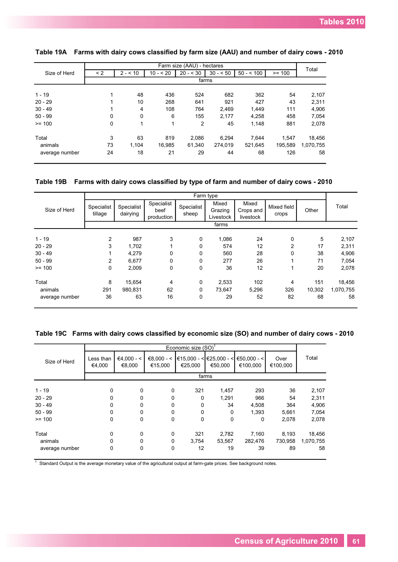|                | Farm size (AAU) - hectares |          |           |            |           |            |          |           |
|----------------|----------------------------|----------|-----------|------------|-----------|------------|----------|-----------|
| Size of Herd   | $\leq$ 2                   | $2 - 10$ | $10 - 20$ | $20 - 530$ | $30 - 50$ | $50 - 100$ | $>= 100$ | Total     |
|                |                            |          |           |            | farms     |            |          |           |
|                |                            |          |           |            |           |            |          |           |
| $1 - 19$       |                            | 48       | 436       | 524        | 682       | 362        | 54       | 2,107     |
| $20 - 29$      |                            | 10       | 268       | 641        | 921       | 427        | 43       | 2,311     |
| $30 - 49$      |                            | 4        | 108       | 764        | 2,469     | 1,449      | 111      | 4,906     |
| $50 - 99$      | $\Omega$                   | $\Omega$ | 6         | 155        | 2.177     | 4.258      | 458      | 7.054     |
| $>= 100$       | $\Omega$                   | 1        | 1         | 2          | 45        | 1,148      | 881      | 2,078     |
| Total          | 3                          | 63       | 819       | 2.086      | 6.294     | 7.644      | 1.547    | 18,456    |
| animals        | 73                         | 1.104    | 16,985    | 61,340     | 274,019   | 521,645    | 195,589  | 1,070,755 |
| average number | 24                         | 18       | 21        | 29         | 44        | 68         | 126      | 58        |
|                |                            |          |           |            |           |            |          |           |

#### **Table 19A Farms with dairy cows classified by farm size (AAU) and number of dairy cows - 2010**

#### **Table 19B Farms with dairy cows classified by type of farm and number of dairy cows - 2010**

|                |                       |                        |                                  |                     | Farm type                     |                                 |                      |        |           |
|----------------|-----------------------|------------------------|----------------------------------|---------------------|-------------------------------|---------------------------------|----------------------|--------|-----------|
| Size of Herd   | Specialist<br>tillage | Specialist<br>dairying | Specialist<br>beef<br>production | Specialist<br>sheep | Mixed<br>Grazing<br>Livestock | Mixed<br>Crops and<br>livestock | Mixed field<br>crops | Other  | Total     |
|                |                       |                        |                                  |                     | farms                         |                                 |                      |        |           |
| $1 - 19$       | 2                     | 987                    | 3                                | 0                   | 1,086                         | 24                              | 0                    | 5      | 2,107     |
| $20 - 29$      | 3                     | 1,702                  |                                  | 0                   | 574                           | 12                              | $\overline{2}$       | 17     | 2,311     |
| $30 - 49$      |                       | 4,279                  | 0                                | 0                   | 560                           | 28                              | 0                    | 38     | 4,906     |
| $50 - 99$      | 2                     | 6,677                  | 0                                | 0                   | 277                           | 26                              | 4                    | 71     | 7,054     |
| $>= 100$       | 0                     | 2,009                  | 0                                | 0                   | 36                            | 12                              | 1                    | 20     | 2,078     |
| Total          | 8                     | 15,654                 | 4                                | $\mathbf 0$         | 2,533                         | 102                             | 4                    | 151    | 18,456    |
| animals        | 291                   | 980,831                | 62                               | 0                   | 73,647                        | 5,296                           | 326                  | 10,302 | 1,070,755 |
| average number | 36                    | 63                     | 16                               | 0                   | 29                            | 52                              | 82                   | 68     | 58        |

#### **Table 19C Farms with dairy cows classified by economic size (SO) and number of dairy cows - 2010**

|                |                     |                        |                         | Economic size (SO) |                                           |                            |                  |           |
|----------------|---------------------|------------------------|-------------------------|--------------------|-------------------------------------------|----------------------------|------------------|-----------|
| Size of Herd   | Less than<br>€4.000 | $€4,000 - <$<br>€8,000 | $€8.000 - <$<br>€15,000 | €25,000            | €15.000 - < $\leq$ €25.000 - <<br>€50.000 | $∈$ 50,000 - <<br>€100,000 | Over<br>€100,000 | Total     |
|                |                     |                        |                         |                    | farms                                     |                            |                  |           |
| $1 - 19$       | 0                   | $\Omega$               | 0                       | 321                | 1,457                                     | 293                        | 36               | 2,107     |
| $20 - 29$      | 0                   | 0                      | 0                       | 0                  | 1,291                                     | 966                        | 54               | 2,311     |
| $30 - 49$      | 0                   | 0                      | 0                       | 0                  | 34                                        | 4,508                      | 364              | 4,906     |
| $50 - 99$      | 0                   | 0                      | $\Omega$                | 0                  | $\Omega$                                  | 1.393                      | 5,661            | 7,054     |
| $>= 100$       | 0                   | 0                      | 0                       | 0                  | 0                                         | 0                          | 2,078            | 2,078     |
| Total          | 0                   | $\Omega$               | $\mathbf{0}$            | 321                | 2,782                                     | 7,160                      | 8,193            | 18,456    |
| animals        | 0                   | $\Omega$               | 0                       | 3,754              | 53,567                                    | 282,476                    | 730,958          | 1,070,755 |
| average number | 0                   | 0                      | 0                       | 12                 | 19                                        | 39                         | 89               | 58        |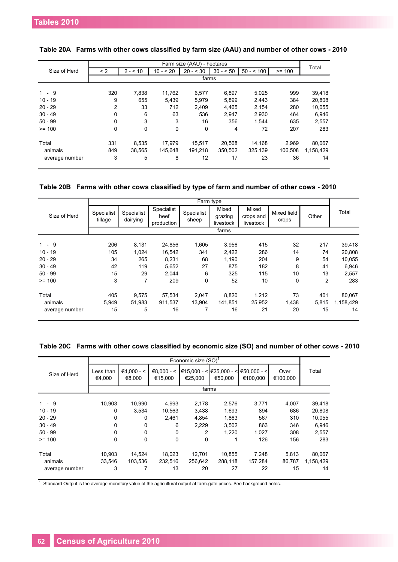|                |          |          |           | Farm size (AAU) - hectares |           |            |          | Total     |
|----------------|----------|----------|-----------|----------------------------|-----------|------------|----------|-----------|
| Size of Herd   | < 2      | $2 - 10$ | $10 - 20$ | $20 - 30$                  | $30 - 50$ | $50 - 500$ | $>= 100$ |           |
|                |          |          |           |                            | farms     |            |          |           |
|                |          |          |           |                            |           |            |          |           |
| $1 - 9$        | 320      | 7,838    | 11,762    | 6,577                      | 6,897     | 5,025      | 999      | 39,418    |
| $10 - 19$      | 9        | 655      | 5,439     | 5,979                      | 5,899     | 2,443      | 384      | 20,808    |
| $20 - 29$      | 2        | 33       | 712       | 2,409                      | 4,465     | 2,154      | 280      | 10,055    |
| $30 - 49$      | $\Omega$ | 6        | 63        | 536                        | 2.947     | 2,930      | 464      | 6,946     |
| $50 - 99$      | $\Omega$ | 3        | 3         | 16                         | 356       | 1.544      | 635      | 2,557     |
| $>= 100$       | $\Omega$ | 0        | 0         | 0                          | 4         | 72         | 207      | 283       |
| Total          | 331      | 8,535    | 17.979    | 15.517                     | 20.568    | 14,168     | 2.969    | 80,067    |
| animals        | 849      | 38.565   | 145.648   | 191.218                    | 350.502   | 325,139    | 106.508  | 1.158.429 |
| average number | 3        | 5        | 8         | 12                         | 17        | 23         | 36       | 14        |

#### **Table 20A Farms with other cows classified by farm size (AAU) and number of other cows - 2010**

#### **Table 20B Farms with other cows classified by type of farm and number of other cows - 2010**

|                |                       |                        |                                  |                     | Farm type                     |                                 |                      |                |           |
|----------------|-----------------------|------------------------|----------------------------------|---------------------|-------------------------------|---------------------------------|----------------------|----------------|-----------|
| Size of Herd   | Specialist<br>tillage | Specialist<br>dairying | Specialist<br>beef<br>production | Specialist<br>sheep | Mixed<br>grazing<br>livestock | Mixed<br>crops and<br>livestock | Mixed field<br>crops | Other          | Total     |
|                |                       |                        |                                  |                     | farms                         |                                 |                      |                |           |
| $1 - 9$        | 206                   | 8,131                  | 24,856                           | 1,605               | 3,956                         | 415                             | 32                   | 217            | 39,418    |
| $10 - 19$      | 105                   | 1,024                  | 16,542                           | 341                 | 2,422                         | 286                             | 14                   | 74             | 20,808    |
| $20 - 29$      | 34                    | 265                    | 8,231                            | 68                  | 1,190                         | 204                             | 9                    | 54             | 10,055    |
| $30 - 49$      | 42                    | 119                    | 5,652                            | 27                  | 875                           | 182                             | 8                    | 41             | 6,946     |
| $50 - 99$      | 15                    | 29                     | 2,044                            | 6                   | 325                           | 115                             | 10                   | 13             | 2,557     |
| $>= 100$       | 3                     | 7                      | 209                              | 0                   | 52                            | 10                              | 0                    | $\overline{2}$ | 283       |
| Total          | 405                   | 9,575                  | 57,534                           | 2.047               | 8,820                         | 1,212                           | 73                   | 401            | 80,067    |
| animals        | 5,949                 | 51,983                 | 911,537                          | 13,904              | 141,851                       | 25,952                          | 1,438                | 5,815          | 1,158,429 |
| average number | 15                    | 5                      | 16                               | 7                   | 16                            | 21                              | 20                   | 15             | 14        |

#### **Table 20C Farms with other cows classified by economic size (SO) and number of other cows - 2010**

|                |                     |                        |                         | Economic size (SO) <sup>1</sup> |                |                                                                      |                  |           |
|----------------|---------------------|------------------------|-------------------------|---------------------------------|----------------|----------------------------------------------------------------------|------------------|-----------|
| Size of Herd   | Less than<br>€4,000 | $€4.000 - <$<br>€8.000 | $€8.000 - <$<br>€15,000 | €25.000                         | €50.000        | $\in$ 15,000 - < $\in$ 25,000 - < $\in$ 50,000 - < $\in$<br>€100.000 | Over<br>€100.000 | Total     |
|                |                     |                        |                         |                                 | farms          |                                                                      |                  |           |
| $1 - 9$        | 10,903              |                        |                         |                                 |                |                                                                      |                  | 39,418    |
| $10 - 19$      | 0                   | 10,990<br>3,534        | 4,993<br>10,563         | 2,178<br>3,438                  | 2,576<br>1,693 | 3,771<br>894                                                         | 4,007<br>686     | 20,808    |
| $20 - 29$      | $\Omega$            | 0                      | 2.461                   | 4.854                           | 1,863          | 567                                                                  | 310              | 10,055    |
| $30 - 49$      | $\Omega$            | 0                      | 6                       | 2,229                           | 3,502          | 863                                                                  | 346              | 6,946     |
| $50 - 99$      | $\Omega$            | 0                      | $\Omega$                | 2                               | 1,220          | 1,027                                                                | 308              | 2,557     |
| $>= 100$       | $\Omega$            | $\mathbf{0}$           | $\Omega$                | 0                               | 1              | 126                                                                  | 156              | 283       |
| Total          | 10,903              | 14,524                 | 18,023                  | 12,701                          | 10.855         | 7,248                                                                | 5,813            | 80,067    |
| animals        | 33,546              | 103,536                | 232,516                 | 256,642                         | 288,118        | 157,284                                                              | 86,787           | 1,158,429 |
| average number | 3                   | 7                      | 13                      | 20                              | 27             | 22                                                                   | 15               | 14        |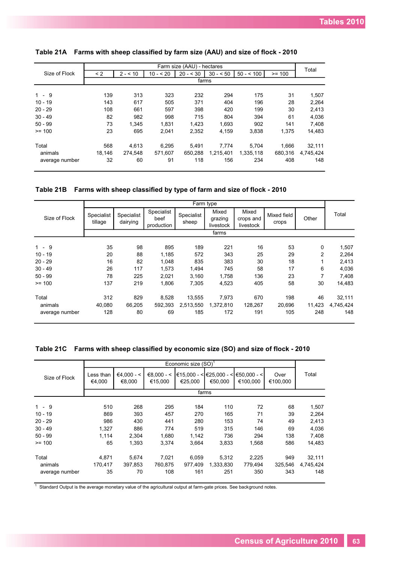|                |          |          |            | Farm size (AAU) - hectares |           |            |          |           |
|----------------|----------|----------|------------|----------------------------|-----------|------------|----------|-----------|
| Size of Flock  | $\leq$ 2 | $2 - 10$ | $10 - 520$ | $20 - 30$                  | $30 - 50$ | $50 - 100$ | $>= 100$ | Total     |
|                |          |          |            |                            | farms     |            |          |           |
|                |          |          |            |                            |           |            |          |           |
| $1 - 9$        | 139      | 313      | 323        | 232                        | 294       | 175        | 31       | 1,507     |
| $10 - 19$      | 143      | 617      | 505        | 371                        | 404       | 196        | 28       | 2,264     |
| $20 - 29$      | 108      | 661      | 597        | 398                        | 420       | 199        | 30       | 2,413     |
| $30 - 49$      | 82       | 982      | 998        | 715                        | 804       | 394        | 61       | 4,036     |
| $50 - 99$      | 73       | 1.345    | 1.831      | 1,423                      | 1.693     | 902        | 141      | 7,408     |
| $>= 100$       | 23       | 695      | 2.041      | 2,352                      | 4,159     | 3.838      | 1,375    | 14,483    |
| Total          | 568      | 4.613    | 6.295      | 5.491                      | 7,774     | 5.704      | 1.666    | 32,111    |
| animals        | 18,146   | 274,548  | 571,607    | 650,288                    | 1,215,401 | 1,335,118  | 680,316  | 4,745,424 |
| average number | 32       | 60       | 91         | 118                        | 156       | 234        | 408      | 148       |

# **Table 21A Farms with sheep classified by farm size (AAU) and size of flock - 2010**

**Table 21B Farms with sheep classified by type of farm and size of flock - 2010**

|                |                       |                        |                                  | Farm type           |                               |                                 |                      |                |           |
|----------------|-----------------------|------------------------|----------------------------------|---------------------|-------------------------------|---------------------------------|----------------------|----------------|-----------|
| Size of Flock  | Specialist<br>tillage | Specialist<br>dairying | Specialist<br>beef<br>production | Specialist<br>sheep | Mixed<br>grazing<br>livestock | Mixed<br>crops and<br>livestock | Mixed field<br>crops | Other          | Total     |
|                |                       |                        |                                  |                     | farms                         |                                 |                      |                |           |
| 9<br>$1 -$     | 35                    | 98                     | 895                              | 189                 | 221                           | 16                              | 53                   | 0              | 1,507     |
| $10 - 19$      | 20                    | 88                     | 1,185                            | 572                 | 343                           | 25                              | 29                   | $\overline{2}$ | 2,264     |
| $20 - 29$      | 16                    | 82                     | 1,048                            | 835                 | 383                           | 30                              | 18                   |                | 2,413     |
| $30 - 49$      | 26                    | 117                    | 1,573                            | 1,494               | 745                           | 58                              | 17                   | 6              | 4,036     |
| $50 - 99$      | 78                    | 225                    | 2,021                            | 3,160               | 1,758                         | 136                             | 23                   | 7              | 7,408     |
| $>= 100$       | 137                   | 219                    | 1,806                            | 7,305               | 4,523                         | 405                             | 58                   | 30             | 14,483    |
| Total          | 312                   | 829                    | 8,528                            | 13,555              | 7,973                         | 670                             | 198                  | 46             | 32,111    |
| animals        | 40,080                | 66,205                 | 592,393                          | 2,513,550           | 1,372,810                     | 128,267                         | 20,696               | 11,423         | 4,745,424 |
| average number | 128                   | 80                     | 69                               | 185                 | 172                           | 191                             | 105                  | 248            | 148       |

|  | Table 21C Farms with sheep classified by economic size (SO) and size of flock - 2010 |  |  |  |  |  |
|--|--------------------------------------------------------------------------------------|--|--|--|--|--|
|--|--------------------------------------------------------------------------------------|--|--|--|--|--|

|                |                     |                        |                         | Economic size $(SO)^T$ |                                           |                           |                  |           |
|----------------|---------------------|------------------------|-------------------------|------------------------|-------------------------------------------|---------------------------|------------------|-----------|
| Size of Flock  | Less than<br>€4,000 | $€4.000 - <$<br>€8.000 | $€8.000 - <$<br>€15.000 | €25.000                | €15,000 - < $\leq$ €25,000 - <<br>€50.000 | $€50.000 - <$<br>€100.000 | Over<br>€100.000 | Total     |
|                |                     |                        |                         |                        | farms                                     |                           |                  |           |
|                |                     |                        |                         |                        |                                           |                           |                  |           |
| $1 - 9$        | 510                 | 268                    | 295                     | 184                    | 110                                       | 72                        | 68               | 1,507     |
| $10 - 19$      | 869                 | 393                    | 457                     | 270                    | 165                                       | 71                        | 39               | 2,264     |
| $20 - 29$      | 986                 | 430                    | 441                     | 280                    | 153                                       | 74                        | 49               | 2,413     |
| $30 - 49$      | 1.327               | 886                    | 774                     | 519                    | 315                                       | 146                       | 69               | 4.036     |
| $50 - 99$      | 1.114               | 2,304                  | 1,680                   | 1,142                  | 736                                       | 294                       | 138              | 7,408     |
| $>= 100$       | 65                  | 1.393                  | 3.374                   | 3.664                  | 3,833                                     | 1.568                     | 586              | 14,483    |
| Total          | 4,871               | 5,674                  | 7,021                   | 6,059                  | 5,312                                     | 2,225                     | 949              | 32,111    |
| animals        | 170,417             | 397,853                | 760,875                 | 977.409                | 1,333,830                                 | 779,494                   | 325,546          | 4,745,424 |
| average number | 35                  | 70                     | 108                     | 161                    | 251                                       | 350                       | 343              | 148       |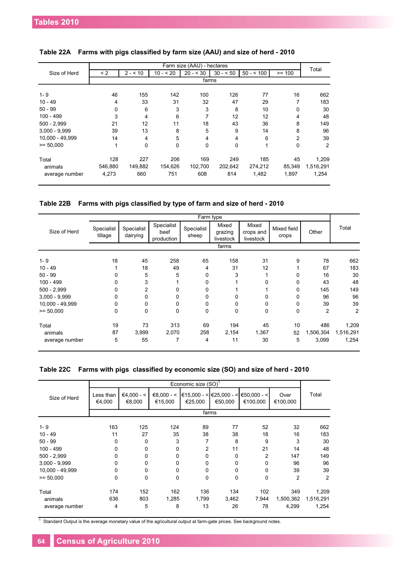|                 |          |                |              | Farm size (AAU) - hectares |           |              |                | Total     |
|-----------------|----------|----------------|--------------|----------------------------|-----------|--------------|----------------|-----------|
| Size of Herd    | $\leq$ 2 | $2 - 10$       | $10 - 520$   | $20 - 30$                  | $30 - 50$ | $50 - 500$   | $>= 100$       |           |
|                 |          |                |              | farms                      |           |              |                |           |
| $1 - 9$         | 46       | 155            | 142          | 100                        | 126       | 77           | 16             | 662       |
| $10 - 49$       | 4        | 33             | 31           | 32                         | 47        | 29           | 7              | 183       |
| $50 - 99$       | $\Omega$ | 6              | 3            | 3                          | 8         | 10           | 0              | 30        |
| $100 - 499$     | 3        | 4              | 6            | 7                          | 12        | 12           | 4              | 48        |
| $500 - 2,999$   | 21       | 12             | 11           | 18                         | 43        | 36           | 8              | 149       |
| $3.000 - 9.999$ | 39       | 13             | 8            | 5                          | 9         | 14           | 8              | 96        |
| 10.000 - 49.999 | 14       | $\overline{4}$ | 5            | 4                          | 4         | 6            | $\overline{2}$ | 39        |
| $>= 50.000$     | 1        | $\Omega$       | $\mathbf{0}$ | $\Omega$                   | 0         | $\mathbf{1}$ | $\Omega$       | 2         |
| Total           | 128      | 227            | 206          | 169                        | 249       | 185          | 45             | 1,209     |
| animals         | 546,880  | 149,882        | 154,626      | 102,700                    | 202,642   | 274,212      | 85,349         | 1,516,291 |
| average number  | 4,273    | 660            | 751          | 608                        | 814       | 1,482        | 1,897          | 1,254     |

|  |  |  |  |  | Table 22B  Farms with pigs classified by type of farm and size of herd - 2010 |
|--|--|--|--|--|-------------------------------------------------------------------------------|
|--|--|--|--|--|-------------------------------------------------------------------------------|

|                 |                       |                        |                                  |                     | Farm type                     |                                 |                      |           |                |
|-----------------|-----------------------|------------------------|----------------------------------|---------------------|-------------------------------|---------------------------------|----------------------|-----------|----------------|
| Size of Herd    | Specialist<br>tillage | Specialist<br>dairying | Specialist<br>beef<br>production | Specialist<br>sheep | Mixed<br>grazing<br>livestock | Mixed<br>crops and<br>livestock | Mixed field<br>crops | Other     | Total          |
|                 |                       |                        |                                  |                     | farms                         |                                 |                      |           |                |
| $1 - 9$         | 18                    | 45                     | 258                              | 65                  | 158                           | 31                              | 9                    | 78        | 662            |
| $10 - 49$       |                       | 18                     | 49                               | 4                   | 31                            | 12                              |                      | 67        | 183            |
| $50 - 99$       | 0                     | 5                      | 5                                | 0                   | 3                             |                                 | 0                    | 16        | 30             |
| $100 - 499$     | 0                     | 3                      |                                  | 0                   |                               | 0                               | 0                    | 43        | 48             |
| $500 - 2,999$   | 0                     | 2                      | 0                                | 0                   |                               |                                 | 0                    | 145       | 149            |
| $3,000 - 9,999$ | 0                     | 0                      | 0                                | 0                   | 0                             | 0                               | 0                    | 96        | 96             |
| 10,000 - 49,999 | 0                     | 0                      | 0                                | 0                   | 0                             | 0                               | 0                    | 39        | 39             |
| $= 50,000$      | 0                     | 0                      | 0                                | 0                   | 0                             | 0                               | 0                    | 2         | $\overline{2}$ |
| Total           | 19                    | 73                     | 313                              | 69                  | 194                           | 45                              | 10                   | 486       | 1,209          |
| animals         | 87                    | 3,999                  | 2,070                            | 258                 | 2,154                         | 1,367                           | 52                   | 1,506,304 | 1,516,291      |
| average number  | 5                     | 55                     | 7                                | 4                   | 11                            | 30                              | 5                    | 3,099     | 1,254          |

|                 |                     |                        |                         | Economic size (SO) <sup>1</sup> |                                    |                           |                  |           |
|-----------------|---------------------|------------------------|-------------------------|---------------------------------|------------------------------------|---------------------------|------------------|-----------|
| Size of Herd    | Less than<br>€4,000 | $€4,000 - <$<br>€8,000 | $€8,000 - <$<br>€15,000 | €25,000                         | €15,000 - < €25,000 - <<br>€50,000 | $∈50,000 - <$<br>€100,000 | Over<br>€100,000 | Total     |
|                 |                     |                        |                         |                                 | farms                              |                           |                  |           |
| $1 - 9$         | 163                 | 125                    | 124                     | 89                              | 77                                 | 52                        | 32               | 662       |
| $10 - 49$       | 11                  | 27                     | 35                      | 38                              | 38                                 | 18                        | 16               | 183       |
| $50 - 99$       | 0                   | $\mathbf{0}$           | 3                       | 7                               | 8                                  | 9                         | 3                | 30        |
| $100 - 499$     | 0                   | 0                      | $\Omega$                | $\overline{2}$                  | 11                                 | 21                        | 14               | 48        |
| $500 - 2,999$   | 0                   | 0                      | $\Omega$                | 0                               | $\mathbf{0}$                       | $\overline{2}$            | 147              | 149       |
| $3,000 - 9,999$ | 0                   | 0                      | $\Omega$                | 0                               | $\mathbf{0}$                       | 0                         | 96               | 96        |
| 10,000 - 49,999 | 0                   | 0                      | $\Omega$                | 0                               | $\mathbf{0}$                       | 0                         | 39               | 39        |
| $= 50,000$      | 0                   | 0                      | $\mathbf 0$             | 0                               | 0                                  | 0                         | $\overline{2}$   | 2         |
| Total           | 174                 | 152                    | 162                     | 136                             | 134                                | 102                       | 349              | 1,209     |
| animals         | 636                 | 803                    | 1,285                   | 1,799                           | 3,462                              | 7,944                     | 1,500,362        | 1,516,291 |
| average number  | 4                   | 5                      | 8                       | 13                              | 26                                 | 78                        | 4,299            | 1,254     |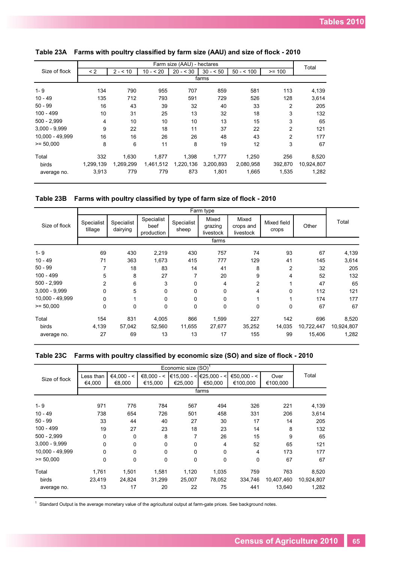|                 |           |           |            | Farm size (AAU) - hectares |           |            |                | Total      |
|-----------------|-----------|-----------|------------|----------------------------|-----------|------------|----------------|------------|
| Size of flock   | $\leq$ 2  | $2 - 10$  | $10 - 520$ | $20 - 530$                 | $30 - 50$ | $50 - 500$ | $>= 100$       |            |
|                 |           |           |            |                            | farms     |            |                |            |
| $1 - 9$         | 134       | 790       | 955        | 707                        | 859       | 581        | 113            | 4,139      |
| $10 - 49$       | 135       | 712       | 793        | 591                        | 729       | 526        | 128            | 3,614      |
| $50 - 99$       | 16        | 43        | 39         | 32                         | 40        | 33         | 2              | 205        |
| $100 - 499$     | 10        | 31        | 25         | 13                         | 32        | 18         | 3              | 132        |
| $500 - 2.999$   | 4         | 10        | 10         | 10                         | 13        | 15         | 3              | 65         |
| $3.000 - 9.999$ | 9         | 22        | 18         | 11                         | 37        | 22         | $\overline{2}$ | 121        |
| 10,000 - 49,999 | 16        | 16        | 26         | 26                         | 48        | 43         | $\overline{2}$ | 177        |
| $>= 50.000$     | 8         | 6         | 11         | 8                          | 19        | 12         | 3              | 67         |
| Total           | 332       | 1,630     | 1,877      | 1,398                      | 1,777     | 1,250      | 256            | 8,520      |
| birds           | 1,299,139 | 1.269.299 | 1,461,512  | 1,220,136                  | 3,200,893 | 2,080,958  | 392.870        | 10,924,807 |
| average no.     | 3,913     | 779       | 779        | 873                        | 1,801     | 1,665      | 1,535          | 1,282      |

|  | Table 23A Farms with poultry classified by farm size (AAU) and size of flock - 2010 |  |  |  |  |  |  |  |
|--|-------------------------------------------------------------------------------------|--|--|--|--|--|--|--|
|--|-------------------------------------------------------------------------------------|--|--|--|--|--|--|--|

**Table 23B Farms with poultry classified by type of farm size of flock - 2010**

|                 |                       |                        |                                  |                     | Farm type                     |                                 |                      |            |            |
|-----------------|-----------------------|------------------------|----------------------------------|---------------------|-------------------------------|---------------------------------|----------------------|------------|------------|
| Size of flock   | Specialist<br>tillage | Specialist<br>dairying | Specialist<br>beef<br>production | Specialist<br>sheep | Mixed<br>grazing<br>livestock | Mixed<br>crops and<br>livestock | Mixed field<br>crops | Other      | Total      |
|                 |                       |                        |                                  |                     | farms                         |                                 |                      |            |            |
| $1 - 9$         | 69                    | 430                    | 2,219                            | 430                 | 757                           | 74                              | 93                   | 67         | 4,139      |
| $10 - 49$       | 71                    | 363                    | 1,673                            | 415                 | 777                           | 129                             | 41                   | 145        | 3,614      |
| $50 - 99$       | 7                     | 18                     | 83                               | 14                  | 41                            | 8                               | $\overline{2}$       | 32         | 205        |
| $100 - 499$     | 5                     | 8                      | 27                               | 7                   | 20                            | 9                               | 4                    | 52         | 132        |
| $500 - 2,999$   | 2                     | 6                      | 3                                | 0                   | 4                             | $\overline{2}$                  |                      | 47         | 65         |
| $3,000 - 9,999$ | 0                     | 5                      | 0                                | 0                   | 0                             | 4                               | 0                    | 112        | 121        |
| 10,000 - 49,999 | 0                     |                        | 0                                | 0                   | 0                             |                                 |                      | 174        | 177        |
| $>= 50,000$     | 0                     | 0                      | 0                                | 0                   | 0                             | $\mathbf 0$                     | 0                    | 67         | 67         |
| Total           | 154                   | 831                    | 4,005                            | 866                 | 1,599                         | 227                             | 142                  | 696        | 8,520      |
| birds           | 4,139                 | 57,042                 | 52,560                           | 11,655              | 27,677                        | 35,252                          | 14,035               | 10,722,447 | 10,924,807 |
| average no.     | 27                    | 69                     | 13                               | 13                  | 17                            | 155                             | 99                   | 15,406     | 1,282      |

|  | Table 23C Farms with poultry classified by economic size (SO) and size of flock - 2010 |  |  |  |  |  |
|--|----------------------------------------------------------------------------------------|--|--|--|--|--|
|--|----------------------------------------------------------------------------------------|--|--|--|--|--|

|                 | Economic size (SO) <sup>1</sup> |              |              |             |                         |             |            |            |  |  |  |
|-----------------|---------------------------------|--------------|--------------|-------------|-------------------------|-------------|------------|------------|--|--|--|
| Size of flock   | Less than                       | $€4,000 - <$ | $€8.000 - <$ |             | €15,000 - < €25,000 - < | €50,000 - < | Over       | Total      |  |  |  |
|                 | €4,000                          | €8,000       | €15,000      | €25,000     | €50.000                 | €100,000    | €100,000   |            |  |  |  |
|                 |                                 |              |              |             | farms                   |             |            |            |  |  |  |
|                 |                                 |              |              |             |                         |             |            |            |  |  |  |
| $1 - 9$         | 971                             | 776          | 784          | 567         | 494                     | 326         | 221        | 4,139      |  |  |  |
| $10 - 49$       | 738                             | 654          | 726          | 501         | 458                     | 331         | 206        | 3,614      |  |  |  |
| $50 - 99$       | 33                              | 44           | 40           | 27          | 30                      | 17          | 14         | 205        |  |  |  |
| $100 - 499$     | 19                              | 27           | 23           | 18          | 23                      | 14          | 8          | 132        |  |  |  |
| $500 - 2,999$   | $\mathbf 0$                     | $\Omega$     | 8            | 7           | 26                      | 15          | 9          | 65         |  |  |  |
| $3,000 - 9,999$ | 0                               | $\Omega$     | $\Omega$     | $\Omega$    | 4                       | 52          | 65         | 121        |  |  |  |
| 10.000 - 49.999 | 0                               | $\Omega$     | $\Omega$     | $\Omega$    | 0                       | 4           | 173        | 177        |  |  |  |
| $>= 50.000$     | 0                               | $\mathbf 0$  | $\mathbf 0$  | $\mathbf 0$ | 0                       | $\mathbf 0$ | 67         | 67         |  |  |  |
| Total           | 1,761                           | 1,501        | 1,581        | 1,120       | 1,035                   | 759         | 763        | 8,520      |  |  |  |
| birds           | 23,419                          | 24,824       | 31,299       | 25,007      | 78,052                  | 334,746     | 10,407,460 | 10,924,807 |  |  |  |
| average no.     | 13                              | 17           | 20           | 22          | 75                      | 441         | 13,640     | 1,282      |  |  |  |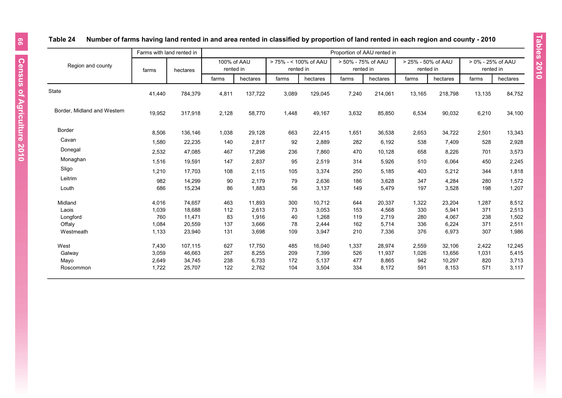|    | ch region and c               |
|----|-------------------------------|
|    |                               |
|    | 25% - 50% of AAU<br>rented in |
| ms | hectares                      |
|    |                               |

Tables 2010

# **Table 24 Number of farms having land rented in and area rented in classified by proportion of land rented in each region and county - 2010**

|                             |        | Farms with land rented in |                          |          |                                    |          |                                 | Proportion of AAU rented in |                                 |          |                                |          |
|-----------------------------|--------|---------------------------|--------------------------|----------|------------------------------------|----------|---------------------------------|-----------------------------|---------------------------------|----------|--------------------------------|----------|
| Region and county           | farms  | hectares                  | 100% of AAU<br>rented in |          | > 75% - < 100% of AAU<br>rented in |          | > 50% - 75% of AAU<br>rented in |                             | > 25% - 50% of AAU<br>rented in |          | > 0% - 25% of AAU<br>rented in |          |
|                             |        |                           | farms                    | hectares | farms                              | hectares | farms                           | hectares                    | farms                           | hectares | farms                          | hectares |
| State                       | 41,440 | 784,379                   | 4,811                    | 137,722  | 3,089                              | 129,045  | 7,240                           | 214,061                     | 13,165                          | 218,798  | 13,135                         | 84,752   |
| Border, Midland and Western | 19,952 | 317,918                   | 2,128                    | 58,770   | 1,448                              | 49,167   | 3,632                           | 85,850                      | 6,534                           | 90,032   | 6,210                          | 34,100   |
| Border                      | 8,506  | 136,146                   | 1,038                    | 29,128   | 663                                | 22,415   | 1,651                           | 36,538                      | 2,653                           | 34,722   | 2,501                          | 13,343   |
| Cavan                       | 1,580  | 22,235                    | 140                      | 2,817    | 92                                 | 2,889    | 282                             | 6,192                       | 538                             | 7,409    | 528                            | 2,928    |
| Donegal                     | 2,532  | 47,085                    | 467                      | 17,298   | 236                                | 7,860    | 470                             | 10,128                      | 658                             | 8,226    | 701                            | 3,573    |
| Monaghan                    | 1,516  | 19,591                    | 147                      | 2,837    | 95                                 | 2,519    | 314                             | 5,926                       | 510                             | 6,064    | 450                            | 2,245    |
| Sligo                       | 1,210  | 17,703                    | 108                      | 2,115    | 105                                | 3,374    | 250                             | 5,185                       | 403                             | 5,212    | 344                            | 1,818    |
| Leitrim                     | 982    | 14,299                    | 90                       | 2.179    | 79                                 | 2,636    | 186                             | 3,628                       | 347                             | 4,284    | 280                            | 1,572    |
| Louth                       | 686    | 15,234                    | 86                       | 1,883    | 56                                 | 3,137    | 149                             | 5,479                       | 197                             | 3,528    | 198                            | 1,207    |
| Midland                     | 4,016  | 74,657                    | 463                      | 11,893   | 300                                | 10,712   | 644                             | 20,337                      | 1,322                           | 23,204   | 1,287                          | 8,512    |
| Laois                       | 1,039  | 18,688                    | 112                      | 2,613    | 73                                 | 3,053    | 153                             | 4,568                       | 330                             | 5,941    | 371                            | 2,513    |
| Longford                    | 760    | 11,471                    | 83                       | 1,916    | 40                                 | 1,268    | 119                             | 2,719                       | 280                             | 4,067    | 238                            | 1,502    |
| Offaly                      | 1,084  | 20,559                    | 137                      | 3,666    | 78                                 | 2,444    | 162                             | 5,714                       | 336                             | 6,224    | 371                            | 2,511    |
| Westmeath                   | 1,133  | 23,940                    | 131                      | 3,698    | 109                                | 3,947    | 210                             | 7,336                       | 376                             | 6,973    | 307                            | 1,986    |
| West                        | 7,430  | 107,115                   | 627                      | 17,750   | 485                                | 16,040   | 1,337                           | 28,974                      | 2,559                           | 32,106   | 2,422                          | 12,245   |
| Galway                      | 3,059  | 46,663                    | 267                      | 8,255    | 209                                | 7,399    | 526                             | 11,937                      | 1,026                           | 13,656   | 1,031                          | 5,415    |
| Mayo                        | 2,649  | 34,745                    | 238                      | 6,733    | 172                                | 5,137    | 477                             | 8,865                       | 942                             | 10,297   | 820                            | 3,713    |
| Roscommon                   | 1,722  | 25,707                    | 122                      | 2,762    | 104                                | 3,504    | 334                             | 8,172                       | 591                             | 8,153    | 571                            | 3,117    |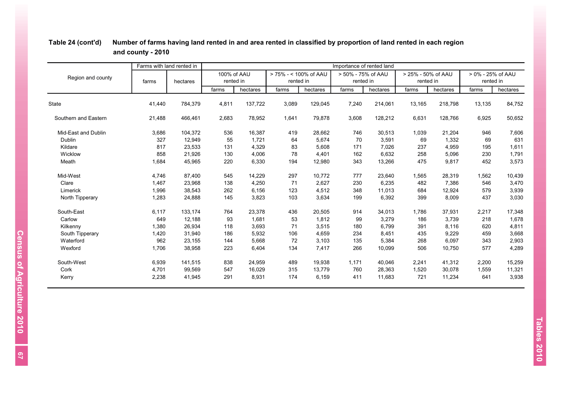|                      | Farms with land rented in |          |                          |          |                                    |          | Importance of rented land       |          |                                 |          |                                |          |
|----------------------|---------------------------|----------|--------------------------|----------|------------------------------------|----------|---------------------------------|----------|---------------------------------|----------|--------------------------------|----------|
| Region and county    | farms                     | hectares | 100% of AAU<br>rented in |          | > 75% - < 100% of AAU<br>rented in |          | > 50% - 75% of AAU<br>rented in |          | > 25% - 50% of AAU<br>rented in |          | > 0% - 25% of AAU<br>rented in |          |
|                      |                           |          | farms                    | hectares | farms                              | hectares | farms                           | hectares | farms                           | hectares | farms                          | hectares |
| <b>State</b>         | 41,440                    | 784,379  | 4,811                    | 137,722  | 3,089                              | 129,045  | 7,240                           | 214,061  | 13,165                          | 218,798  | 13,135                         | 84,752   |
| Southern and Eastern | 21,488                    | 466,461  | 2,683                    | 78,952   | 1,641                              | 79,878   | 3,608                           | 128,212  | 6,631                           | 128,766  | 6,925                          | 50,652   |
| Mid-East and Dublin  | 3,686                     | 104,372  | 536                      | 16,387   | 419                                | 28,662   | 746                             | 30,513   | 1,039                           | 21,204   | 946                            | 7,606    |
| Dublin               | 327                       | 12,949   | 55                       | 1,721    | 64                                 | 5,674    | 70                              | 3,591    | 69                              | 1,332    | 69                             | 631      |
| Kildare              | 817                       | 23,533   | 131                      | 4,329    | 83                                 | 5,608    | 171                             | 7,026    | 237                             | 4,959    | 195                            | 1,611    |
| Wicklow              | 858                       | 21,926   | 130                      | 4,006    | 78                                 | 4,401    | 162                             | 6,632    | 258                             | 5,096    | 230                            | 1,791    |
| Meath                | 1,684                     | 45,965   | 220                      | 6,330    | 194                                | 12,980   | 343                             | 13,266   | 475                             | 9,817    | 452                            | 3,573    |
| Mid-West             | 4,746                     | 87,400   | 545                      | 14,229   | 297                                | 10,772   | 777                             | 23,640   | 1,565                           | 28,319   | 1,562                          | 10,439   |
| Clare                | 1,467                     | 23,968   | 138                      | 4,250    | 71                                 | 2,627    | 230                             | 6,235    | 482                             | 7,386    | 546                            | 3,470    |
| Limerick             | 1,996                     | 38,543   | 262                      | 6,156    | 123                                | 4,512    | 348                             | 11,013   | 684                             | 12,924   | 579                            | 3,939    |
| North Tipperary      | 1,283                     | 24,888   | 145                      | 3,823    | 103                                | 3,634    | 199                             | 6,392    | 399                             | 8,009    | 437                            | 3,030    |
| South-East           | 6,117                     | 133,174  | 764                      | 23,378   | 436                                | 20,505   | 914                             | 34,013   | 1,786                           | 37,931   | 2,217                          | 17,348   |
| Carlow               | 649                       | 12,188   | 93                       | 1,681    | 53                                 | 1,812    | 99                              | 3,279    | 186                             | 3,739    | 218                            | 1,678    |
| Kilkenny             | 1,380                     | 26,934   | 118                      | 3,693    | 71                                 | 3,515    | 180                             | 6,799    | 391                             | 8,116    | 620                            | 4,811    |
| South Tipperary      | 1,420                     | 31,940   | 186                      | 5,932    | 106                                | 4,659    | 234                             | 8,451    | 435                             | 9,229    | 459                            | 3,668    |
| Waterford            | 962                       | 23,155   | 144                      | 5,668    | 72                                 | 3,103    | 135                             | 5,384    | 268                             | 6,097    | 343                            | 2,903    |
| Wexford              | 1,706                     | 38,958   | 223                      | 6,404    | 134                                | 7,417    | 266                             | 10,099   | 506                             | 10,750   | 577                            | 4,289    |
| South-West           | 6,939                     | 141,515  | 838                      | 24,959   | 489                                | 19,938   | 1,171                           | 40,046   | 2,241                           | 41,312   | 2,200                          | 15,259   |
| Cork                 | 4,701                     | 99,569   | 547                      | 16,029   | 315                                | 13,779   | 760                             | 28,363   | 1,520                           | 30,078   | 1,559                          | 11,321   |
| Kerry                | 2,238                     | 41,945   | 291                      | 8,931    | 174                                | 6,159    | 411                             | 11,683   | 721                             | 11,234   | 641                            | 3,938    |

# **Table 24 (cont'd) Number of farms having land rented in and area rented in classified by proportion of land rented in each region and county - 2010**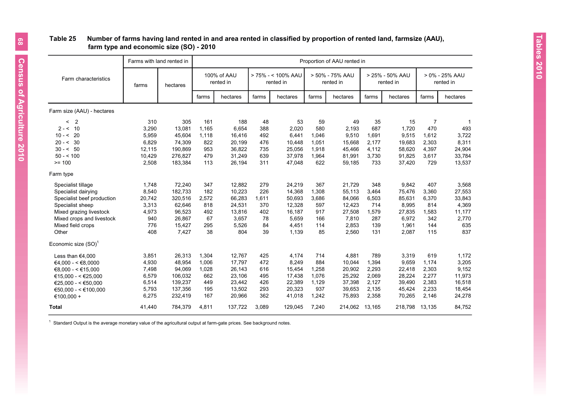## **Table 25 Number of farms having land rented in and area rented in classified by proportion of rented land, farmsize (AAU), farm type and economic size (SO) - 2010**

|                            | Farms with land rented in |          |       |                          |       |                                 |       | Proportion of AAU rented in  |       |                              |                |                             |
|----------------------------|---------------------------|----------|-------|--------------------------|-------|---------------------------------|-------|------------------------------|-------|------------------------------|----------------|-----------------------------|
| Farm characteristics       | farms                     | hectares |       | 100% of AAU<br>rented in |       | > 75% - < 100% AAU<br>rented in |       | > 50% - 75% AAU<br>rented in |       | > 25% - 50% AAU<br>rented in |                | > 0% - 25% AAU<br>rented in |
|                            |                           |          | farms | hectares                 | farms | hectares                        | farms | hectares                     | farms | hectares                     | farms          | hectares                    |
| Farm size (AAU) - hectares |                           |          |       |                          |       |                                 |       |                              |       |                              |                |                             |
| $\overline{2}$<br>$\prec$  | 310                       | 305      | 161   | 188                      | 48    | 53                              | 59    | 49                           | 35    | 15                           | $\overline{7}$ | 1                           |
| $2 - 5 = 10$               | 3,290                     | 13,081   | 1,165 | 6,654                    | 388   | 2,020                           | 580   | 2,193                        | 687   | 1,720                        | 470            | 493                         |
| $10 - 520$                 | 5,959                     | 45,604   | 1,118 | 16,416                   | 492   | 6,441                           | 1,046 | 9,510                        | 1,691 | 9,515                        | 1,612          | 3,722                       |
| $20 - 530$                 | 6,829                     | 74,309   | 822   | 20.199                   | 476   | 10,448                          | 1.051 | 15,668                       | 2,177 | 19,683                       | 2,303          | 8,311                       |
| $30 - 50$                  | 12,115                    | 190,869  | 953   | 36,822                   | 735   | 25,056                          | 1,918 | 45,466                       | 4,112 | 58,620                       | 4,397          | 24,904                      |
| $50 - 5100$                | 10,429                    | 276,827  | 479   | 31,249                   | 639   | 37,978                          | 1,964 | 81,991                       | 3,730 | 91,825                       | 3,617          | 33,784                      |
| $>= 100$                   | 2,508                     | 183,384  | 113   | 26,194                   | 311   | 47,048                          | 622   | 59,185                       | 733   | 37,420                       | 729            | 13,537                      |
| Farm type                  |                           |          |       |                          |       |                                 |       |                              |       |                              |                |                             |
| Specialist tillage         | 1,748                     | 72,240   | 347   | 12,882                   | 279   | 24,219                          | 367   | 21,729                       | 348   | 9,842                        | 407            | 3,568                       |
| Specialist dairying        | 8,540                     | 182,733  | 182   | 10,223                   | 226   | 14,368                          | 1,308 | 55,113                       | 3,464 | 75,476                       | 3,360          | 27,553                      |
| Specialist beef production | 20,742                    | 320,516  | 2,572 | 66,283                   | 1,611 | 50,693                          | 3,686 | 84,066                       | 6,503 | 85,631                       | 6,370          | 33,843                      |
| Specialist sheep           | 3,313                     | 62,646   | 818   | 24,531                   | 370   | 12,328                          | 597   | 12,423                       | 714   | 8,995                        | 814            | 4,369                       |
| Mixed grazing livestock    | 4,973                     | 96,523   | 492   | 13,816                   | 402   | 16,187                          | 917   | 27,508                       | 1,579 | 27,835                       | 1,583          | 11,177                      |
| Mixed crops and livestock  | 940                       | 26,867   | 67    | 3,657                    | 78    | 5,659                           | 166   | 7,810                        | 287   | 6,972                        | 342            | 2,770                       |
| Mixed field crops          | 776                       | 15,427   | 295   | 5,526                    | 84    | 4,451                           | 114   | 2,853                        | 139   | 1,961                        | 144            | 635                         |
| Other                      | 408                       | 7,427    | 38    | 804                      | 39    | 1,139                           | 85    | 2,560                        | 131   | 2,087                        | 115            | 837                         |
| Economic size $(SO)^1$     |                           |          |       |                          |       |                                 |       |                              |       |                              |                |                             |
| Less than $€4,000$         | 3,851                     | 26,313   | 1,304 | 12.767                   | 425   | 4.174                           | 714   | 4.881                        | 789   | 3,319                        | 619            | 1,172                       |
| €4,000 - < €8,0000         | 4,930                     | 48,954   | 1,006 | 17.797                   | 472   | 8,249                           | 884   | 10,044                       | 1,394 | 9,659                        | 1,174          | 3,205                       |
| €8,000 - < €15,000         | 7,498                     | 94,069   | 1,028 | 26,143                   | 616   | 15,454                          | 1,258 | 20,902                       | 2,293 | 22,418                       | 2,303          | 9,152                       |
| €15,000 - < €25,000        | 6,579                     | 106,032  | 662   | 23,106                   | 495   | 17,438                          | 1,076 | 25,292                       | 2,069 | 28,224                       | 2,277          | 11,973                      |
| €25.000 - < €50.000        | 6,514                     | 139,237  | 449   | 23,442                   | 426   | 22,389                          | 1,129 | 37,398                       | 2,127 | 39,490                       | 2,383          | 16,518                      |
| €50,000 - < €100,000       | 5,793                     | 137,356  | 195   | 13,502                   | 293   | 20,323                          | 937   | 39,653                       | 2,135 | 45,424                       | 2,233          | 18,454                      |
| €100,000 +                 | 6,275                     | 232,419  | 167   | 20,966                   | 362   | 41,018                          | 1,242 | 75,893                       | 2,358 | 70,265                       | 2,146          | 24,278                      |
| <b>Total</b>               | 41,440                    | 784,379  | 4,811 | 137,722                  | 3,089 | 129,045                         | 7,240 | 214,062 13,165               |       | 218,798                      | 13,135         | 84,752                      |

 $1$  Standard Output is the average monetary value of the agricultural output at farm-gate prices. See background notes.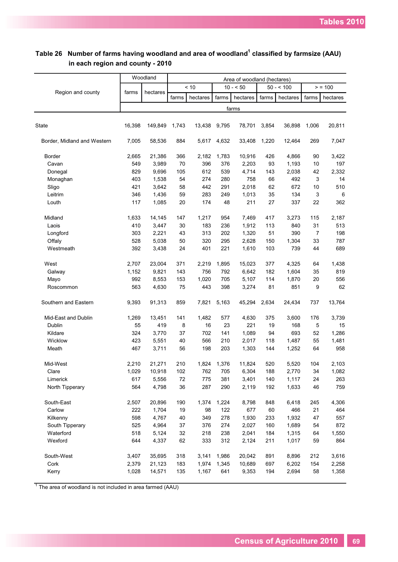|                             |        | Woodland |       |          |       | Area of woodland (hectares) |       |            |       |          |
|-----------------------------|--------|----------|-------|----------|-------|-----------------------------|-------|------------|-------|----------|
|                             |        |          |       | < 10     |       | $10 - 50$                   |       | $50 - 500$ |       | > 100    |
| Region and county           | farms  | hectares | farms | hectares | farms | hectares                    | farms | hectares   | farms | hectares |
|                             |        |          |       |          |       | farms                       |       |            |       |          |
|                             |        |          |       |          |       |                             |       |            |       |          |
| <b>State</b>                | 16,398 | 149,849  | 1,743 | 13,438   | 9,795 | 78,701                      | 3,854 | 36,898     | 1,006 | 20,811   |
| Border, Midland and Western | 7,005  | 58,536   | 884   | 5,617    | 4,632 | 33,408                      | 1,220 | 12,464     | 269   | 7,047    |
| Border                      | 2,665  | 21,386   | 366   | 2,182    | 1,783 | 10,916                      | 426   | 4,866      | 90    | 3,422    |
| Cavan                       | 549    | 3,989    | 70    | 396      | 376   | 2,203                       | 93    | 1,193      | 10    | 197      |
| Donegal                     | 829    | 9,696    | 105   | 612      | 539   | 4,714                       | 143   | 2,038      | 42    | 2,332    |
| Monaghan                    | 403    | 1,538    | 54    | 274      | 280   | 758                         | 66    | 492        | 3     | 14       |
| Sligo                       | 421    | 3,642    | 58    | 442      | 291   | 2,018                       | 62    | 672        | 10    | 510      |
| Leitrim                     | 346    | 1,436    | 59    | 283      | 249   | 1,013                       | 35    | 134        | 3     | 6        |
| Louth                       | 117    | 1,085    | 20    | 174      | 48    | 211                         | 27    | 337        | 22    | 362      |
| Midland                     | 1,633  | 14,145   | 147   | 1,217    | 954   | 7,469                       | 417   | 3,273      | 115   | 2,187    |
| Laois                       | 410    | 3,447    | 30    | 183      | 236   | 1,912                       | 113   | 840        | 31    | 513      |
| Longford                    | 303    | 2,221    | 43    | 313      | 202   | 1,320                       | 51    | 390        | 7     | 198      |
| Offaly                      | 528    | 5,038    | 50    | 320      | 295   | 2,628                       | 150   | 1,304      | 33    | 787      |
| Westmeath                   | 392    | 3,438    | 24    | 401      | 221   | 1,610                       | 103   | 739        | 44    | 689      |
| West                        | 2,707  | 23,004   | 371   | 2,219    | 1,895 | 15,023                      | 377   | 4,325      | 64    | 1,438    |
| Galway                      | 1,152  | 9,821    | 143   | 756      | 792   | 6,642                       | 182   | 1,604      | 35    | 819      |
| Mayo                        | 992    | 8,553    | 153   | 1,020    | 705   | 5,107                       | 114   | 1,870      | 20    | 556      |
| Roscommon                   | 563    | 4,630    | 75    | 443      | 398   | 3,274                       | 81    | 851        | 9     | 62       |
| Southern and Eastern        | 9,393  | 91,313   | 859   | 7,821    | 5,163 | 45,294                      | 2,634 | 24,434     | 737   | 13,764   |
| Mid-East and Dublin         | 1,269  | 13,451   | 141   | 1,482    | 577   | 4,630                       | 375   | 3,600      | 176   | 3,739    |
| Dublin                      | 55     | 419      | 8     | 16       | 23    | 221                         | 19    | 168        | 5     | 15       |
| Kildare                     | 324    | 3,770    | 37    | 702      | 141   | 1,089                       | 94    | 693        | 52    | 1,286    |
| Wicklow                     | 423    | 5,551    | 40    | 566      | 210   | 2,017                       | 118   | 1,487      | 55    | 1,481    |
| Meath                       | 467    | 3,711    | 56    | 198      | 203   | 1,303                       | 144   | 1,252      | 64    | 958      |
| Mid-West                    | 2,210  | 21,271   | 210   | 1,824    | 1,376 | 11,824                      | 520   | 5,520      | 104   | 2,103    |
| Clare                       | 1,029  | 10,918   | 102   | 762      | 705   | 6,304                       | 188   | 2,770      | 34    | 1,082    |
| Limerick                    | 617    | 5,556    | 72    | 775      | 381   | 3,401                       | 140   | 1,117      | 24    | 263      |
| North Tipperary             | 564    | 4,798    | 36    | 287      | 290   | 2,119                       | 192   | 1,633      | 46    | 759      |
| South-East                  | 2,507  | 20,896   | 190   | 1,374    | 1,224 | 8,798                       | 848   | 6,418      | 245   | 4,306    |
| Carlow                      | 222    | 1,704    | 19    | 98       | 122   | 677                         | 60    | 466        | 21    | 464      |
| Kilkenny                    | 598    | 4,767    | 40    | 349      | 278   | 1,930                       | 233   | 1,932      | 47    | 557      |
| South Tipperary             | 525    | 4,964    | 37    | 376      | 274   | 2,027                       | 160   | 1,689      | 54    | 872      |
| Waterford                   | 518    | 5,124    | 32    | 218      | 238   | 2,041                       | 184   | 1,315      | 64    | 1,550    |
| Wexford                     | 644    | 4,337    | 62    | 333      | 312   | 2,124                       | 211   | 1,017      | 59    | 864      |
| South-West                  | 3,407  | 35,695   | 318   | 3,141    | 1,986 | 20,042                      | 891   | 8,896      | 212   | 3,616    |
| Cork                        | 2,379  | 21,123   | 183   | 1,974    | 1,345 | 10,689                      | 697   | 6,202      | 154   | 2,258    |
| Kerry                       | 1,028  | 14,571   | 135   | 1,167    | 641   | 9,353                       | 194   | 2,694      | 58    | 1,358    |

**Table 26 Number of farms having woodland and area of woodland<sup>1</sup> classified by farmsize (AAU) in each region and county - 2010**

т

 $1$  The area of woodland is not included in area farmed (AAU)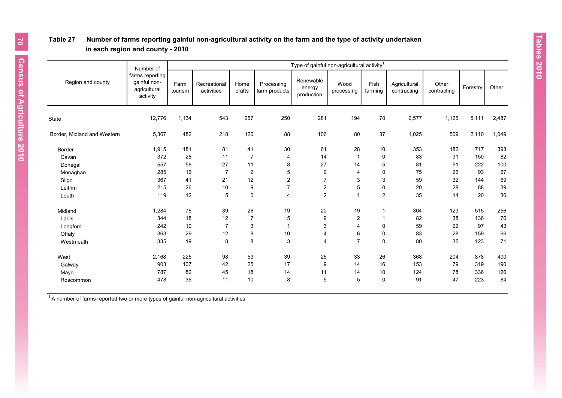# **Table 27 Number of farms reporting gainful non-agricultural activity on the farm and the type of activity undertaken in each region and county - 2010**

|                             | Number of                                                   |                 | Type of gainful non-agricultural activity <sup>1</sup> |                |                             |                                   |                    |                 |                             |                      |          |       |  |  |  |
|-----------------------------|-------------------------------------------------------------|-----------------|--------------------------------------------------------|----------------|-----------------------------|-----------------------------------|--------------------|-----------------|-----------------------------|----------------------|----------|-------|--|--|--|
| Region and county           | farms reporting<br>qainful non-<br>agricultural<br>activity | Farm<br>tourism | Recreational<br>activities                             | Home<br>crafts | Processing<br>farm products | Renewable<br>energy<br>production | Wood<br>processing | Fish<br>farming | Agricultural<br>contracting | Other<br>contracting | Forestry | Other |  |  |  |
| <b>State</b>                | 12,776                                                      | 1,134           | 543                                                    | 257            | 250                         | 281                               | 194                | 70              | 2,577                       | 1,125                | 5,111    | 2,487 |  |  |  |
| Border, Midland and Western | 5,367                                                       | 482             | 218                                                    | 120            | 88                          | 106                               | 80                 | 37              | 1,025                       | 509                  | 2,110    | 1,049 |  |  |  |
| Border                      | 1,915                                                       | 181             | 81                                                     | 41             | 30                          | 61                                | 28                 | $10$            | 353                         | 182                  | 717      | 393   |  |  |  |
| Cavan                       | 372                                                         | 28              | 11                                                     | $\overline{7}$ | 4                           | 14                                | 1                  | 0               | 83                          | 31                   | 150      | 82    |  |  |  |
| Donegal                     | 557                                                         | 58              | 27                                                     | 11             | 8                           | 27                                | 14                 | 5               | 81                          | 51                   | 222      | 100   |  |  |  |
| Monaghan                    | 285                                                         | 16              | $\overline{7}$                                         | $\overline{2}$ | 5                           | 9                                 | 4                  | $\mathbf 0$     | 75                          | 26                   | 93       | 67    |  |  |  |
| Sligo                       | 367                                                         | 41              | 21                                                     | 12             | $\overline{c}$              | $\overline{7}$                    | 3                  | 3               | 59                          | 32                   | 144      | 69    |  |  |  |
| Leitrim                     | 215                                                         | 26              | 10                                                     | 9              | $\overline{7}$              | $\overline{2}$                    | 5                  | 0               | 20                          | 28                   | 88       | 39    |  |  |  |
| Louth                       | 119                                                         | 12              | 5                                                      | $\mathbf 0$    | $\overline{4}$              | $\overline{c}$                    | $\mathbf{1}$       | $\overline{2}$  | 35                          | 14                   | 20       | 36    |  |  |  |
| Midland                     | 1,284                                                       | 76              | 39                                                     | 26             | 19                          | 20                                | 19                 | -1              | 304                         | 123                  | 515      | 256   |  |  |  |
| Laois                       | 344                                                         | 18              | 12                                                     | $\overline{7}$ | 5                           | 9                                 | 2                  | $\overline{1}$  | 82                          | 38                   | 136      | 76    |  |  |  |
| Longford                    | 242                                                         | 10              | $\overline{7}$                                         | 3              | $\mathbf 1$                 | 3                                 | 4                  | 0               | 59                          | 22                   | 97       | 43    |  |  |  |
| Offaly                      | 363                                                         | 29              | 12                                                     | 8              | 10                          | 4                                 | 6                  | 0               | 83                          | 28                   | 159      | 66    |  |  |  |
| Westmeath                   | 335                                                         | 19              | 8                                                      | 8              | 3                           | $\overline{4}$                    | $\overline{7}$     | $\mathbf 0$     | 80                          | 35                   | 123      | 71    |  |  |  |
| West                        | 2,168                                                       | 225             | 98                                                     | 53             | 39                          | 25                                | 33                 | 26              | 368                         | 204                  | 878      | 400   |  |  |  |
| Galway                      | 903                                                         | 107             | 42                                                     | 25             | 17                          | 9                                 | 14                 | 16              | 153                         | 79                   | 319      | 190   |  |  |  |
| Mayo                        | 787                                                         | 82              | 45                                                     | 18             | 14                          | 11                                | 14                 | 10              | 124                         | 78                   | 336      | 126   |  |  |  |
| Roscommon                   | 478                                                         | 36              | 11                                                     | 10             | 8                           | 5                                 | 5                  | $\mathbf 0$     | 91                          | 47                   | 223      | 84    |  |  |  |
|                             |                                                             |                 |                                                        |                |                             |                                   |                    |                 |                             |                      |          |       |  |  |  |

 $14$  number of farms reported two or more types of gainful non-agricultural activities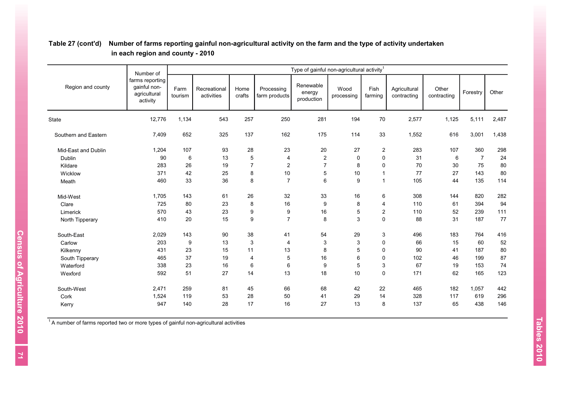|                      | Number of                                                   |                 | Type of gainful non-agricultural activity <sup>1</sup> |                |                             |                                   |                    |                 |                             |                      |                |       |  |  |
|----------------------|-------------------------------------------------------------|-----------------|--------------------------------------------------------|----------------|-----------------------------|-----------------------------------|--------------------|-----------------|-----------------------------|----------------------|----------------|-------|--|--|
| Region and county    | farms reporting<br>gainful non-<br>agricultural<br>activity | Farm<br>tourism | Recreational<br>activities                             | Home<br>crafts | Processing<br>farm products | Renewable<br>energy<br>production | Wood<br>processing | Fish<br>farming | Agricultural<br>contracting | Other<br>contracting | Forestry       | Other |  |  |
| <b>State</b>         | 12,776                                                      | 1,134           | 543                                                    | 257            | 250                         | 281                               | 194                | $70\,$          | 2,577                       | 1,125                | 5,111          | 2,487 |  |  |
| Southern and Eastern | 7,409                                                       | 652             | 325                                                    | 137            | 162                         | 175                               | 114                | 33              | 1,552                       | 616                  | 3,001          | 1,438 |  |  |
| Mid-East and Dublin  | 1,204                                                       | 107             | 93                                                     | 28             | 23                          | $20\,$                            | 27                 | $\sqrt{2}$      | 283                         | 107                  | 360            | 298   |  |  |
| Dublin               | 90                                                          | 6               | 13                                                     | 5              | 4                           | $\overline{2}$                    | $\mathbf 0$        | 0               | 31                          | 6                    | $\overline{7}$ | 24    |  |  |
| Kildare              | 283                                                         | 26              | 19                                                     | $\overline{7}$ | $\overline{\mathbf{c}}$     | $\overline{7}$                    | 8                  | 0               | 70                          | 30                   | 75             | 80    |  |  |
| Wicklow              | 371                                                         | 42              | 25                                                     | 8              | 10                          | 5                                 | 10                 | $\overline{1}$  | 77                          | 27                   | 143            | 80    |  |  |
| Meath                | 460                                                         | 33              | 36                                                     | 8              | $\overline{7}$              | 6                                 | 9                  | $\overline{1}$  | 105                         | 44                   | 135            | 114   |  |  |
| Mid-West             | 1,705                                                       | 143             | 61                                                     | 26             | 32                          | 33                                | 16                 | 6               | 308                         | 144                  | 820            | 282   |  |  |
| Clare                | 725                                                         | 80              | 23                                                     | 8              | 16                          | 9                                 | 8                  | 4               | 110                         | 61                   | 394            | 94    |  |  |
| Limerick             | 570                                                         | 43              | 23                                                     | 9              | 9                           | 16                                | $\,$ 5 $\,$        | $\sqrt{2}$      | 110                         | 52                   | 239            | 111   |  |  |
| North Tipperary      | 410                                                         | 20              | 15                                                     | 9              | $\overline{7}$              | 8                                 | 3                  | $\mathbf 0$     | 88                          | 31                   | 187            | 77    |  |  |
| South-East           | 2,029                                                       | 143             | 90                                                     | 38             | 41                          | 54                                | 29                 | 3               | 496                         | 183                  | 764            | 416   |  |  |
| Carlow               | 203                                                         | 9               | 13                                                     | 3              | 4                           | 3                                 | 3                  | $\pmb{0}$       | 66                          | 15                   | 60             | 52    |  |  |
| Kilkenny             | 431                                                         | 23              | 15                                                     | 11             | 13                          | 8                                 | 5                  | 0               | 90                          | 41                   | 187            | 80    |  |  |
| South Tipperary      | 465                                                         | 37              | 19                                                     | $\overline{4}$ | 5                           | 16                                | 6                  | 0               | 102                         | 46                   | 199            | 87    |  |  |
| Waterford            | 338                                                         | 23              | 16                                                     | 6              | 6                           | 9                                 | 5                  | 3               | 67                          | 19                   | 153            | 74    |  |  |
| Wexford              | 592                                                         | 51              | 27                                                     | 14             | 13                          | 18                                | 10                 | $\mathbf 0$     | 171                         | 62                   | 165            | 123   |  |  |
| South-West           | 2,471                                                       | 259             | 81                                                     | 45             | 66                          | 68                                | 42                 | 22              | 465                         | 182                  | 1,057          | 442   |  |  |
| Cork                 | 1,524                                                       | 119             | 53                                                     | 28             | 50                          | 41                                | 29                 | 14              | 328                         | 117                  | 619            | 296   |  |  |
| Kerry                | 947                                                         | 140             | 28                                                     | 17             | 16                          | 27                                | 13                 | 8               | 137                         | 65                   | 438            | 146   |  |  |

# **Table 27 (cont'd) Number of farms reporting gainful non-agricultural activity on the farm and the type of activity undertaken in each region and county - 2010**

 $14$  number of farms reported two or more types of gainful non-agricultural activities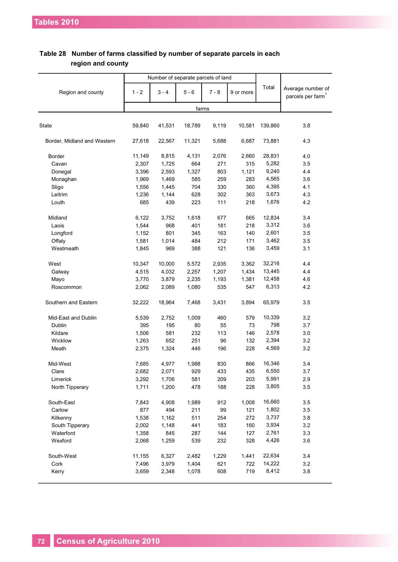|                             |         | Number of separate parcels of land |         |         |           |         |                                                    |
|-----------------------------|---------|------------------------------------|---------|---------|-----------|---------|----------------------------------------------------|
| Region and county           | $1 - 2$ | $3 - 4$                            | $5 - 6$ | $7 - 8$ | 9 or more | Total   | Average number of<br>parcels per farm <sup>1</sup> |
|                             |         |                                    |         | farms   |           |         |                                                    |
|                             |         |                                    |         |         |           |         |                                                    |
| State                       | 59,840  | 41,531                             | 18,789  | 9,119   | 10,581    | 139,860 | 3.8                                                |
| Border, Midland and Western | 27,618  | 22,567                             | 11,321  | 5,688   | 6,687     | 73,881  | 4.3                                                |
| <b>Border</b>               | 11,149  | 8,815                              | 4,131   | 2,076   | 2,660     | 28,831  | 4.0                                                |
| Cavan                       | 2,307   | 1,725                              | 664     | 271     | 315       | 5,282   | 3.5                                                |
| Donegal                     | 3,396   | 2,593                              | 1,327   | 803     | 1,121     | 9,240   | 4.4                                                |
| Monaghan                    | 1,969   | 1,469                              | 585     | 259     | 283       | 4,565   | 3.6                                                |
| Sligo                       | 1,556   | 1,445                              | 704     | 330     | 360       | 4,395   | 4.1                                                |
| Leitrim                     | 1,236   | 1,144                              | 628     | 302     | 363       | 3,673   | 4.3                                                |
| Louth                       | 685     | 439                                | 223     | 111     | 218       | 1,676   | 4.2                                                |
| Midland                     | 6,122   | 3,752                              | 1,618   | 677     | 665       | 12,834  | 3.4                                                |
| Laois                       | 1,544   | 968                                | 401     | 181     | 218       | 3,312   | 3.6                                                |
| Longford                    | 1,152   | 801                                | 345     | 163     | 140       | 2,601   | 3.5                                                |
| Offaly                      | 1,581   | 1,014                              | 484     | 212     | 171       | 3,462   | 3.5                                                |
| Westmeath                   | 1,845   | 969                                | 388     | 121     | 136       | 3,459   | 3.1                                                |
|                             |         |                                    |         |         |           |         |                                                    |
| West                        | 10,347  | 10,000                             | 5,572   | 2,935   | 3,362     | 32,216  | 4.4                                                |
| Galway                      | 4,515   | 4,032                              | 2,257   | 1,207   | 1,434     | 13,445  | 4.4                                                |
| Mayo                        | 3,770   | 3,879                              | 2,235   | 1,193   | 1,381     | 12,458  | 4.6                                                |
| Roscommon                   | 2,062   | 2,089                              | 1,080   | 535     | 547       | 6,313   | 4.2                                                |
| Southern and Eastern        | 32,222  | 18,964                             | 7,468   | 3,431   | 3,894     | 65,979  | 3.5                                                |
| Mid-East and Dublin         | 5,539   | 2,752                              | 1,009   | 460     | 579       | 10,339  | 3.2                                                |
| Dublin                      | 395     | 195                                | 80      | 55      | 73        | 798     | 3.7                                                |
| Kildare                     | 1,506   | 581                                | 232     | 113     | 146       | 2,578   | 3.0                                                |
| Wicklow                     | 1,263   | 652                                | 251     | 96      | 132       | 2,394   | 3.2                                                |
| Meath                       | 2,375   | 1,324                              | 446     | 196     | 228       | 4,569   | 3.2                                                |
| Mid-West                    | 7,685   | 4,977                              | 1,988   | 830     | 866       | 16,346  | 3.4                                                |
| Clare                       | 2,682   | 2,071                              | 929     | 433     | 435       | 6,550   | 3.7                                                |
| Limerick                    | 3,292   | 1,706                              | 581     | 209     | 203       | 5,991   | 2.9                                                |
| North Tipperary             | 1,711   | 1,200                              | 478     | 188     | 228       | 3,805   | 3.5                                                |
| South-East                  | 7,843   | 4,908                              | 1,989   | 912     | 1,008     | 16,660  | 3.5                                                |
| Carlow                      | 877     | 494                                | 211     | 99      | 121       | 1,802   | 3.5                                                |
| Kilkenny                    | 1,538   | 1,162                              | 511     | 254     | 272       | 3,737   | 3.8                                                |
| South Tipperary             | 2,002   | 1,148                              | 441     | 183     | 160       | 3,934   | 3.2                                                |
| Waterford                   | 1,358   | 845                                | 287     | 144     | 127       | 2,761   | 3.3                                                |
| Wexford                     | 2,068   | 1,259                              | 539     | 232     | 328       | 4,426   | 3.6                                                |
|                             |         |                                    |         |         |           | 22,634  |                                                    |
| South-West                  | 11,155  | 6,327                              | 2,482   | 1,229   | 1,441     | 14,222  | 3.4                                                |
| Cork                        | 7,496   | 3,979                              | 1,404   | 621     | 722       | 8,412   | 3.2                                                |
| Kerry                       | 3,659   | 2,348                              | 1,078   | 608     | 719       |         | 3.8                                                |

# **Table 28 Number of farms classified by number of separate parcels in each region and county**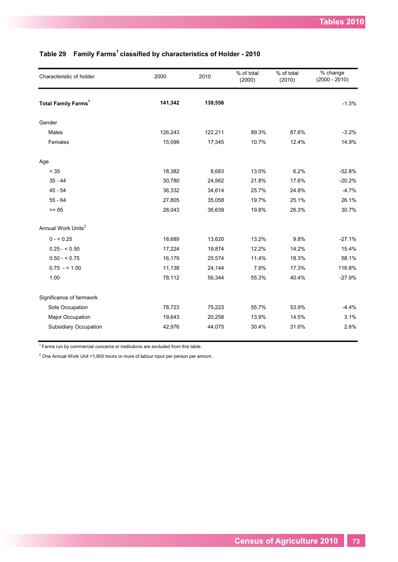| Characteristic of holder              | 2000    | 2010    | % of total<br>(2000) | % of total<br>(2010) | % change<br>$(2000 - 2010)$ |
|---------------------------------------|---------|---------|----------------------|----------------------|-----------------------------|
| <b>Total Family Farms<sup>1</sup></b> | 141,342 | 139,556 |                      |                      | $-1.3%$                     |
| Gender                                |         |         |                      |                      |                             |
| Males                                 | 126,243 | 122,211 | 89.3%                | 87.6%                | $-3.2%$                     |
| Females                               | 15,099  | 17,345  | 10.7%                | 12.4%                | 14.9%                       |
| Age                                   |         |         |                      |                      |                             |
| $< 35$                                | 18,382  | 8,683   | 13.0%                | 6.2%                 | $-52.8%$                    |
| $35 - 44$                             | 30,780  | 24,562  | 21.8%                | 17.6%                | $-20.2%$                    |
| $45 - 54$                             | 36,332  | 34,614  | 25.7%                | 24.8%                | $-4.7%$                     |
| $55 - 64$                             | 27,805  | 35,058  | 19.7%                | 25.1%                | 26.1%                       |
| $>= 65$                               | 28,043  | 36,639  | 19.8%                | 26.3%                | 30.7%                       |
| Annual Work Units <sup>2</sup>        |         |         |                      |                      |                             |
| $0 - 5.25$                            | 18,689  | 13,620  | 13.2%                | 9.8%                 | $-27.1%$                    |
| $0.25 - 5.50$                         | 17,224  | 19,874  | 12.2%                | 14.2%                | 15.4%                       |
| $0.50 - 5.75$                         | 16,179  | 25,574  | 11.4%                | 18.3%                | 58.1%                       |
| $0.75 - 1.00$                         | 11,138  | 24,144  | 7.9%                 | 17.3%                | 116.8%                      |
| 1.00                                  | 78,112  | 56,344  | 55.3%                | 40.4%                | $-27.9%$                    |
| Significance of farmwork              |         |         |                      |                      |                             |
| Sole Occupation                       | 78,723  | 75,223  | 55.7%                | 53.9%                | $-4.4%$                     |
| Major Occupation                      | 19,643  | 20,258  | 13.9%                | 14.5%                | 3.1%                        |
| Subsidiary Occupation                 | 42,976  | 44,075  | 30.4%                | 31.6%                | 2.6%                        |

# **Table 29 Family Farms<sup>1</sup>classified by characteristics of Holder - 2010**

 $1$  Farms run by commercial concerns or institutions are excluded from this table.

 $2$  One Annual Work Unit =1,800 hours or more of labour input per person per annum.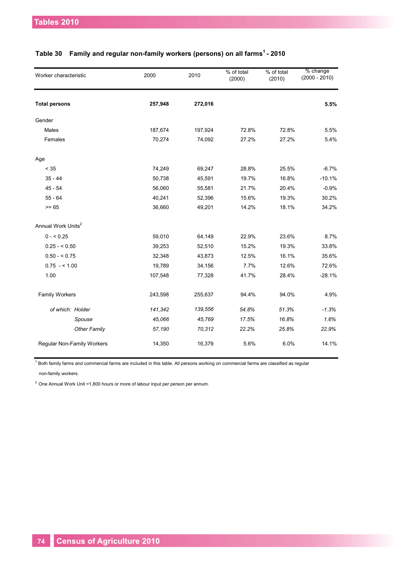| Worker characteristic             | 2000    | 2010    | % of total<br>(2000) | % of total<br>(2010) | % change<br>$(2000 - 2010)$ |
|-----------------------------------|---------|---------|----------------------|----------------------|-----------------------------|
| <b>Total persons</b>              | 257,948 | 272,016 |                      |                      | 5.5%                        |
| Gender                            |         |         |                      |                      |                             |
| Males                             | 187,674 | 197,924 | 72.8%                | 72.8%                | 5.5%                        |
| Females                           | 70,274  | 74,092  | 27.2%                | 27.2%                | 5.4%                        |
| Age                               |         |         |                      |                      |                             |
| $< 35$                            | 74,249  | 69,247  | 28.8%                | 25.5%                | $-6.7%$                     |
| $35 - 44$                         | 50,738  | 45,591  | 19.7%                | 16.8%                | $-10.1%$                    |
| $45 - 54$                         | 56,060  | 55,581  | 21.7%                | 20.4%                | $-0.9%$                     |
| $55 - 64$                         | 40,241  | 52,396  | 15.6%                | 19.3%                | 30.2%                       |
| $>= 65$                           | 36,660  | 49,201  | 14.2%                | 18.1%                | 34.2%                       |
| Annual Work Units <sup>2</sup>    |         |         |                      |                      |                             |
| $0 - 5.25$                        | 59,010  | 64,149  | 22.9%                | 23.6%                | 8.7%                        |
| $0.25 - 0.50$                     | 39,253  | 52,510  | 15.2%                | 19.3%                | 33.8%                       |
| $0.50 - 5.75$                     | 32,348  | 43,873  | 12.5%                | 16.1%                | 35.6%                       |
| $0.75 - 1.00$                     | 19,789  | 34,156  | 7.7%                 | 12.6%                | 72.6%                       |
| 1.00                              | 107,548 | 77,328  | 41.7%                | 28.4%                | $-28.1%$                    |
| <b>Family Workers</b>             | 243,598 | 255,637 | 94.4%                | 94.0%                | 4.9%                        |
| of which: Holder                  | 141,342 | 139,556 | 54.8%                | 51.3%                | $-1.3%$                     |
| Spouse                            | 45,066  | 45,769  | 17.5%                | 16.8%                | 1.6%                        |
| <b>Other Family</b>               | 57,190  | 70,312  | 22.2%                | 25.8%                | 22.9%                       |
| <b>Regular Non-Family Workers</b> | 14,350  | 16,379  | 5.6%                 | 6.0%                 | 14.1%                       |

#### **Table 30 Family and regular non-family workers (persons) on all farms <sup>1</sup>- 2010**

 $^{\rm 1}$  Both family farms and commercial farms are included in this table. All persons working on commercial farms are classified as regular non-family workers.

 $2$  One Annual Work Unit =1,800 hours or more of labour input per person per annum.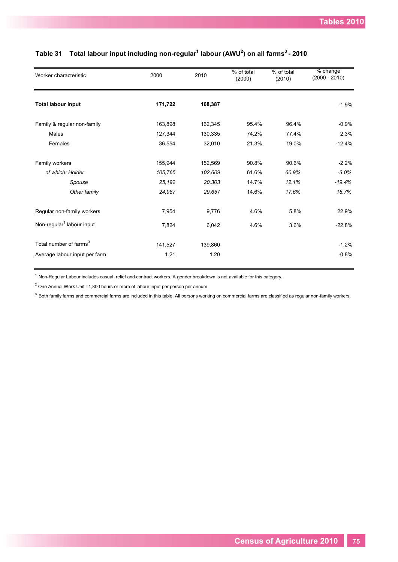| Worker characteristic                 | 2000    | 2010    | % of total<br>(2000) | % of total<br>(2010) | % change<br>$(2000 - 2010)$ |
|---------------------------------------|---------|---------|----------------------|----------------------|-----------------------------|
| <b>Total labour input</b>             | 171,722 | 168,387 |                      |                      | $-1.9%$                     |
| Family & regular non-family           | 163,898 | 162,345 | 95.4%                | 96.4%                | $-0.9%$                     |
| <b>Males</b>                          | 127,344 | 130,335 | 74.2%                | 77.4%                | 2.3%                        |
| Females                               | 36,554  | 32,010  | 21.3%                | 19.0%                | $-12.4%$                    |
| Family workers                        | 155,944 | 152,569 | 90.8%                | 90.6%                | $-2.2%$                     |
| of which: Holder                      | 105,765 | 102,609 | 61.6%                | 60.9%                | $-3.0%$                     |
| Spouse                                | 25,192  | 20,303  | 14.7%                | 12.1%                | $-19.4%$                    |
| Other family                          | 24,987  | 29,657  | 14.6%                | 17.6%                | 18.7%                       |
| Regular non-family workers            | 7,954   | 9,776   | 4.6%                 | 5.8%                 | 22.9%                       |
| Non-regular <sup>1</sup> labour input | 7,824   | 6,042   | 4.6%                 | 3.6%                 | $-22.8%$                    |
| Total number of farms <sup>3</sup>    | 141,527 | 139,860 |                      |                      | $-1.2%$                     |
| Average labour input per farm         | 1.21    | 1.20    |                      |                      | $-0.8%$                     |

#### **Table 31 Total labour input including non-regular 1 labour (AWU<sup>2</sup> ) on all farms<sup>3</sup>- 2010**

 $1$  Non-Regular Labour includes casual, relief and contract workers. A gender breakdown is not available for this category.

 $2$  One Annual Work Unit =1,800 hours or more of labour input per person per annum

 $3$  Both family farms and commercial farms are included in this table. All persons working on commercial farms are classified as regular non-family workers.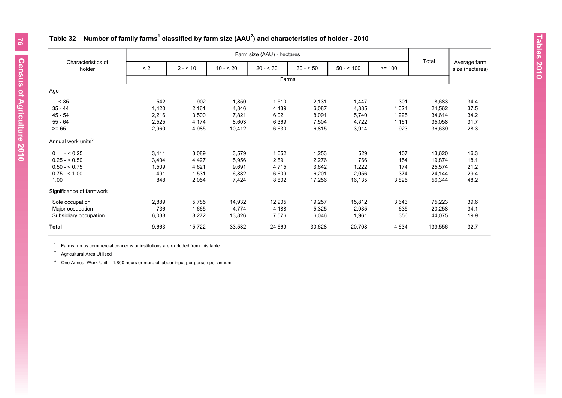|                                |          |          |           | Farm size (AAU) - hectares |           |            |          |         |                                 |
|--------------------------------|----------|----------|-----------|----------------------------|-----------|------------|----------|---------|---------------------------------|
| Characteristics of<br>holder   | $\leq$ 2 | $2 - 10$ | $10 - 20$ | $20 - 30$                  | $30 - 50$ | $50 - 100$ | $>= 100$ | Total   | Average farm<br>size (hectares) |
|                                |          |          |           | Farms                      |           |            |          |         |                                 |
| Age                            |          |          |           |                            |           |            |          |         |                                 |
| < 35                           | 542      | 902      | 1,850     | 1,510                      | 2,131     | 1,447      | 301      | 8,683   | 34.4                            |
| $35 - 44$                      | 1,420    | 2,161    | 4,846     | 4,139                      | 6,087     | 4,885      | 1,024    | 24,562  | 37.5                            |
| $45 - 54$                      | 2,216    | 3,500    | 7,821     | 6,021                      | 8,091     | 5,740      | 1,225    | 34,614  | 34.2                            |
| $55 - 64$                      | 2,525    | 4,174    | 8,603     | 6,369                      | 7,504     | 4,722      | 1,161    | 35,058  | 31.7                            |
| $>= 65$                        | 2,960    | 4,985    | 10,412    | 6,630                      | 6,815     | 3,914      | 923      | 36,639  | 28.3                            |
| Annual work units <sup>3</sup> |          |          |           |                            |           |            |          |         |                                 |
| $- < 0.25$<br>$\Omega$         | 3,411    | 3,089    | 3,579     | 1,652                      | 1,253     | 529        | 107      | 13,620  | 16.3                            |
| $0.25 - 0.50$                  | 3,404    | 4,427    | 5,956     | 2,891                      | 2,276     | 766        | 154      | 19,874  | 18.1                            |
| $0.50 - 5.75$                  | 1,509    | 4,621    | 9,691     | 4,715                      | 3,642     | 1,222      | 174      | 25,574  | 21.2                            |
| $0.75 - 1.00$                  | 491      | 1,531    | 6,882     | 6,609                      | 6,201     | 2,056      | 374      | 24,144  | 29.4                            |
| 1.00                           | 848      | 2,054    | 7,424     | 8,802                      | 17,256    | 16,135     | 3,825    | 56,344  | 48.2                            |
| Significance of farmwork       |          |          |           |                            |           |            |          |         |                                 |
| Sole occupation                | 2,889    | 5,785    | 14,932    | 12,905                     | 19,257    | 15,812     | 3,643    | 75,223  | 39.6                            |
| Major occupation               | 736      | 1,665    | 4,774     | 4,188                      | 5,325     | 2,935      | 635      | 20,258  | 34.1                            |
| Subsidiary occupation          | 6,038    | 8,272    | 13,826    | 7,576                      | 6,046     | 1,961      | 356      | 44,075  | 19.9                            |
| <b>Total</b>                   | 9,663    | 15,722   | 33,532    | 24,669                     | 30,628    | 20,708     | 4,634    | 139,556 | 32.7                            |

## **Table 32 Number of family farms<sup>1</sup> classified by farm size (AAU 2 ) and characteristics of holder - 2010**

 $1$  Farms run by commercial concerns or institutions are excluded from this table.

<sup>2</sup> Agricultural Area Utilised

<sup>3</sup> One Annual Work Unit = 1,800 hours or more of labour input per person per annum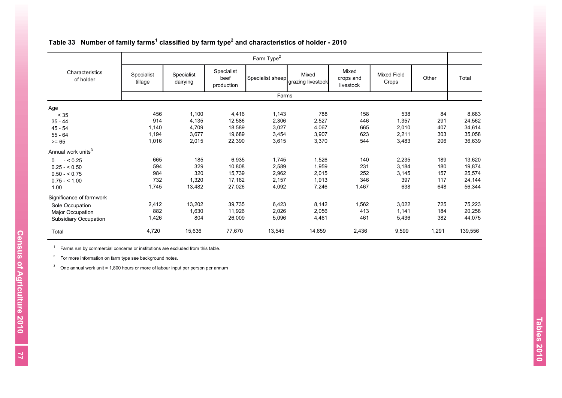|                                |                                                 |        |                                  | Farm Type <sup>2</sup> |                            |                                 |                             |       |         |
|--------------------------------|-------------------------------------------------|--------|----------------------------------|------------------------|----------------------------|---------------------------------|-----------------------------|-------|---------|
|                                |                                                 |        |                                  |                        |                            |                                 |                             |       |         |
| Characteristics<br>of holder   | Specialist<br>Specialist<br>tillage<br>dairying |        | Specialist<br>beef<br>production | Specialist sheep       | Mixed<br>grazing livestock | Mixed<br>crops and<br>livestock | <b>Mixed Field</b><br>Crops | Other | Total   |
|                                |                                                 |        |                                  | Farms                  |                            |                                 |                             |       |         |
| Age                            |                                                 |        |                                  |                        |                            |                                 |                             |       |         |
| < 35                           | 456                                             | 1,100  | 4,416                            | 1,143                  | 788                        | 158                             | 538                         | 84    | 8,683   |
| $35 - 44$                      | 914                                             | 4,135  | 12,586                           | 2,306                  | 2,527                      | 446                             | 1,357                       | 291   | 24,562  |
| $45 - 54$                      | 1,140                                           | 4,709  | 18,589                           | 3,027                  | 4,067                      | 665                             | 2,010                       | 407   | 34,614  |
| $55 - 64$                      | 1,194                                           | 3,677  | 19,689                           | 3,454                  | 3,907                      | 623                             | 2,211                       | 303   | 35,058  |
| $>= 65$                        | 1,016                                           | 2,015  | 22,390                           | 3,615                  | 3,370                      | 544                             | 3,483                       | 206   | 36,639  |
| Annual work units <sup>3</sup> |                                                 |        |                                  |                        |                            |                                 |                             |       |         |
| $- < 0.25$<br>$\Omega$         | 665                                             | 185    | 6,935                            | 1,745                  | 1,526                      | 140                             | 2,235                       | 189   | 13,620  |
| $0.25 - 0.50$                  | 594                                             | 329    | 10,808                           | 2,589                  | 1,959                      | 231                             | 3,184                       | 180   | 19,874  |
| $0.50 - 5.75$                  | 984                                             | 320    | 15,739                           | 2,962                  | 2,015                      | 252                             | 3,145                       | 157   | 25,574  |
| $0.75 - 1.00$                  | 732                                             | 1,320  | 17,162                           | 2,157                  | 1,913                      | 346                             | 397                         | 117   | 24,144  |
| 1.00                           | 1,745                                           | 13,482 | 27,026                           | 4,092                  | 7,246                      | 1,467                           | 638                         | 648   | 56,344  |
| Significance of farmwork       |                                                 |        |                                  |                        |                            |                                 |                             |       |         |
| Sole Occupation                | 2,412                                           | 13,202 | 39,735                           | 6,423                  | 8,142                      | 1,562                           | 3,022                       | 725   | 75,223  |
| Major Occupation               | 882                                             | 1,630  | 11,926                           | 2,026                  | 2,056                      | 413                             | 1,141                       | 184   | 20,258  |
| <b>Subsidiary Occupation</b>   | 1,426                                           | 804    | 26,009                           | 5,096                  | 4,461                      | 461                             | 5,436                       | 382   | 44,075  |
| Total                          | 4,720                                           | 15,636 | 77,670                           | 13,545                 | 14,659                     | 2,436                           | 9,599                       | 1,291 | 139,556 |

#### **Table 33 Number of family farms<sup>1</sup> classified by farm type<sup>2</sup> and characteristics of holder - 2010**

 $1$  Farms run by commercial concerns or institutions are excluded from this table.

 $2^2$  For more information on farm type see background notes.

<sup>3</sup> One annual work unit = 1,800 hours or more of labour input per person per annum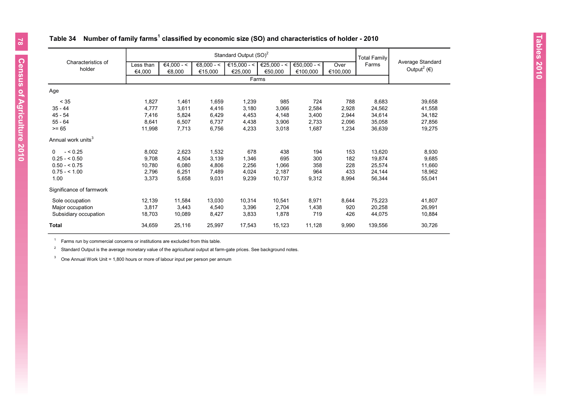## **Table 34 Number of family farms<sup>1</sup> classified by economic size (SO) and characteristics of holder - 2010**

|                                |                     |                        |                         | Standard Output (SO) <sup>2</sup> |                        |                         |                  | <b>Total Family</b> |                                                        |  |
|--------------------------------|---------------------|------------------------|-------------------------|-----------------------------------|------------------------|-------------------------|------------------|---------------------|--------------------------------------------------------|--|
| Characteristics of<br>holder   | Less than<br>€4.000 | $€4,000 - <$<br>€8,000 | $€8,000 - <$<br>€15,000 | €15,000 - <<br>€25,000            | €25,000 - <<br>€50,000 | €50,000 - <<br>€100,000 | Over<br>€100,000 | Farms               | Average Standard<br>Output <sup>2</sup> ( $\epsilon$ ) |  |
|                                |                     |                        |                         |                                   | Farms                  |                         |                  |                     |                                                        |  |
| Age                            |                     |                        |                         |                                   |                        |                         |                  |                     |                                                        |  |
| < 35                           | 1,827               | 1,461                  | 1,659                   | 1,239                             | 985                    | 724                     | 788              | 8,683               | 39,658                                                 |  |
| $35 - 44$                      | 4,777               | 3,611                  | 4,416                   | 3,180                             | 3,066                  | 2,584                   | 2,928            | 24,562              | 41,558                                                 |  |
| $45 - 54$                      | 7,416               | 5,824                  | 6,429                   | 4,453                             | 4,148                  | 3,400                   | 2,944            | 34,614              | 34,182                                                 |  |
| $55 - 64$                      | 8,641               | 6,507                  | 6,737                   | 4,438                             | 3,906                  | 2.733                   | 2,096            | 35,058              | 27,856                                                 |  |
| $>= 65$                        | 11,998              | 7,713                  | 6,756                   | 4,233                             | 3.018                  | 1,687                   | 1,234            | 36,639              | 19,275                                                 |  |
| Annual work units <sup>3</sup> |                     |                        |                         |                                   |                        |                         |                  |                     |                                                        |  |
| $- < 0.25$<br>$\Omega$         | 8,002               | 2,623                  | 1,532                   | 678                               | 438                    | 194                     | 153              | 13,620              | 8,930                                                  |  |
| $0.25 - 5.50$                  | 9,708               | 4,504                  | 3,139                   | 1,346                             | 695                    | 300                     | 182              | 19,874              | 9,685                                                  |  |
| $0.50 - 5.75$                  | 10,780              | 6,080                  | 4,806                   | 2,256                             | 1,066                  | 358                     | 228              | 25,574              | 11,660                                                 |  |
| $0.75 - 1.00$                  | 2,796               | 6,251                  | 7.489                   | 4.024                             | 2,187                  | 964                     | 433              | 24,144              | 18,962                                                 |  |
| 1.00                           | 3,373               | 5,658                  | 9,031                   | 9,239                             | 10.737                 | 9,312                   | 8,994            | 56,344              | 55,041                                                 |  |
| Significance of farmwork       |                     |                        |                         |                                   |                        |                         |                  |                     |                                                        |  |
| Sole occupation                | 12,139              | 11,584                 | 13,030                  | 10,314                            | 10,541                 | 8,971                   | 8,644            | 75,223              | 41,807                                                 |  |
| Major occupation               | 3,817               | 3,443                  | 4,540                   | 3,396                             | 2,704                  | 1,438                   | 920              | 20,258              | 26,991                                                 |  |
| Subsidiary occupation          | 18,703              | 10,089                 | 8,427                   | 3,833                             | 1,878                  | 719                     | 426              | 44,075              | 10,884                                                 |  |
| <b>Total</b>                   | 34,659              | 25,116                 | 25,997                  | 17,543                            | 15,123                 | 11,128                  | 9,990            | 139,556             | 30,726                                                 |  |

 $1$  Farms run by commercial concerns or institutions are excluded from this table.

 $2^2$  Standard Output is the average monetary value of the agricultural output at farm-gate prices. See background notes.

<sup>3</sup> One Annual Work Unit = 1,800 hours or more of labour input per person per annum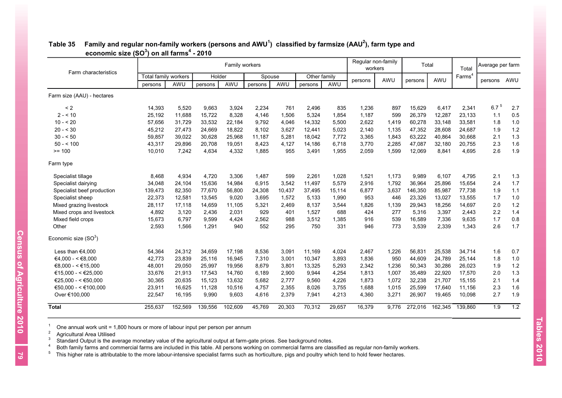| Farm characteristics             |                      |         |         | Family workers |         |        |              |        | Regular non-family<br>workers |       | Total   |         | Total              | Average per farm |     |
|----------------------------------|----------------------|---------|---------|----------------|---------|--------|--------------|--------|-------------------------------|-------|---------|---------|--------------------|------------------|-----|
|                                  | Total family workers |         | Holder  |                | Spouse  |        | Other family |        |                               | AWU   |         | AWU     | Farms <sup>4</sup> |                  | AWU |
|                                  | persons              | AWU     | persons | AWU            | persons | AWU    | persons      | AWU    | persons                       |       | persons |         |                    | persons          |     |
| Farm size (AAU) - hectares       |                      |         |         |                |         |        |              |        |                               |       |         |         |                    |                  |     |
| < 2                              | 14,393               | 5.520   | 9.663   | 3,924          | 2.234   | 761    | 2,496        | 835    | 1,236                         | 897   | 15.629  | 6,417   | 2,341              | $6.7^{5}$        | 2.7 |
| $2 - 10$                         | 25,192               | 11,688  | 15,722  | 8,328          | 4,146   | 1,506  | 5,324        | 1,854  | 1,187                         | 599   | 26,379  | 12,287  | 23,133             | 1.1              | 0.5 |
| $10 - 20$                        | 57,656               | 31,729  | 33,532  | 22,184         | 9,792   | 4,046  | 14,332       | 5,500  | 2,622                         | 1,419 | 60,278  | 33,148  | 33,581             | 1.8              | 1.0 |
| $20 - 530$                       | 45,212               | 27,473  | 24,669  | 18,822         | 8,102   | 3,627  | 12,441       | 5,023  | 2,140                         | 1,135 | 47,352  | 28,608  | 24,687             | 1.9              | 1.2 |
| $30 - 50$                        | 59,857               | 39,022  | 30,628  | 25,968         | 11,187  | 5,281  | 18,042       | 7,772  | 3,365                         | 1.843 | 63,222  | 40,864  | 30,668             | 2.1              | 1.3 |
| $50 - 5100$                      | 43,317               | 29,896  | 20,708  | 19,051         | 8,423   | 4,127  | 14,186       | 6,718  | 3,770                         | 2,285 | 47,087  | 32,180  | 20,755             | 2.3              | 1.6 |
| $>= 100$                         | 10,010               | 7,242   | 4,634   | 4,332          | 1,885   | 955    | 3,491        | 1,955  | 2,059                         | 1,599 | 12,069  | 8,841   | 4,695              | 2.6              | 1.9 |
| Farm type                        |                      |         |         |                |         |        |              |        |                               |       |         |         |                    |                  |     |
| Specialist tillage               | 8,468                | 4,934   | 4,720   | 3,306          | 1.487   | 599    | 2,261        | 1,028  | 1,521                         | 1,173 | 9,989   | 6,107   | 4,795              | 2.1              | 1.3 |
| Specialist dairying              | 34,048               | 24,104  | 15,636  | 14,984         | 6,915   | 3,542  | 11,497       | 5,579  | 2,916                         | 1,792 | 36,964  | 25,896  | 15,654             | 2.4              | 1.7 |
| Specialist beef production       | 139,473              | 82,350  | 77,670  | 56,800         | 24,308  | 10,437 | 37,495       | 15,114 | 6,877                         | 3,637 | 146,350 | 85,987  | 77,738             | 1.9              | 1.1 |
| Specialist sheep                 | 22,373               | 12,581  | 13,545  | 9.020          | 3.695   | 1,572  | 5,133        | 1,990  | 953                           | 446   | 23,326  | 13,027  | 13,555             | 1.7              | 1.0 |
| Mixed grazing livestock          | 28,117               | 17,118  | 14,659  | 11,105         | 5,321   | 2,469  | 8,137        | 3,544  | 1,826                         | 1,139 | 29,943  | 18,256  | 14,697             | 2.0              | 1.2 |
| Mixed crops and livestock        | 4,892                | 3,120   | 2,436   | 2,031          | 929     | 401    | 1.527        | 688    | 424                           | 277   | 5,316   | 3,397   | 2,443              | 2.2              | 1.4 |
| Mixed field crops                | 15,673               | 6,797   | 9,599   | 4,424          | 2,562   | 988    | 3,512        | 1,385  | 916                           | 539   | 16,589  | 7,336   | 9,635              | 1.7              | 0.8 |
| Other                            | 2,593                | 1,566   | 1,291   | 940            | 552     | 295    | 750          | 331    | 946                           | 773   | 3,539   | 2,339   | 1,343              | 2.6              | 1.7 |
| Economic size (SO <sup>3</sup> ) |                      |         |         |                |         |        |              |        |                               |       |         |         |                    |                  |     |
| Less than $€4,000$               | 54,364               | 24,312  | 34,659  | 17,198         | 8,536   | 3,091  | 11,169       | 4,024  | 2,467                         | 1,226 | 56,831  | 25,538  | 34,714             | 1.6              | 0.7 |
| €4.000 - < €8.000                | 42,773               | 23,839  | 25,116  | 16,945         | 7,310   | 3,001  | 10,347       | 3,893  | 1,836                         | 950   | 44,609  | 24,789  | 25,144             | 1.8              | 1.0 |
| €8,000 - < €15,000               | 48,001               | 29,050  | 25,997  | 19,956         | 8.679   | 3.801  | 13.325       | 5,293  | 2,342                         | 1.236 | 50,343  | 30,286  | 26,023             | 1.9              | 1.2 |
| €15,000 - < €25,000              | 33,676               | 21,913  | 17,543  | 14,760         | 6,189   | 2,900  | 9,944        | 4,254  | 1,813                         | 1,007 | 35,489  | 22,920  | 17,570             | 2.0              | 1.3 |
| €25.000 - < €50.000              | 30,365               | 20,635  | 15,123  | 13,632         | 5,682   | 2,777  | 9,560        | 4,226  | 1,873                         | 1,072 | 32,238  | 21,707  | 15,155             | 2.1              | 1.4 |
| €50,000 - < €100,000             | 23,911               | 16,625  | 11,128  | 10,516         | 4,757   | 2,355  | 8,026        | 3,755  | 1,688                         | 1,015 | 25,599  | 17,640  | 11,156             | 2.3              | 1.6 |
| Over €100,000                    | 22,547               | 16,195  | 9,990   | 9,603          | 4,616   | 2,379  | 7,941        | 4,213  | 4,360                         | 3,271 | 26,907  | 19,465  | 10,098             | 2.7              | 1.9 |
| <b>Total</b>                     | 255,637              | 152.569 | 139.556 | 102.609        | 45.769  | 20,303 | 70.312       | 29.657 | 16,379                        | 9.776 | 272.016 | 162.345 | 139.860            | 1.9              | 1.2 |

## **Table 35 Family and regular non-family workers (persons and AWU<sup>1</sup> ) classified by farmsize (AAU 2 ), farm type and economic size (SO<sup>3</sup> ) on all farms<sup>4</sup> - 2010**

1 One annual work unit = 1,800 hours or more of labour input per person per annum

2 Agricultural Area Utilised

3 Standard Output is the average monetary value of the agricultural output at farm-gate prices. See background notes.

4 Both family farms and commercial farms are included in this table. All persons working on commercial farms are classified as regular non-family workers.

 $5$  This higher rate is attributable to the more labour-intensive specialist farms such as horticulture, pigs and poultry which tend to hold fewer hectares.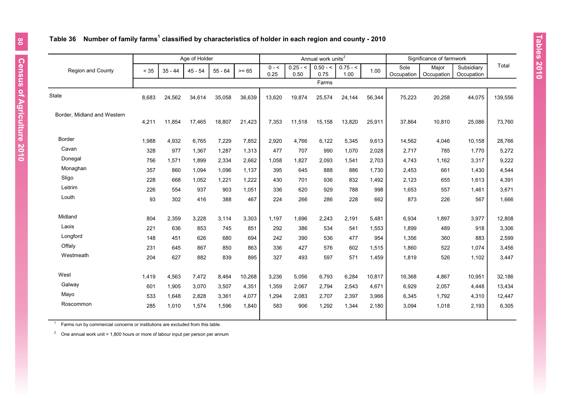#### **Table 36 Number of family farms<sup>1</sup> classified by characteristics of holder in each region and county - 2010**

|                             |       |           | Age of Holder |           |         |         |            | Annual work units <sup>2</sup> |            |        |            | Significance of farmwork |            |         |
|-----------------------------|-------|-----------|---------------|-----------|---------|---------|------------|--------------------------------|------------|--------|------------|--------------------------|------------|---------|
| Region and County           | < 35  | $35 - 44$ | $45 - 54$     | $55 - 64$ | $>= 65$ | $0 - 5$ | $0.25 - 5$ | $0.50 - 5$                     | $0.75 - 5$ | 1.00   | Sole       | Major                    | Subsidiary | Total   |
|                             |       |           |               |           |         | 0.25    | 0.50       | 0.75                           | 1.00       |        | Occupation | Occupation               | Occupation |         |
|                             |       |           |               |           |         |         |            | Farms                          |            |        |            |                          |            |         |
| <b>State</b>                | 8,683 | 24,562    | 34,614        | 35,058    | 36,639  | 13,620  | 19,874     | 25,574                         | 24,144     | 56,344 | 75,223     | 20,258                   | 44,075     | 139,556 |
|                             |       |           |               |           |         |         |            |                                |            |        |            |                          |            |         |
| Border, Midland and Western |       |           |               |           |         |         |            |                                |            |        |            |                          |            |         |
|                             | 4,211 | 11,854    | 17,465        | 18,807    | 21,423  | 7,353   | 11,518     | 15,158                         | 13,820     | 25,911 | 37,864     | 10,810                   | 25,086     | 73,760  |
|                             |       |           |               |           |         |         |            |                                |            |        |            |                          |            |         |
| <b>Border</b>               | 1,988 | 4,932     | 6,765         | 7,229     | 7,852   | 2,920   | 4,766      | 6,122                          | 5,345      | 9,613  | 14,562     | 4,046                    | 10,158     | 28,766  |
| Cavan                       | 328   | 977       | 1,367         | 1,287     | 1,313   | 477     | 707        | 990                            | 1,070      | 2,028  | 2,717      | 785                      | 1,770      | 5,272   |
| Donegal                     | 756   | 1,571     | 1,899         | 2,334     | 2,662   | 1,058   | 1,827      | 2,093                          | 1,541      | 2,703  | 4,743      | 1,162                    | 3,317      | 9,222   |
| Monaghan                    | 357   | 860       | 1.094         | 1,096     | 1.137   | 395     | 645        | 888                            | 886        | 1,730  | 2,453      | 661                      | 1,430      | 4,544   |
| Sligo                       | 228   | 668       | 1,052         | 1,221     | 1,222   | 430     | 701        | 936                            | 832        | 1,492  | 2,123      | 655                      | 1,613      | 4,391   |
| Leitrim                     | 226   | 554       | 937           | 903       | 1,051   | 336     | 620        | 929                            | 788        | 998    | 1,653      | 557                      | 1,461      | 3,671   |
| Louth                       | 93    | 302       | 416           | 388       | 467     | 224     | 266        | 286                            | 228        | 662    | 873        | 226                      | 567        | 1,666   |
|                             |       |           |               |           |         |         |            |                                |            |        |            |                          |            |         |
| Midland                     | 804   | 2,359     | 3,228         | 3,114     | 3,303   | 1,197   | 1,696      | 2,243                          | 2,191      | 5,481  | 6,934      | 1,897                    | 3,977      | 12,808  |
| Laois                       | 221   | 636       | 853           | 745       | 851     | 292     | 386        | 534                            | 541        | 1,553  | 1,899      | 489                      | 918        | 3,306   |
| Longford                    | 148   | 451       | 626           | 680       | 694     | 242     | 390        | 536                            | 477        | 954    | 1,356      | 360                      | 883        | 2,599   |
| Offaly                      | 231   | 645       | 867           | 850       | 863     | 336     | 427        | 576                            | 602        | 1,515  | 1,860      | 522                      | 1,074      | 3,456   |
| Westmeath                   | 204   | 627       | 882           | 839       | 895     | 327     | 493        | 597                            | 571        | 1,459  | 1,819      | 526                      | 1,102      | 3,447   |
|                             |       |           |               |           |         |         |            |                                |            |        |            |                          |            |         |
| West                        | 1,419 | 4,563     | 7,472         | 8,464     | 10,268  | 3,236   | 5,056      | 6,793                          | 6,284      | 10,817 | 16,368     | 4,867                    | 10,951     | 32,186  |
| Galway                      | 601   | 1,905     | 3,070         | 3,507     | 4,351   | 1,359   | 2,067      | 2,794                          | 2,543      | 4,671  | 6,929      | 2,057                    | 4,448      | 13,434  |
| Mayo                        | 533   | 1,648     | 2,828         | 3,361     | 4,077   | 1,294   | 2,083      | 2,707                          | 2,397      | 3,966  | 6,345      | 1,792                    | 4,310      | 12,447  |
| Roscommon                   | 285   | 1,010     | 1,574         | 1,596     | 1,840   | 583     | 906        | 1,292                          | 1,344      | 2,180  | 3,094      | 1,018                    | 2,193      | 6,305   |
|                             |       |           |               |           |         |         |            |                                |            |        |            |                          |            |         |

1 Farms run by commercial concerns or institutions are excluded from this table.

<sup>2</sup> One annual work unit = 1,800 hours or more of labour input per person per annum

 $\overline{\phantom{a}}$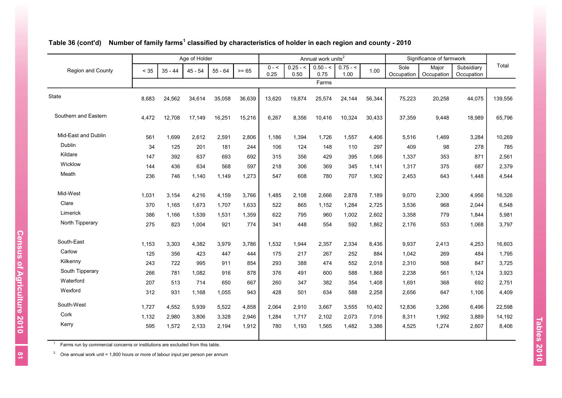|                      |        |           | Age of Holder |           |         |                 |                    | Annual work units <sup>2</sup> |                    |        |                    | Significance of farmwork |                          |         |
|----------------------|--------|-----------|---------------|-----------|---------|-----------------|--------------------|--------------------------------|--------------------|--------|--------------------|--------------------------|--------------------------|---------|
| Region and County    | $< 35$ | $35 - 44$ | $45 - 54$     | $55 - 64$ | $>= 65$ | $0 - 5$<br>0.25 | $0.25 - 5$<br>0.50 | $0.50 - 5$<br>0.75             | $0.75 - 5$<br>1.00 | 1.00   | Sole<br>Occupation | Major<br>Occupation      | Subsidiary<br>Occupation | Total   |
|                      |        |           |               |           |         |                 |                    | Farms                          |                    |        |                    |                          |                          |         |
| State                | 8,683  | 24,562    | 34,614        | 35,058    | 36,639  | 13,620          | 19,874             | 25,574                         | 24,144             | 56,344 | 75,223             | 20,258                   | 44,075                   | 139,556 |
| Southern and Eastern | 4,472  | 12,708    | 17,149        | 16,251    | 15,216  | 6,267           | 8,356              | 10,416                         | 10,324             | 30,433 | 37,359             | 9,448                    | 18,989                   | 65,796  |
| Mid-East and Dublin  | 561    | 1,699     | 2,612         | 2,591     | 2,806   | 1,186           | 1,394              | 1,726                          | 1,557              | 4,406  | 5,516              | 1,469                    | 3,284                    | 10,269  |
| Dublin               | 34     | 125       | 201           | 181       | 244     | 106             | 124                | 148                            | 110                | 297    | 409                | 98                       | 278                      | 785     |
| Kildare              | 147    | 392       | 637           | 693       | 692     | 315             | 356                | 429                            | 395                | 1,066  | 1,337              | 353                      | 871                      | 2,561   |
| Wicklow              | 144    | 436       | 634           | 568       | 597     | 218             | 306                | 369                            | 345                | 1,141  | 1,317              | 375                      | 687                      | 2,379   |
| Meath                | 236    | 746       | 1,140         | 1,149     | 1,273   | 547             | 608                | 780                            | 707                | 1,902  | 2,453              | 643                      | 1,448                    | 4,544   |
| Mid-West             | 1,031  | 3,154     | 4,216         | 4,159     | 3,766   | 1,485           | 2,108              | 2,666                          | 2,878              | 7,189  | 9,070              | 2,300                    | 4,956                    | 16,326  |
| Clare                | 370    | 1,165     | 1,673         | 1,707     | 1,633   | 522             | 865                | 1,152                          | 1,284              | 2,725  | 3,536              | 968                      | 2,044                    | 6,548   |
| Limerick             | 386    | 1,166     | 1,539         | 1,531     | 1,359   | 622             | 795                | 960                            | 1,002              | 2,602  | 3,358              | 779                      | 1,844                    | 5,981   |
| North Tipperary      | 275    | 823       | 1,004         | 921       | 774     | 341             | 448                | 554                            | 592                | 1,862  | 2,176              | 553                      | 1,068                    | 3,797   |
| South-East           | 1,153  | 3,303     | 4,382         | 3,979     | 3,786   | 1,532           | 1,944              | 2,357                          | 2,334              | 8,436  | 9,937              | 2,413                    | 4,253                    | 16,603  |
| Carlow               | 125    | 356       | 423           | 447       | 444     | 175             | 217                | 267                            | 252                | 884    | 1,042              | 269                      | 484                      | 1,795   |
| Kilkenny             | 243    | 722       | 995           | 911       | 854     | 293             | 388                | 474                            | 552                | 2,018  | 2,310              | 568                      | 847                      | 3,725   |
| South Tipperary      | 266    | 781       | 1,082         | 916       | 878     | 376             | 491                | 600                            | 588                | 1,868  | 2,238              | 561                      | 1,124                    | 3,923   |
| Waterford            | 207    | 513       | 714           | 650       | 667     | 260             | 347                | 382                            | 354                | 1,408  | 1,691              | 368                      | 692                      | 2,751   |
| Wexford              | 312    | 931       | 1,168         | 1,055     | 943     | 428             | 501                | 634                            | 588                | 2,258  | 2,656              | 647                      | 1,106                    | 4,409   |
| South-West           | 1,727  | 4,552     | 5,939         | 5,522     | 4,858   | 2,064           | 2,910              | 3,667                          | 3,555              | 10,402 | 12,836             | 3,266                    | 6,496                    | 22,598  |
| Cork                 | 1,132  | 2,980     | 3,806         | 3,328     | 2,946   | 1,284           | 1,717              | 2,102                          | 2,073              | 7,016  | 8,311              | 1,992                    | 3,889                    | 14,192  |
| Kerry                | 595    | 1,572     | 2,133         | 2,194     | 1,912   | 780             | 1,193              | 1,565                          | 1,482              | 3,386  | 4,525              | 1,274                    | 2,607                    | 8,406   |
|                      |        |           |               |           |         |                 |                    |                                |                    |        |                    |                          |                          |         |

#### **Table 36 (cont'd) Number of family farms<sup>1</sup> classified by characteristics of holder in each region and county - 2010**

1 Farms run by commercial concerns or institutions are excluded from this table.

<sup>2</sup> One annual work unit = 1,800 hours or more of labour input per person per annum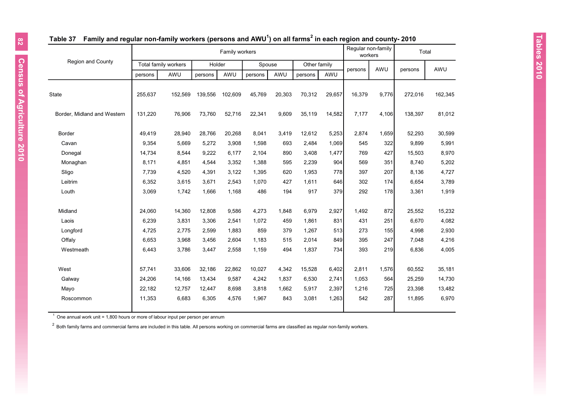|                             |         |                      |         | Family workers |         |        |              |        | Regular non-family<br>workers |       | Total   |         |
|-----------------------------|---------|----------------------|---------|----------------|---------|--------|--------------|--------|-------------------------------|-------|---------|---------|
| <b>Region and County</b>    |         | Total family workers | Holder  |                | Spouse  |        | Other family |        |                               | AWU   |         | AWU     |
|                             | persons | AWU                  | persons | AWU            | persons | AWU    | persons      | AWU    | persons                       |       | persons |         |
| State                       | 255,637 | 152,569              | 139,556 | 102,609        | 45,769  | 20,303 | 70,312       | 29,657 | 16,379                        | 9,776 | 272,016 | 162,345 |
| Border, Midland and Western | 131,220 | 76,906               | 73,760  | 52,716         | 22,341  | 9,609  | 35,119       | 14,582 | 7,177                         | 4,106 | 138,397 | 81,012  |
| Border                      | 49,419  | 28,940               | 28,766  | 20,268         | 8,041   | 3,419  | 12,612       | 5,253  | 2,874                         | 1,659 | 52,293  | 30,599  |
| Cavan                       | 9,354   | 5,669                | 5,272   | 3,908          | 1,598   | 693    | 2,484        | 1,069  | 545                           | 322   | 9,899   | 5,991   |
| Donegal                     | 14,734  | 8,544                | 9,222   | 6,177          | 2,104   | 890    | 3,408        | 1,477  | 769                           | 427   | 15,503  | 8,970   |
| Monaghan                    | 8,171   | 4,851                | 4,544   | 3,352          | 1,388   | 595    | 2,239        | 904    | 569                           | 351   | 8,740   | 5,202   |
| Sligo                       | 7,739   | 4,520                | 4,391   | 3,122          | 1,395   | 620    | 1,953        | 778    | 397                           | 207   | 8,136   | 4,727   |
| Leitrim                     | 6,352   | 3,615                | 3,671   | 2,543          | 1,070   | 427    | 1,611        | 646    | 302                           | 174   | 6.654   | 3,789   |
| Louth                       | 3,069   | 1,742                | 1,666   | 1,168          | 486     | 194    | 917          | 379    | 292                           | 178   | 3,361   | 1,919   |
| Midland                     | 24,060  | 14,360               | 12,808  | 9,586          | 4,273   | 1,848  | 6,979        | 2,927  | 1,492                         | 872   | 25,552  | 15,232  |
| Laois                       | 6,239   | 3,831                | 3,306   | 2,541          | 1,072   | 459    | 1,861        | 831    | 431                           | 251   | 6,670   | 4,082   |
| Longford                    | 4,725   | 2,775                | 2,599   | 1,883          | 859     | 379    | 1,267        | 513    | 273                           | 155   | 4,998   | 2,930   |
| Offaly                      | 6,653   | 3,968                | 3,456   | 2.604          | 1,183   | 515    | 2.014        | 849    | 395                           | 247   | 7.048   | 4,216   |
| Westmeath                   | 6,443   | 3,786                | 3,447   | 2,558          | 1,159   | 494    | 1,837        | 734    | 393                           | 219   | 6,836   | 4,005   |
| West                        | 57,741  | 33,606               | 32,186  | 22,862         | 10,027  | 4,342  | 15,528       | 6,402  | 2,811                         | 1,576 | 60,552  | 35,181  |
| Galway                      | 24,206  | 14,166               | 13,434  | 9,587          | 4,242   | 1,837  | 6,530        | 2,741  | 1,053                         | 564   | 25,259  | 14,730  |
| Mayo                        | 22,182  | 12,757               | 12,447  | 8,698          | 3,818   | 1,662  | 5,917        | 2,397  | 1,216                         | 725   | 23,398  | 13,482  |
| Roscommon                   | 11,353  | 6,683                | 6,305   | 4,576          | 1,967   | 843    | 3,081        | 1,263  | 542                           | 287   | 11,895  | 6,970   |

## **Table 37 Family and regular non-family workers (persons and AWU<sup>1</sup> ) on all farms<sup>2</sup> in each region and county- 2010**

 $1$  One annual work unit = 1,800 hours or more of labour input per person per annum

 $^{2}$  Both family farms and commercial farms are included in this table. All persons working on commercial farms are classified as regular non-family workers.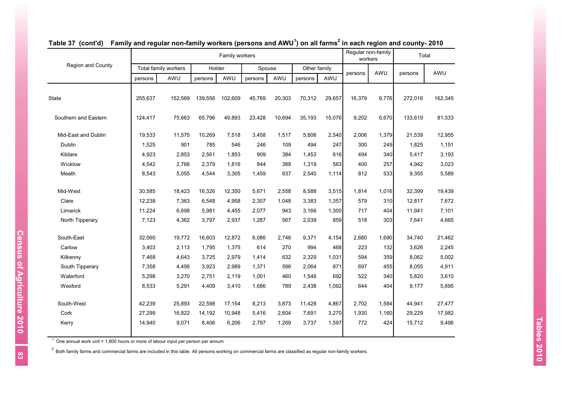|                      |         |                      |         | Family workers |         |        |              |        | Regular non-family | Total<br>workers |         |         |
|----------------------|---------|----------------------|---------|----------------|---------|--------|--------------|--------|--------------------|------------------|---------|---------|
| Region and County    |         | Total family workers | Holder  |                | Spouse  |        | Other family |        |                    | AWU              |         | AWU     |
|                      | persons | AWU                  | persons | AWU            | persons | AWU    | persons      | AWU    | persons            |                  | persons |         |
| <b>State</b>         | 255,637 | 152,569              | 139,556 | 102,609        | 45,769  | 20,303 | 70,312       | 29,657 | 16,379             | 9,776            | 272,016 | 162,345 |
| Southern and Eastern | 124,417 | 75,663               | 65,796  | 49,893         | 23,428  | 10,694 | 35,193       | 15,076 | 9,202              | 5,670            | 133,619 | 81,333  |
| Mid-East and Dublin  | 19,533  | 11,575               | 10,269  | 7,518          | 3,458   | 1,517  | 5,806        | 2,540  | 2,006              | 1,379            | 21,539  | 12,955  |
| Dublin               | 1,525   | 901                  | 785     | 546            | 246     | 109    | 494          | 247    | 300                | 249              | 1,825   | 1,151   |
| Kildare              | 4,923   | 2,853                | 2,561   | 1,853          | 909     | 384    | 1,453        | 616    | 494                | 340              | 5,417   | 3,193   |
| Wicklow              | 4,542   | 2,766                | 2,379   | 1,816          | 844     | 388    | 1,319        | 563    | 400                | 257              | 4,942   | 3,023   |
| Meath                | 8,543   | 5,055                | 4,544   | 3,305          | 1,459   | 637    | 2,540        | 1,114  | 812                | 533              | 9,355   | 5,589   |
| Mid-West             | 30,585  | 18,423               | 16,326  | 12,350         | 5,671   | 2,558  | 8,588        | 3,515  | 1,814              | 1,016            | 32,399  | 19,439  |
| Clare                | 12,238  | 7,363                | 6,548   | 4,958          | 2,307   | 1,048  | 3,383        | 1,357  | 579                | 310              | 12,817  | 7,672   |
| Limerick             | 11,224  | 6,698                | 5,981   | 4,455          | 2,077   | 943    | 3,166        | 1,300  | 717                | 404              | 11,941  | 7,101   |
| North Tipperary      | 7,123   | 4,362                | 3,797   | 2,937          | 1,287   | 567    | 2,039        | 859    | 518                | 303              | 7,641   | 4,665   |
| South-East           | 32,060  | 19,772               | 16,603  | 12,872         | 6,086   | 2,746  | 9,371        | 4,154  | 2,680              | 1,690            | 34,740  | 21,462  |
| Carlow               | 3,403   | 2,113                | 1,795   | 1,375          | 614     | 270    | 994          | 468    | 223                | 132              | 3,626   | 2,245   |
| Kilkenny             | 7,468   | 4,643                | 3,725   | 2,979          | 1,414   | 632    | 2,329        | 1,031  | 594                | 359              | 8,062   | 5,002   |
| South Tipperary      | 7,358   | 4,456                | 3,923   | 2,989          | 1,371   | 596    | 2,064        | 871    | 697                | 455              | 8,055   | 4,911   |
| Waterford            | 5,298   | 3,270                | 2,751   | 2,119          | 1,001   | 460    | 1,546        | 692    | 522                | 340              | 5,820   | 3,610   |
| Wexford              | 8,533   | 5,291                | 4,409   | 3,410          | 1,686   | 789    | 2,438        | 1,092  | 644                | 404              | 9,177   | 5,695   |
| South-West           | 42,239  | 25,893               | 22,598  | 17,154         | 8,213   | 3,873  | 11,428       | 4,867  | 2,702              | 1,584            | 44,941  | 27,477  |
| Cork                 | 27,299  | 16,822               | 14,192  | 10,948         | 5,416   | 2,604  | 7,691        | 3,270  | 1,930              | 1,160            | 29,229  | 17,982  |
| Kerry                | 14,940  | 9,071                | 8,406   | 6,206          | 2,797   | 1,269  | 3,737        | 1,597  | 772                | 424              | 15,712  | 9,496   |

#### **Table 37 (cont'd) Family and regular non-family workers (persons and AWU<sup>1</sup> ) on all farms<sup>2</sup> in each region and county- 2010**

 $1$  One annual work unit = 1,800 hours or more of labour input per person per annum

 $2$  Both family farms and commercial farms are included in this table. All persons working on commercial farms are classified as regular non-family workers.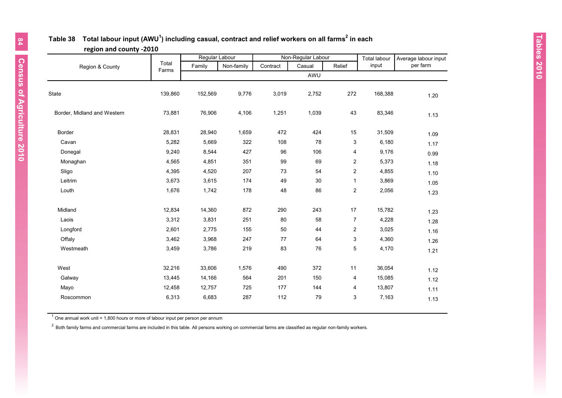## **Table 38 Total labour input (AWU<sup>1</sup> ) including casual, contract and relief workers on all farms 2 in each region and county -2010**

|                             |                | Regular Labour |            |          | Non-Regular Labour |                         | <b>Total labour</b> | Average labour input |
|-----------------------------|----------------|----------------|------------|----------|--------------------|-------------------------|---------------------|----------------------|
| Region & County             | Total<br>Farms | Family         | Non-family | Contract | Casual             | Relief                  | input               | per farm             |
|                             |                |                |            |          | AWU                |                         |                     |                      |
| <b>State</b>                | 139,860        | 152,569        | 9,776      | 3,019    | 2,752              | 272                     | 168,388             | 1.20                 |
| Border, Midland and Western | 73,881         | 76,906         | 4,106      | 1,251    | 1,039              | 43                      | 83,346              | 1.13                 |
| <b>Border</b>               | 28,831         | 28,940         | 1,659      | 472      | 424                | $15\,$                  | 31,509              | 1.09                 |
| Cavan                       | 5,282          | 5,669          | 322        | 108      | 78                 | 3                       | 6,180               | 1.17                 |
| Donegal                     | 9,240          | 8,544          | 427        | 96       | 106                | 4                       | 9,176               | 0.99                 |
| Monaghan                    | 4,565          | 4,851          | 351        | 99       | 69                 | $\overline{\mathbf{c}}$ | 5,373               | 1.18                 |
| Sligo                       | 4,395          | 4,520          | 207        | 73       | 54                 | 2                       | 4,855               | 1.10                 |
| Leitrim                     | 3,673          | 3,615          | 174        | 49       | 30                 | 1                       | 3,869               | 1.05                 |
| Louth                       | 1,676          | 1,742          | 178        | 48       | 86                 | 2                       | 2,056               | 1.23                 |
| Midland                     | 12,834         | 14,360         | 872        | 290      | 243                | 17                      | 15,782              | 1.23                 |
| Laois                       | 3,312          | 3,831          | 251        | 80       | 58                 | $\overline{7}$          | 4,228               | 1.28                 |
| Longford                    | 2,601          | 2,775          | 155        | 50       | 44                 | $\overline{\mathbf{c}}$ | 3,025               | 1.16                 |
| Offaly                      | 3,462          | 3,968          | 247        | 77       | 64                 | 3                       | 4,360               | 1.26                 |
| Westmeath                   | 3,459          | 3,786          | 219        | 83       | 76                 | 5                       | 4,170               | 1.21                 |
| West                        | 32,216         | 33,606         | 1,576      | 490      | 372                | 11                      | 36,054              | 1.12                 |
| Galway                      | 13,445         | 14,166         | 564        | 201      | 150                | 4                       | 15,085              | 1.12                 |
| Mayo                        | 12,458         | 12,757         | 725        | 177      | 144                | 4                       | 13,807              | 1.11                 |
| Roscommon                   | 6,313          | 6,683          | 287        | 112      | 79                 | 3                       | 7,163               | 1.13                 |

 $1$  One annual work unit = 1,800 hours or more of labour input per person per annum

 $2$  Both family farms and commercial farms are included in this table. All persons working on commercial farms are classified as regular non-family workers.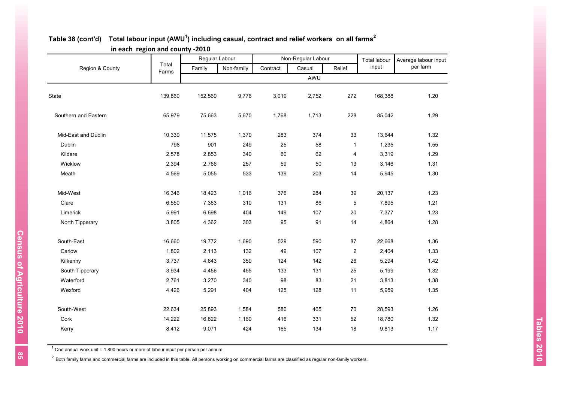| o                    |                | Regular Labour |            |          | Non-Regular Labour |                | <b>Total labour</b> | Average labour input |
|----------------------|----------------|----------------|------------|----------|--------------------|----------------|---------------------|----------------------|
| Region & County      | Total<br>Farms | Family         | Non-family | Contract | Casual             | Relief         | input               | per farm             |
|                      |                |                |            |          | AWU                |                |                     |                      |
| State                | 139,860        | 152,569        | 9,776      | 3,019    | 2,752              | 272            | 168,388             | 1.20                 |
| Southern and Eastern | 65,979         | 75,663         | 5,670      | 1,768    | 1,713              | 228            | 85,042              | 1.29                 |
| Mid-East and Dublin  | 10,339         | 11,575         | 1,379      | 283      | 374                | 33             | 13,644              | 1.32                 |
| Dublin               | 798            | 901            | 249        | 25       | 58                 | $\mathbf{1}$   | 1,235               | 1.55                 |
| Kildare              | 2,578          | 2,853          | 340        | 60       | 62                 | $\pmb{4}$      | 3,319               | 1.29                 |
| Wicklow              | 2,394          | 2,766          | 257        | 59       | 50                 | 13             | 3,146               | 1.31                 |
| Meath                | 4,569          | 5,055          | 533        | 139      | 203                | 14             | 5,945               | 1.30                 |
| Mid-West             | 16,346         | 18,423         | 1,016      | 376      | 284                | 39             | 20,137              | 1.23                 |
| Clare                | 6,550          | 7,363          | 310        | 131      | 86                 | 5              | 7,895               | 1.21                 |
| Limerick             | 5,991          | 6,698          | 404        | 149      | 107                | 20             | 7,377               | 1.23                 |
| North Tipperary      | 3,805          | 4,362          | 303        | 95       | 91                 | 14             | 4,864               | 1.28                 |
| South-East           | 16,660         | 19,772         | 1,690      | 529      | 590                | 87             | 22,668              | 1.36                 |
| Carlow               | 1,802          | 2,113          | 132        | 49       | 107                | $\overline{c}$ | 2,404               | 1.33                 |
| Kilkenny             | 3,737          | 4,643          | 359        | 124      | 142                | 26             | 5,294               | 1.42                 |
| South Tipperary      | 3,934          | 4,456          | 455        | 133      | 131                | 25             | 5,199               | 1.32                 |
| Waterford            | 2,761          | 3,270          | 340        | 98       | 83                 | 21             | 3,813               | 1.38                 |
| Wexford              | 4,426          | 5,291          | 404        | 125      | 128                | 11             | 5,959               | 1.35                 |
| South-West           | 22,634         | 25,893         | 1,584      | 580      | 465                | 70             | 28,593              | 1.26                 |
| Cork                 | 14,222         | 16,822         | 1,160      | 416      | 331                | 52             | 18,780              | 1.32                 |
| Kerry                | 8,412          | 9,071          | 424        | 165      | 134                | 18             | 9,813               | 1.17                 |

### **Table 38 (cont'd) Total labour input (AWU<sup>1</sup> ) including casual, contract and relief workers on all farms 2 in each region and county -2010**

 $1$  One annual work unit = 1,800 hours or more of labour input per person per annum

 $2$  Both family farms and commercial farms are included in this table. All persons working on commercial farms are classified as regular non-family workers.

Census of Agriculture 2010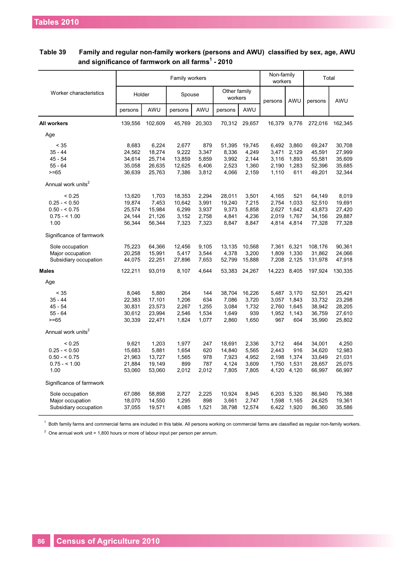|                                |         |         | Family workers |        |                         |               | Non-family<br>workers |             | Total   |         |
|--------------------------------|---------|---------|----------------|--------|-------------------------|---------------|-----------------------|-------------|---------|---------|
| Worker characteristics         | Holder  |         | Spouse         |        | Other family<br>workers |               | persons               | AWU         | persons | AWU     |
|                                | persons | AWU     | persons        | AWU    | persons                 | AWU           |                       |             |         |         |
| <b>All workers</b>             | 139,556 | 102,609 | 45,769         | 20,303 |                         | 70,312 29,657 | 16,379 9,776          |             | 272,016 | 162,345 |
| Age                            |         |         |                |        |                         |               |                       |             |         |         |
| < 35                           | 8,683   | 6,224   | 2,677          | 879    | 51,395                  | 19,745        | 6,492                 | 3,860       | 69,247  | 30,708  |
| $35 - 44$                      | 24,562  | 18,274  | 9,222          | 3,347  | 8,336                   | 4,249         | 3,471                 | 2,129       | 45,591  | 27,999  |
| $45 - 54$                      | 34,614  | 25,714  | 13,859         | 5,859  | 3,992                   | 2,144         | 3,116                 | 1,893       | 55,581  | 35,609  |
| $55 - 64$                      | 35,058  | 26,635  | 12,625         | 6,406  | 2,523                   | 1,360         | 2,190                 | 1,283       | 52,396  | 35,685  |
| $>= 65$                        | 36,639  | 25,763  | 7,386          | 3,812  | 4,066                   | 2,159         | 1,110                 | 611         | 49,201  | 32,344  |
| Annual work units <sup>2</sup> |         |         |                |        |                         |               |                       |             |         |         |
| < 0.25                         | 13,620  | 1,703   | 18,353         | 2,294  | 28,011                  | 3,501         | 4,165                 | 521         | 64,149  | 8,019   |
| $0.25 - 0.50$                  | 19,874  | 7,453   | 10,642         | 3,991  | 19,240                  | 7,215         | 2,754                 | 1,033       | 52,510  | 19,691  |
| $0.50 - 0.75$                  | 25,574  | 15,984  | 6,299          | 3,937  | 9,373                   | 5,858         | 2,627                 | 1,642       | 43,873  | 27,420  |
| $0.75 - 1.00$                  | 24,144  | 21,126  | 3,152          | 2,758  | 4,841                   | 4,236         | 2,019                 | 1,767       | 34,156  | 29,887  |
| 1.00                           | 56,344  | 56,344  | 7,323          | 7,323  | 8,847                   | 8,847         |                       | 4,814 4,814 | 77,328  | 77,328  |
| Significance of farmwork       |         |         |                |        |                         |               |                       |             |         |         |
| Sole occupation                | 75,223  | 64,366  | 12,456         | 9,105  | 13,135                  | 10,568        | 7,361                 | 6,321       | 108,176 | 90,361  |
| Major occupation               | 20,258  | 15,991  | 5,417          | 3,544  | 4,378                   | 3,200         | 1,809                 | 1,330       | 31,862  | 24,066  |
| Subsidiary occupation          | 44,075  | 22,251  | 27,896         | 7,653  | 52,799                  | 15,888        | 7,208                 | 2,125       | 131,978 | 47,918  |
| <b>Males</b>                   | 122,211 | 93,019  | 8,107          | 4,644  | 53,383                  | 24,267        | 14,223 8,405          |             | 197,924 | 130,335 |
| Age                            |         |         |                |        |                         |               |                       |             |         |         |
| < 35                           | 8,046   | 5,880   | 264            | 144    | 38,704                  | 16,226        | 5,487                 | 3,170       | 52,501  | 25,421  |
| $35 - 44$                      | 22,383  | 17,101  | 1,206          | 634    | 7,086                   | 3,720         | 3,057                 | 1,843       | 33,732  | 23,298  |
| $45 - 54$                      | 30,831  | 23,573  | 2,267          | 1,255  | 3,084                   | 1,732         | 2.760                 | 1,645       | 38,942  | 28,205  |
| $55 - 64$                      | 30,612  | 23,994  | 2,546          | 1,534  | 1,649                   | 939           | 1,952                 | 1,143       | 36,759  | 27,610  |
| $>= 65$                        | 30,339  | 22,471  | 1,824          | 1,077  | 2,860                   | 1,650         | 967                   | 604         | 35,990  | 25,802  |
| Annual work units <sup>2</sup> |         |         |                |        |                         |               |                       |             |         |         |
| < 0.25                         | 9,621   | 1,203   | 1,977          | 247    | 18,691                  | 2,336         | 3,712                 | 464         | 34,001  | 4,250   |
| $0.25 - 5.50$                  | 15,683  | 5,881   | 1,654          | 620    | 14,840                  | 5,565         | 2,443                 | 916         | 34,620  | 12,983  |
| $0.50 - 5.75$                  | 21,963  | 13,727  | 1,565          | 978    | 7,923                   | 4,952         | 2,198                 | 1,374       | 33,649  | 21,031  |
| $0.75 - 1.00$                  | 21,884  | 19,149  | 899            | 787    | 4,124                   | 3,609         | 1,750                 | 1,531       | 28,657  | 25,075  |
| 1.00                           | 53,060  | 53,060  | 2,012          | 2,012  | 7,805                   | 7,805         | 4,120                 | 4,120       | 66,997  | 66,997  |
| Significance of farmwork       |         |         |                |        |                         |               |                       |             |         |         |
| Sole occupation                | 67,086  | 58,898  | 2,727          | 2,225  | 10,924                  | 8,945         | 6,203                 | 5,320       | 86,940  | 75,388  |
| Major occupation               | 18,070  | 14,550  | 1,295          | 898    | 3,661                   | 2,747         | 1,598                 | 1,165       | 24,625  | 19,361  |
| Subsidiary occupation          | 37,055  | 19,571  | 4,085          | 1,521  | 38,798                  | 12,574        | 6,422                 | 1,920       | 86,360  | 35,586  |
|                                |         |         |                |        |                         |               |                       |             |         |         |

## **Table 39 Family and regular non-family workers (persons and AWU) classified by sex, age, AWU and significance of farmwork on all farms 1 - 2010**

 $^1$  Both family farms and commercial farms are included in this table. All persons working on commercial farms are classified as regular non-family workers.

 $2$  One annual work unit = 1,800 hours or more of labour input per person per annum.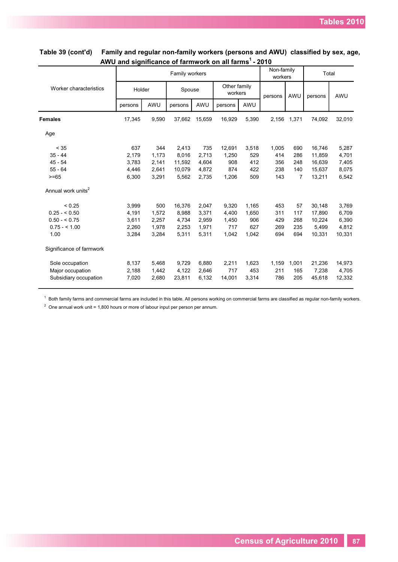**AWU and significance of farmwork on all farms <sup>1</sup>- 2010 Table 39 (cont'd) Family and regular non-family workers (persons and AWU) classified by sex, age,** 

|                                |         |       | Family workers |        |                         |       | Non-family<br>workers |                | Total   |        |
|--------------------------------|---------|-------|----------------|--------|-------------------------|-------|-----------------------|----------------|---------|--------|
| Worker characteristics         | Holder  |       | Spouse         |        | Other family<br>workers |       | persons               | AWU            | persons | AWU    |
|                                | persons | AWU   | persons        | AWU    | persons                 | AWU   |                       |                |         |        |
| <b>Females</b>                 | 17,345  | 9,590 | 37,662         | 15,659 | 16,929                  | 5,390 | 2,156                 | 1,371          | 74,092  | 32,010 |
| Age                            |         |       |                |        |                         |       |                       |                |         |        |
| < 35                           | 637     | 344   | 2,413          | 735    | 12,691                  | 3,518 | 1,005                 | 690            | 16,746  | 5,287  |
| $35 - 44$                      | 2,179   | 1,173 | 8,016          | 2,713  | 1,250                   | 529   | 414                   | 286            | 11,859  | 4,701  |
| $45 - 54$                      | 3,783   | 2,141 | 11,592         | 4,604  | 908                     | 412   | 356                   | 248            | 16.639  | 7,405  |
| $55 - 64$                      | 4,446   | 2.641 | 10.079         | 4,872  | 874                     | 422   | 238                   | 140            | 15,637  | 8,075  |
| $>= 65$                        | 6,300   | 3,291 | 5,562          | 2,735  | 1,206                   | 509   | 143                   | $\overline{7}$ | 13,211  | 6,542  |
| Annual work units <sup>2</sup> |         |       |                |        |                         |       |                       |                |         |        |
| < 0.25                         | 3,999   | 500   | 16,376         | 2,047  | 9,320                   | 1,165 | 453                   | 57             | 30,148  | 3,769  |
| $0.25 - 5.50$                  | 4,191   | 1,572 | 8,988          | 3,371  | 4,400                   | 1,650 | 311                   | 117            | 17,890  | 6,709  |
| $0.50 - 5.75$                  | 3,611   | 2,257 | 4,734          | 2,959  | 1,450                   | 906   | 429                   | 268            | 10,224  | 6,390  |
| $0.75 - 1.00$                  | 2,260   | 1,978 | 2,253          | 1,971  | 717                     | 627   | 269                   | 235            | 5,499   | 4,812  |
| 1.00                           | 3,284   | 3,284 | 5,311          | 5,311  | 1,042                   | 1,042 | 694                   | 694            | 10,331  | 10,331 |
| Significance of farmwork       |         |       |                |        |                         |       |                       |                |         |        |
| Sole occupation                | 8,137   | 5,468 | 9,729          | 6,880  | 2,211                   | 1,623 | 1,159                 | 1,001          | 21,236  | 14,973 |
| Major occupation               | 2,188   | 1,442 | 4,122          | 2,646  | 717                     | 453   | 211                   | 165            | 7,238   | 4,705  |
| Subsidiary occupation          | 7,020   | 2,680 | 23,811         | 6,132  | 14,001                  | 3,314 | 786                   | 205            | 45,618  | 12,332 |

 $^1$  Both family farms and commercial farms are included in this table. All persons working on commercial farms are classified as regular non-family workers.

 $2$  One annual work unit = 1,800 hours or more of labour input per person per annum.